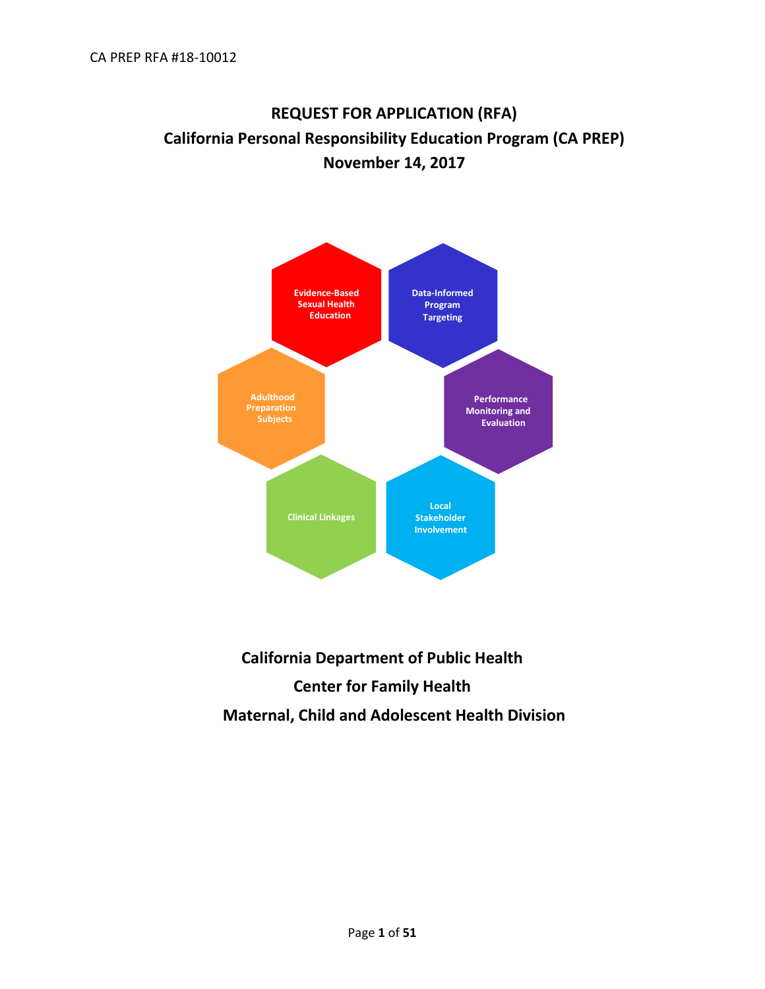# **REQUEST FOR APPLICATION (RFA) California Personal Responsibility Education Program (CA PREP) November 14, 2017**



# **California Department of Public Health Center for Family Health Maternal, Child and Adolescent Health Division**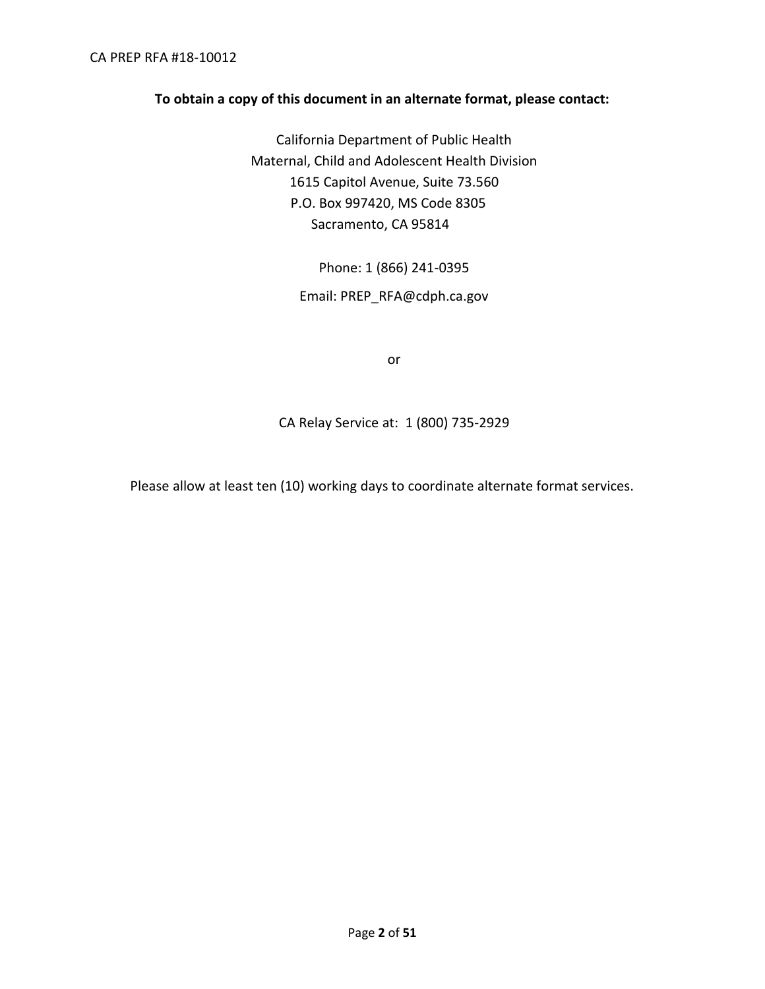#### **To obtain a copy of this document in an alternate format, please contact:**

California Department of Public Health Maternal, Child and Adolescent Health Division 1615 Capitol Avenue, Suite 73.560 P.O. Box 997420, MS Code 8305 Sacramento, CA 95814

Phone: 1 (866) 241-0395

Email: [PREP\\_RFA@cdph.ca.gov](mailto:PREP_RFA@cdph.ca.gov)

or

CA Relay Service at: 1 (800) 735-2929

Please allow at least ten (10) working days to coordinate alternate format services.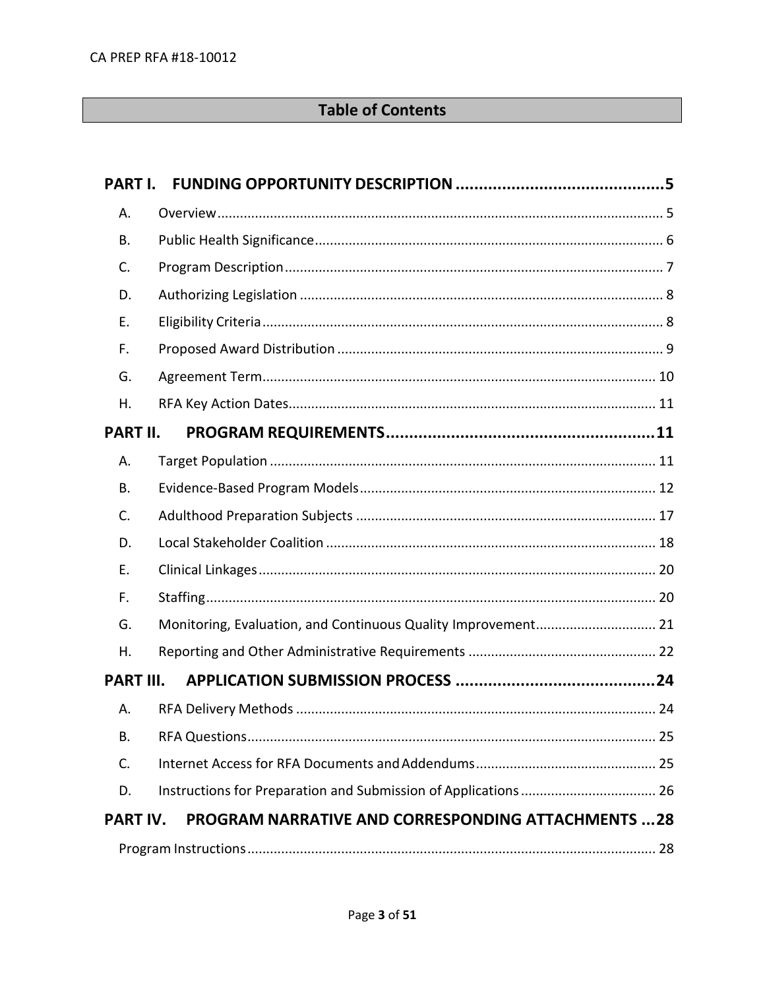# **Table of Contents**

| PART I.          |                                                               |  |
|------------------|---------------------------------------------------------------|--|
| А.               |                                                               |  |
| Β.               |                                                               |  |
| C.               |                                                               |  |
| D.               |                                                               |  |
| Ε.               |                                                               |  |
| F.               |                                                               |  |
| G.               |                                                               |  |
| Η.               |                                                               |  |
| <b>PART II.</b>  |                                                               |  |
| А.               |                                                               |  |
| Β.               |                                                               |  |
| C.               |                                                               |  |
| D.               |                                                               |  |
| Е.               |                                                               |  |
| F.               |                                                               |  |
| G.               | Monitoring, Evaluation, and Continuous Quality Improvement 21 |  |
| Η.               |                                                               |  |
| <b>PART III.</b> |                                                               |  |
| А.               |                                                               |  |
| В.               |                                                               |  |
| C.               |                                                               |  |
| D.               |                                                               |  |
| PART IV.         | <b>PROGRAM NARRATIVE AND CORRESPONDING ATTACHMENTS 28</b>     |  |
|                  |                                                               |  |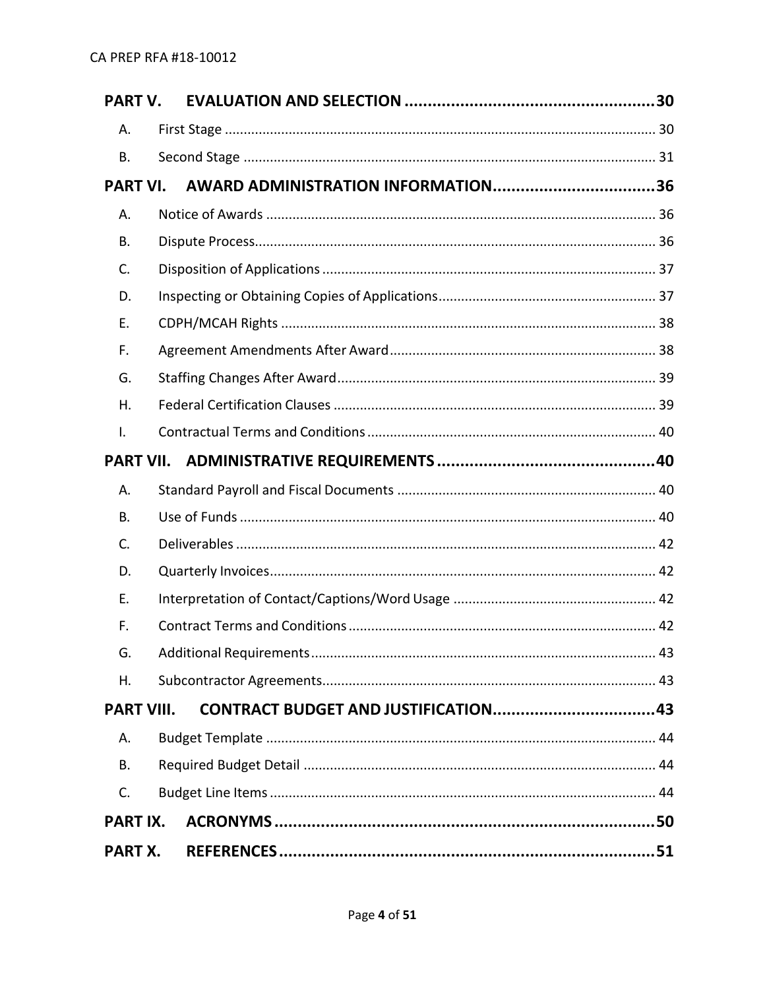| <b>PART V.</b>    |  |
|-------------------|--|
| Α.                |  |
| Β.                |  |
| <b>PART VI.</b>   |  |
| Α.                |  |
| В.                |  |
| C.                |  |
| D.                |  |
| Е.                |  |
| F.                |  |
| G.                |  |
| Η.                |  |
| I.                |  |
|                   |  |
| А.                |  |
| <b>B.</b>         |  |
| C.                |  |
| D.                |  |
| Ε.                |  |
| F.                |  |
| G.                |  |
| Η.                |  |
| <b>PART VIII.</b> |  |
| Α.                |  |
| <b>B.</b>         |  |
| C.                |  |
| <b>PART IX.</b>   |  |
| <b>PART X.</b>    |  |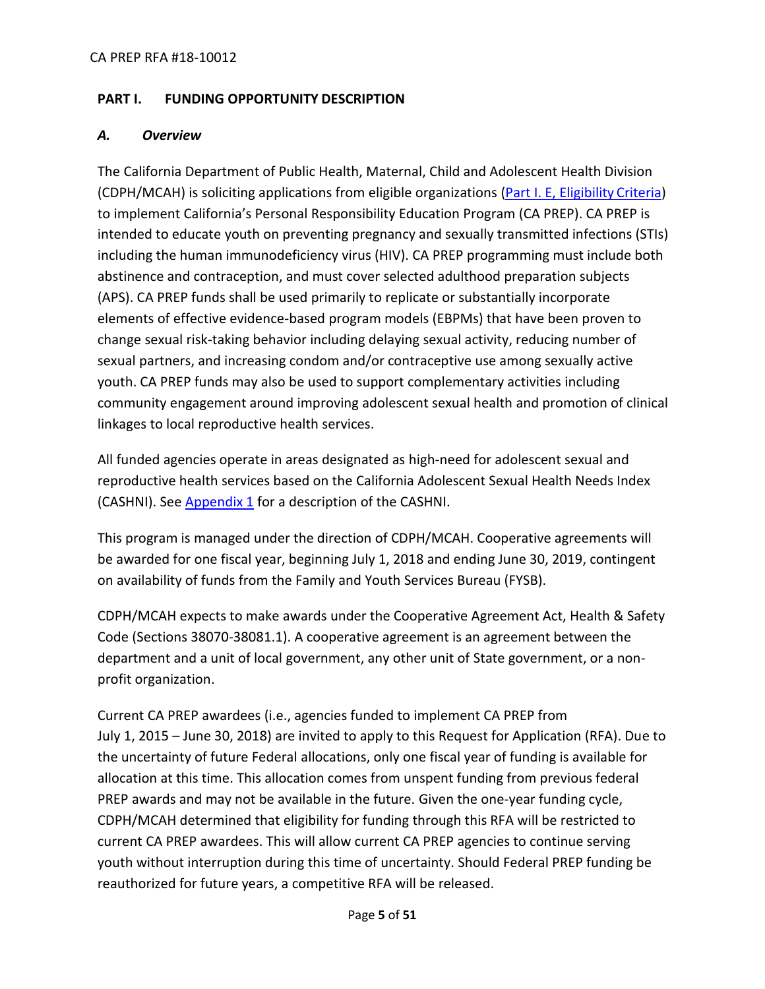# <span id="page-4-0"></span>**PART I. FUNDING OPPORTUNITY DESCRIPTION**

## <span id="page-4-1"></span>*A. Overview*

The California Department of Public Health, Maternal, Child and Adolescent Health Division (CDPH/MCAH) is soliciting applications from eligible organizations [\(Part I. E, Eligibility](#page-7-1) Criteria) to implement California's Personal Responsibility Education Program (CA PREP). CA PREP is intended to educate youth on preventing pregnancy and sexually transmitted infections (STIs) including the human immunodeficiency virus (HIV). CA PREP programming must include both abstinence and contraception, and must cover selected adulthood preparation subjects (APS). CA PREP funds shall be used primarily to replicate or substantially incorporate elements of effective evidence-based program models (EBPMs) that have been proven to change sexual risk-taking behavior including delaying sexual activity, reducing number of sexual partners, and increasing condom and/or contraceptive use among sexually active youth. CA PREP funds may also be used to support complementary activities including community engagement around improving adolescent sexual health and promotion of clinical linkages to local reproductive health services.

All funded agencies operate in areas designated as high-need for adolescent sexual and reproductive health services based on the California Adolescent Sexual Health Needs Index (CASHNI). See [Appendix 1](https://www.cdph.ca.gov/Programs/CFH/DMCAH/CA-PREP/CDPH%20Document%20Library/2018-Appendix%201.pdf) for a description of the CASHNI.

This program is managed under the direction of CDPH/MCAH. Cooperative agreements will be awarded for one fiscal year, beginning July 1, 2018 and ending June 30, 2019, contingent on availability of funds from the Family and Youth Services Bureau (FYSB).

CDPH/MCAH expects to make awards under the Cooperative Agreement Act, Health & Safety Code (Sections 38070-38081.1). A cooperative agreement is an agreement between the department and a unit of local government, any other unit of State government, or a nonprofit organization.

Current CA PREP awardees (i.e., agencies funded to implement CA PREP from July 1, 2015 – June 30, 2018) are invited to apply to this Request for Application (RFA). Due to the uncertainty of future Federal allocations, only one fiscal year of funding is available for allocation at this time. This allocation comes from unspent funding from previous federal PREP awards and may not be available in the future. Given the one-year funding cycle, CDPH/MCAH determined that eligibility for funding through this RFA will be restricted to current CA PREP awardees. This will allow current CA PREP agencies to continue serving youth without interruption during this time of uncertainty. Should Federal PREP funding be reauthorized for future years, a competitive RFA will be released.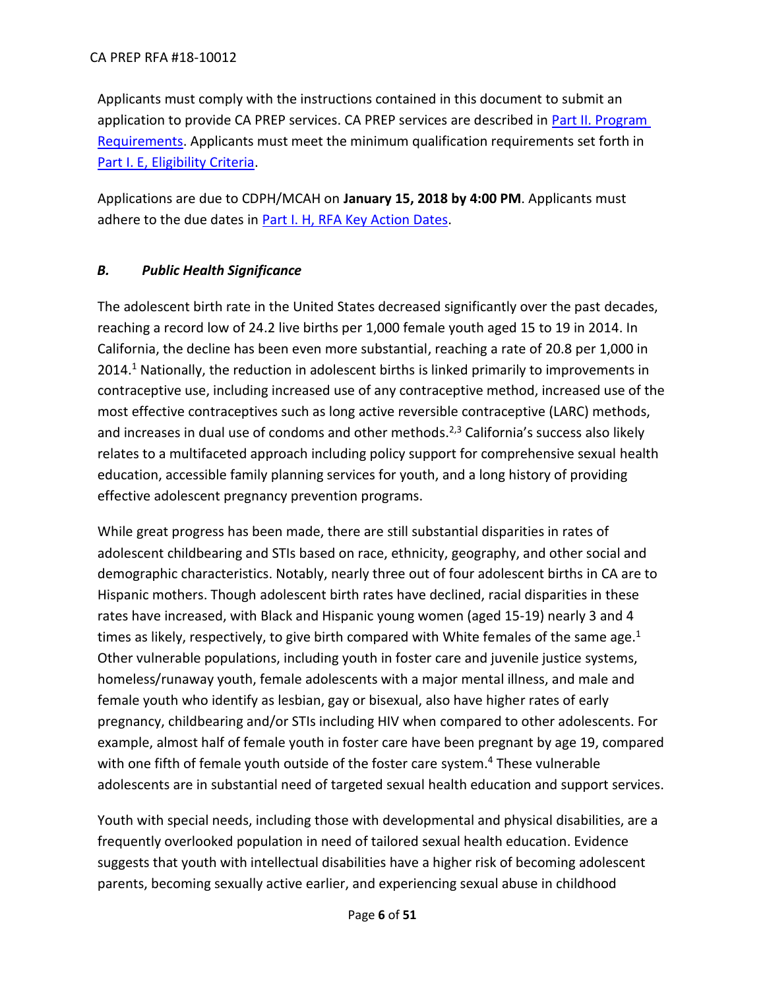#### CA PREP RFA #18-10012

Applicants must comply with the instructions contained in this document to submit an application to provide CA PREP services. CA PREP services are described in [Part II. Program](#page-10-1)  [Requirements.](#page-10-1) Applicants must meet the minimum qualification requirements set forth in [Part I. E, Eligibility Criteria.](#page-7-1)

Applications are due to CDPH/MCAH on **January 15, 2018 by 4:00 PM**. Applicants must adhere to the due dates in Part I. H, RFA [Key Action Dates.](#page-10-0)

## <span id="page-5-0"></span>*B. Public Health Significance*

The adolescent birth rate in the United States decreased significantly over the past decades, reaching a record low of 24.2 live births per 1,000 female youth aged 15 to 19 in 2014. In California, the decline has been even more substantial, reaching a rate of 20.8 per 1,000 in 2014.<sup>1</sup> Nationally, the reduction in adolescent births is linked primarily to improvements in contraceptive use, including increased use of any contraceptive method, increased use of the most effective contraceptives such as long active reversible contraceptive (LARC) methods, and increases in dual use of condoms and other methods.<sup>2,3</sup> California's success also likely relates to a multifaceted approach including policy support for comprehensive sexual health education, accessible family planning services for youth, and a long history of providing effective adolescent pregnancy prevention programs.

While great progress has been made, there are still substantial disparities in rates of adolescent childbearing and STIs based on race, ethnicity, geography, and other social and demographic characteristics. Notably, nearly three out of four adolescent births in CA are to Hispanic mothers. Though adolescent birth rates have declined, racial disparities in these rates have increased, with Black and Hispanic young women (aged 15-19) nearly 3 and 4 times as likely, respectively, to give birth compared with White females of the same age.<sup>1</sup> Other vulnerable populations, including youth in foster care and juvenile justice systems, homeless/runaway youth, female adolescents with a major mental illness, and male and female youth who identify as lesbian, gay or bisexual, also have higher rates of early pregnancy, childbearing and/or STIs including HIV when compared to other adolescents. For example, almost half of female youth in foster care have been pregnant by age 19, compared with one fifth of female youth outside of the foster care system.<sup>4</sup> These vulnerable adolescents are in substantial need of targeted sexual health education and support services.

Youth with special needs, including those with developmental and physical disabilities, are a frequently overlooked population in need of tailored sexual health education. Evidence suggests that youth with intellectual disabilities have a higher risk of becoming adolescent parents, becoming sexually active earlier, and experiencing sexual abuse in childhood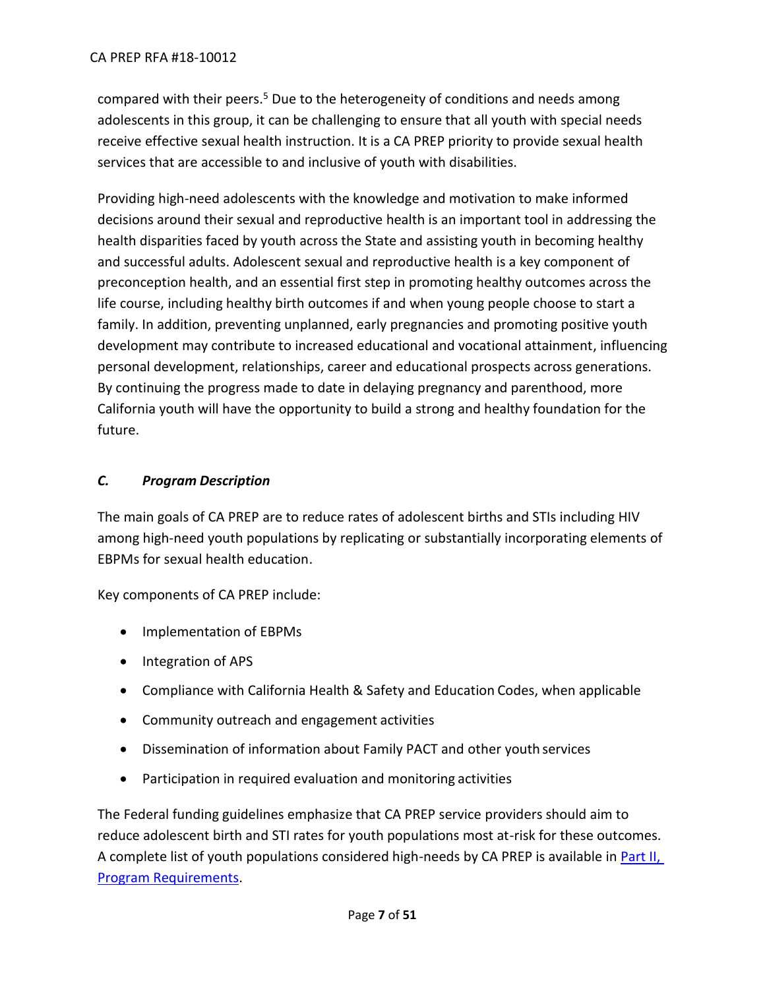compared with their peers.<sup>5</sup> Due to the heterogeneity of conditions and needs among adolescents in this group, it can be challenging to ensure that all youth with special needs receive effective sexual health instruction. It is a CA PREP priority to provide sexual health services that are accessible to and inclusive of youth with disabilities.

Providing high-need adolescents with the knowledge and motivation to make informed decisions around their sexual and reproductive health is an important tool in addressing the health disparities faced by youth across the State and assisting youth in becoming healthy and successful adults. Adolescent sexual and reproductive health is a key component of preconception health, and an essential first step in promoting healthy outcomes across the life course, including healthy birth outcomes if and when young people choose to start a family. In addition, preventing unplanned, early pregnancies and promoting positive youth development may contribute to increased educational and vocational attainment, influencing personal development, relationships, career and educational prospects across generations. By continuing the progress made to date in delaying pregnancy and parenthood, more California youth will have the opportunity to build a strong and healthy foundation for the future.

# <span id="page-6-0"></span>*C. Program Description*

The main goals of CA PREP are to reduce rates of adolescent births and STIs including HIV among high-need youth populations by replicating or substantially incorporating elements of EBPMs for sexual health education.

Key components of CA PREP include:

- Implementation of EBPMs
- Integration of APS
- Compliance with California Health & Safety and Education Codes, when applicable
- Community outreach and engagement activities
- Dissemination of information about Family PACT and other youth services
- Participation in required evaluation and monitoring activities

The Federal funding guidelines emphasize that CA PREP service providers should aim to reduce adolescent birth and STI rates for youth populations most at-risk for these outcomes. A complete list of youth populations considered high-needs by CA PREP is available i[n Part II,](#page-10-1) [Program Requirements.](#page-10-1)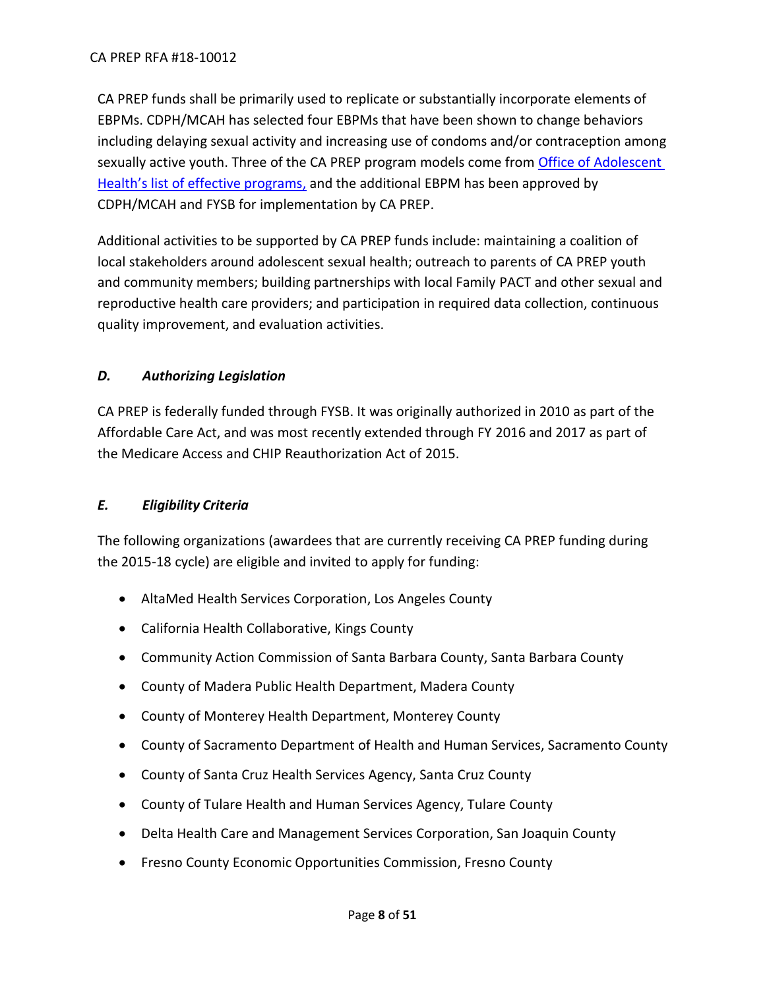CA PREP funds shall be primarily used to replicate or substantially incorporate elements of EBPMs. CDPH/MCAH has selected four EBPMs that have been shown to change behaviors including delaying sexual activity and increasing use of condoms and/or contraception among sexually active youth. Three of the CA PREP program models come from [Office of Adolescent](https://www.hhs.gov/ash/oah/grant-programs/teen-pregnancy-prevention-program-tpp/evidence-based-programs/index.html)  [Health's list of effective programs](https://www.hhs.gov/ash/oah/grant-programs/teen-pregnancy-prevention-program-tpp/evidence-based-programs/index.html), and the additional EBPM has been approved by CDPH/MCAH and FYSB for implementation by CA PREP.

Additional activities to be supported by CA PREP funds include: maintaining a coalition of local stakeholders around adolescent sexual health; outreach to parents of CA PREP youth and community members; building partnerships with local Family PACT and other sexual and reproductive health care providers; and participation in required data collection, continuous quality improvement, and evaluation activities.

# <span id="page-7-0"></span>*D. Authorizing Legislation*

CA PREP is federally funded through FYSB. It was originally authorized in 2010 as part of the Affordable Care Act, and was most recently extended through FY 2016 and 2017 as part of the Medicare Access and CHIP Reauthorization Act of 2015.

# <span id="page-7-1"></span>*E. Eligibility Criteria*

The following organizations (awardees that are currently receiving CA PREP funding during the 2015-18 cycle) are eligible and invited to apply for funding:

- AltaMed Health Services Corporation, Los Angeles County
- California Health Collaborative, Kings County
- Community Action Commission of Santa Barbara County, Santa Barbara County
- County of Madera Public Health Department, Madera County
- County of Monterey Health Department, Monterey County
- County of Sacramento Department of Health and Human Services, Sacramento County
- County of Santa Cruz Health Services Agency, Santa Cruz County
- County of Tulare Health and Human Services Agency, Tulare County
- Delta Health Care and Management Services Corporation, San Joaquin County
- Fresno County Economic Opportunities Commission, Fresno County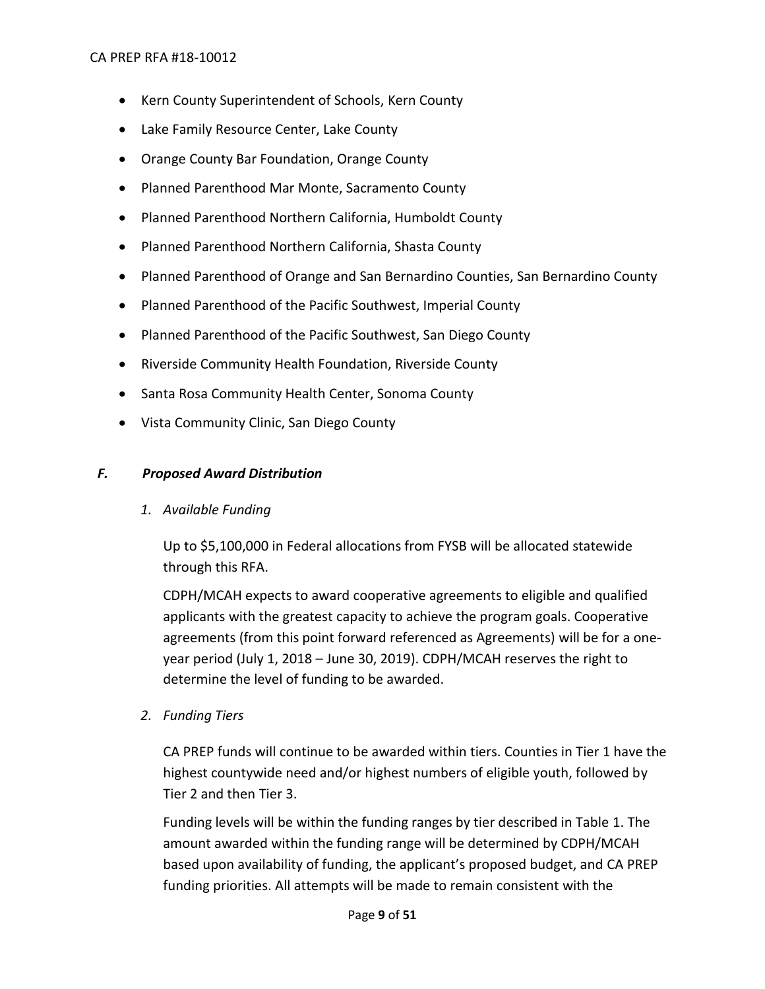- Kern County Superintendent of Schools, Kern County
- Lake Family Resource Center, Lake County
- Orange County Bar Foundation, Orange County
- Planned Parenthood Mar Monte, Sacramento County
- Planned Parenthood Northern California, Humboldt County
- Planned Parenthood Northern California, Shasta County
- Planned Parenthood of Orange and San Bernardino Counties, San Bernardino County
- Planned Parenthood of the Pacific Southwest, Imperial County
- Planned Parenthood of the Pacific Southwest, San Diego County
- Riverside Community Health Foundation, Riverside County
- Santa Rosa Community Health Center, Sonoma County
- Vista Community Clinic, San Diego County

# <span id="page-8-0"></span>*F. Proposed Award Distribution*

*1. Available Funding*

Up to \$5,100,000 in Federal allocations from FYSB will be allocated statewide through this RFA.

CDPH/MCAH expects to award cooperative agreements to eligible and qualified applicants with the greatest capacity to achieve the program goals. Cooperative agreements (from this point forward referenced as Agreements) will be for a oneyear period (July 1, 2018 – June 30, 2019). CDPH/MCAH reserves the right to determine the level of funding to be awarded.

*2. Funding Tiers*

CA PREP funds will continue to be awarded within tiers. Counties in Tier 1 have the highest countywide need and/or highest numbers of eligible youth, followed by Tier 2 and then Tier 3.

Funding levels will be within the funding ranges by tier described in Table 1. The amount awarded within the funding range will be determined by CDPH/MCAH based upon availability of funding, the applicant's proposed budget, and CA PREP funding priorities. All attempts will be made to remain consistent with the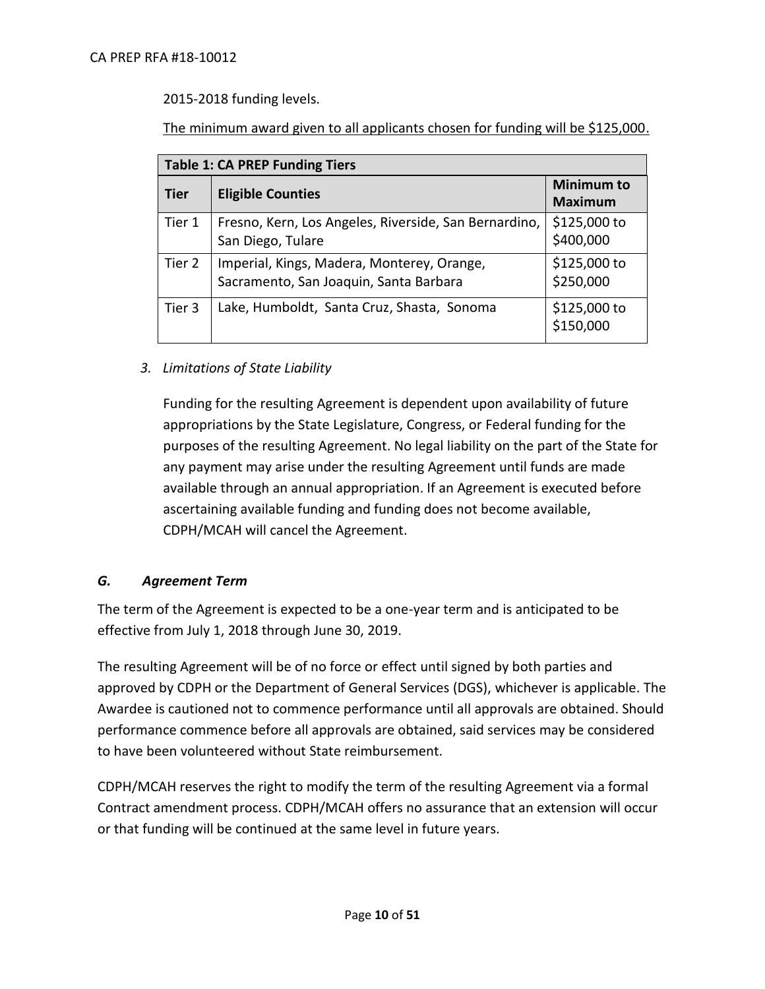2015-2018 funding levels.

The minimum award given to all applicants chosen for funding will be \$125,000.

| <b>Table 1: CA PREP Funding Tiers</b> |                                                                                      |                                     |  |  |
|---------------------------------------|--------------------------------------------------------------------------------------|-------------------------------------|--|--|
| Tier                                  | <b>Eligible Counties</b>                                                             | <b>Minimum to</b><br><b>Maximum</b> |  |  |
| Tier 1                                | Fresno, Kern, Los Angeles, Riverside, San Bernardino,<br>San Diego, Tulare           | \$125,000 to<br>\$400,000           |  |  |
| Tier 2                                | Imperial, Kings, Madera, Monterey, Orange,<br>Sacramento, San Joaquin, Santa Barbara | \$125,000 to<br>\$250,000           |  |  |
| Tier 3                                | Lake, Humboldt, Santa Cruz, Shasta, Sonoma                                           | \$125,000 to<br>\$150,000           |  |  |

*3. Limitations of State Liability*

Funding for the resulting Agreement is dependent upon availability of future appropriations by the State Legislature, Congress, or Federal funding for the purposes of the resulting Agreement. No legal liability on the part of the State for any payment may arise under the resulting Agreement until funds are made available through an annual appropriation. If an Agreement is executed before ascertaining available funding and funding does not become available, CDPH/MCAH will cancel the Agreement.

#### <span id="page-9-0"></span>*G. Agreement Term*

The term of the Agreement is expected to be a one-year term and is anticipated to be effective from July 1, 2018 through June 30, 2019.

The resulting Agreement will be of no force or effect until signed by both parties and approved by CDPH or the Department of General Services (DGS), whichever is applicable. The Awardee is cautioned not to commence performance until all approvals are obtained. Should performance commence before all approvals are obtained, said services may be considered to have been volunteered without State reimbursement.

CDPH/MCAH reserves the right to modify the term of the resulting Agreement via a formal Contract amendment process. CDPH/MCAH offers no assurance that an extension will occur or that funding will be continued at the same level in future years.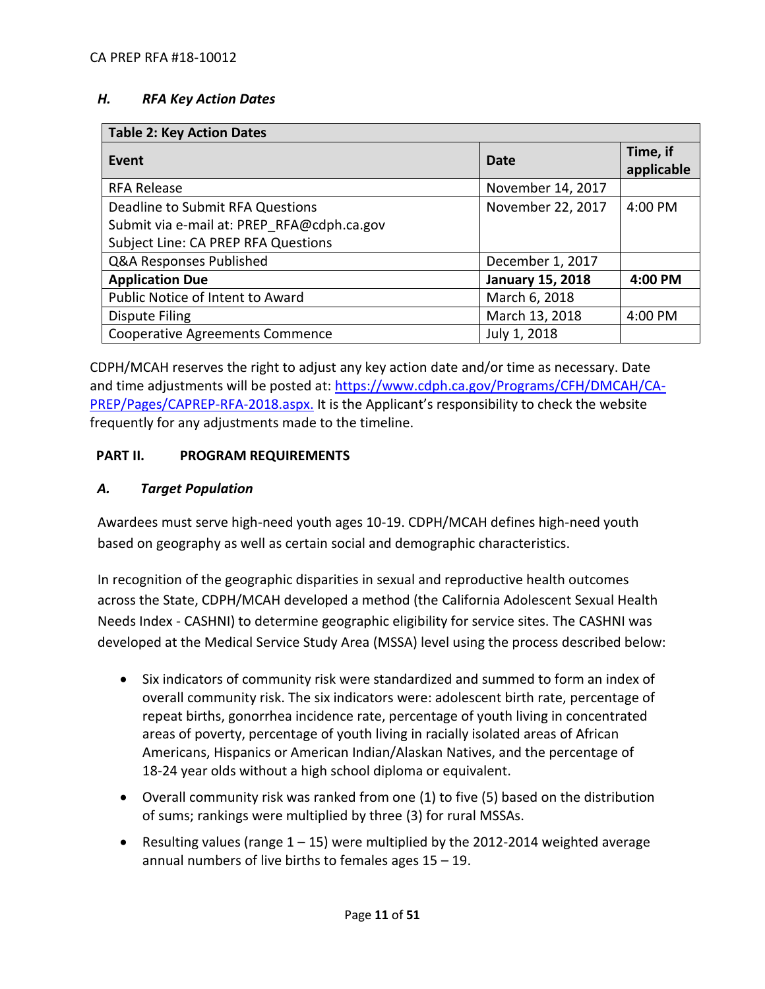#### <span id="page-10-0"></span>*H. RFA Key Action Dates*

| <b>Table 2: Key Action Dates</b>           |                         |                        |  |  |  |
|--------------------------------------------|-------------------------|------------------------|--|--|--|
| Event                                      | Date                    | Time, if<br>applicable |  |  |  |
| <b>RFA Release</b>                         | November 14, 2017       |                        |  |  |  |
| Deadline to Submit RFA Questions           | November 22, 2017       | 4:00 PM                |  |  |  |
| Submit via e-mail at: PREP RFA@cdph.ca.gov |                         |                        |  |  |  |
| Subject Line: CA PREP RFA Questions        |                         |                        |  |  |  |
| Q&A Responses Published                    | December 1, 2017        |                        |  |  |  |
| <b>Application Due</b>                     | <b>January 15, 2018</b> | 4:00 PM                |  |  |  |
| Public Notice of Intent to Award           | March 6, 2018           |                        |  |  |  |
| Dispute Filing                             | March 13, 2018          | 4:00 PM                |  |  |  |
| <b>Cooperative Agreements Commence</b>     | July 1, 2018            |                        |  |  |  |

CDPH/MCAH reserves the right to adjust any key action date and/or time as necessary. Date and time adjustments will be posted at: [https://www.cdph.ca.gov/Programs/CFH/DMCAH/CA-](https://www.cdph.ca.gov/Programs/CFH/DMCAH/CA-PREP/Pages/CAPREP-RFA-2018.aspx)[PREP/Pages/CAPREP-RFA-2018.aspx.](https://www.cdph.ca.gov/Programs/CFH/DMCAH/CA-PREP/Pages/CAPREP-RFA-2018.aspx) It is the Applicant's responsibility to check the website frequently for any adjustments made to the timeline.

#### <span id="page-10-1"></span>**PART II. PROGRAM REQUIREMENTS**

#### <span id="page-10-2"></span>*A. Target Population*

Awardees must serve high-need youth ages 10-19. CDPH/MCAH defines high-need youth based on geography as well as certain social and demographic characteristics.

In recognition of the geographic disparities in sexual and reproductive health outcomes across the State, CDPH/MCAH developed a method (the California Adolescent Sexual Health Needs Index - CASHNI) to determine geographic eligibility for service sites. The CASHNI was developed at the Medical Service Study Area (MSSA) level using the process described below:

- Six indicators of community risk were standardized and summed to form an index of overall community risk. The six indicators were: adolescent birth rate, percentage of repeat births, gonorrhea incidence rate, percentage of youth living in concentrated areas of poverty, percentage of youth living in racially isolated areas of African Americans, Hispanics or American Indian/Alaskan Natives, and the percentage of 18-24 year olds without a high school diploma or equivalent.
- Overall community risk was ranked from one (1) to five (5) based on the distribution of sums; rankings were multiplied by three (3) for rural MSSAs.
- **•** Resulting values (range  $1 15$ ) were multiplied by the 2012-2014 weighted average annual numbers of live births to females ages 15 – 19.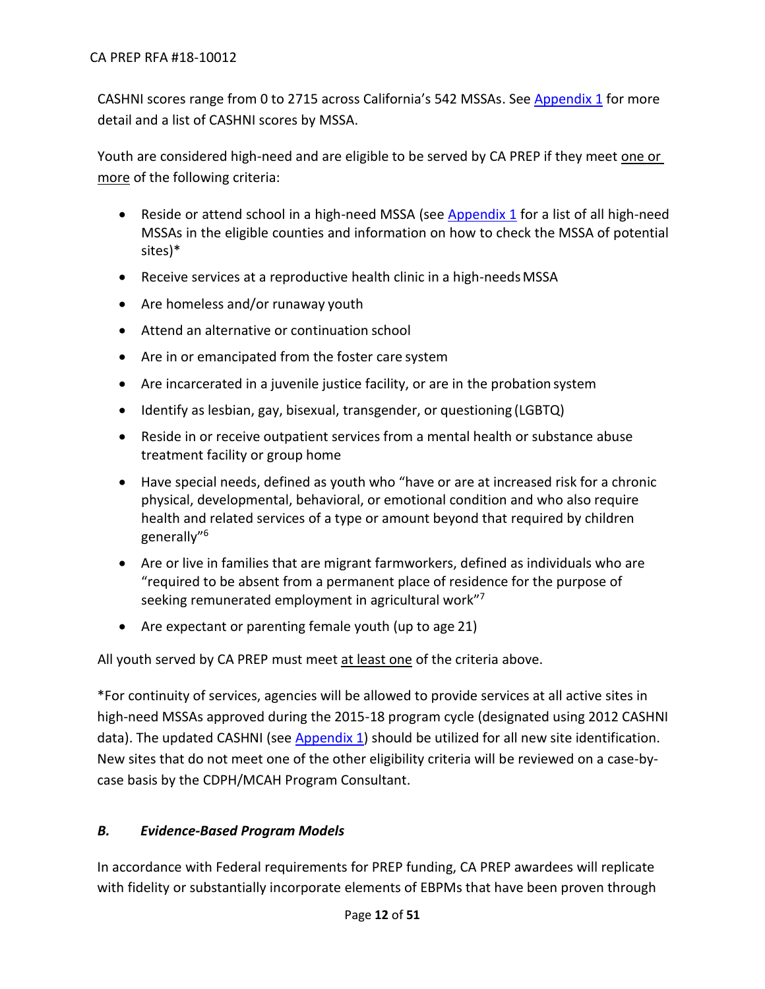CASHNI scores range from 0 to 2715 across California's 542 MSSAs. Se[e Appendix 1](https://www.cdph.ca.gov/Programs/CFH/DMCAH/CA-PREP/CDPH%20Document%20Library/2018-Appendix%201.pdf) for more detail and a list of CASHNI scores by MSSA.

Youth are considered high-need and are eligible to be served by CA PREP if they meet one or more of the following criteria:

- Reside or attend school in a high-need MSSA (see [Appendix 1](https://www.cdph.ca.gov/Programs/CFH/DMCAH/CA-PREP/CDPH%20Document%20Library/2018-Appendix%201.pdf) for a list of all high-need MSSAs in the eligible counties and information on how to check the MSSA of potential sites)\*
- Receive services at a reproductive health clinic in a high-needsMSSA
- Are homeless and/or runaway youth
- Attend an alternative or continuation school
- Are in or emancipated from the foster care system
- Are incarcerated in a juvenile justice facility, or are in the probation system
- Identify as lesbian, gay, bisexual, transgender, or questioning (LGBTQ)
- Reside in or receive outpatient services from a mental health or substance abuse treatment facility or group home
- Have special needs, defined as youth who "have or are at increased risk for a chronic physical, developmental, behavioral, or emotional condition and who also require health and related services of a type or amount beyond that required by children generally"<sup>6</sup>
- Are or live in families that are migrant farmworkers, defined as individuals who are "required to be absent from a permanent place of residence for the purpose of seeking remunerated employment in agricultural work"<sup>7</sup>
- Are expectant or parenting female youth (up to age 21)

All youth served by CA PREP must meet at least one of the criteria above.

\*For continuity of services, agencies will be allowed to provide services at all active sites in high-need MSSAs approved during the 2015-18 program cycle (designated using 2012 CASHNI data). The updated CASHNI (see [Appendix 1\)](https://www.cdph.ca.gov/Programs/CFH/DMCAH/CA-PREP/CDPH%20Document%20Library/2018-Appendix%201.pdf) should be utilized for all new site identification. New sites that do not meet one of the other eligibility criteria will be reviewed on a case-bycase basis by the CDPH/MCAH Program Consultant.

# <span id="page-11-0"></span>*B. Evidence-Based Program Models*

In accordance with Federal requirements for PREP funding, CA PREP awardees will replicate with fidelity or substantially incorporate elements of EBPMs that have been proven through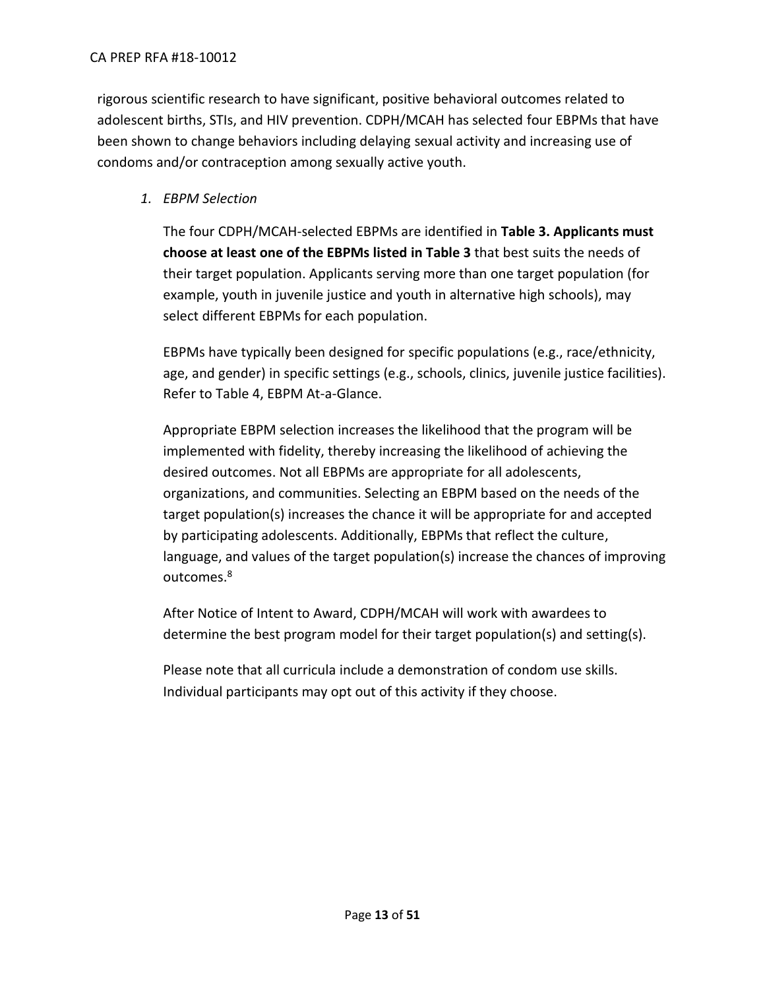#### CA PREP RFA #18-10012

rigorous scientific research to have significant, positive behavioral outcomes related to adolescent births, STIs, and HIV prevention. CDPH/MCAH has selected four EBPMs that have been shown to change behaviors including delaying sexual activity and increasing use of condoms and/or contraception among sexually active youth.

## *1. EBPM Selection*

The four CDPH/MCAH-selected EBPMs are identified in **Table 3. Applicants must choose at least one of the EBPMs listed in Table 3** that best suits the needs of their target population. Applicants serving more than one target population (for example, youth in juvenile justice and youth in alternative high schools), may select different EBPMs for each population.

EBPMs have typically been designed for specific populations (e.g., race/ethnicity, age, and gender) in specific settings (e.g., schools, clinics, juvenile justice facilities). Refer to Table 4, EBPM At-a-Glance.

Appropriate EBPM selection increases the likelihood that the program will be implemented with fidelity, thereby increasing the likelihood of achieving the desired outcomes. Not all EBPMs are appropriate for all adolescents, organizations, and communities. Selecting an EBPM based on the needs of the target population(s) increases the chance it will be appropriate for and accepted by participating adolescents. Additionally, EBPMs that reflect the culture, language, and values of the target population(s) increase the chances of improving outcomes.<sup>8</sup>

After Notice of Intent to Award, CDPH/MCAH will work with awardees to determine the best program model for their target population(s) and setting(s).

Please note that all curricula include a demonstration of condom use skills. Individual participants may opt out of this activity if they choose.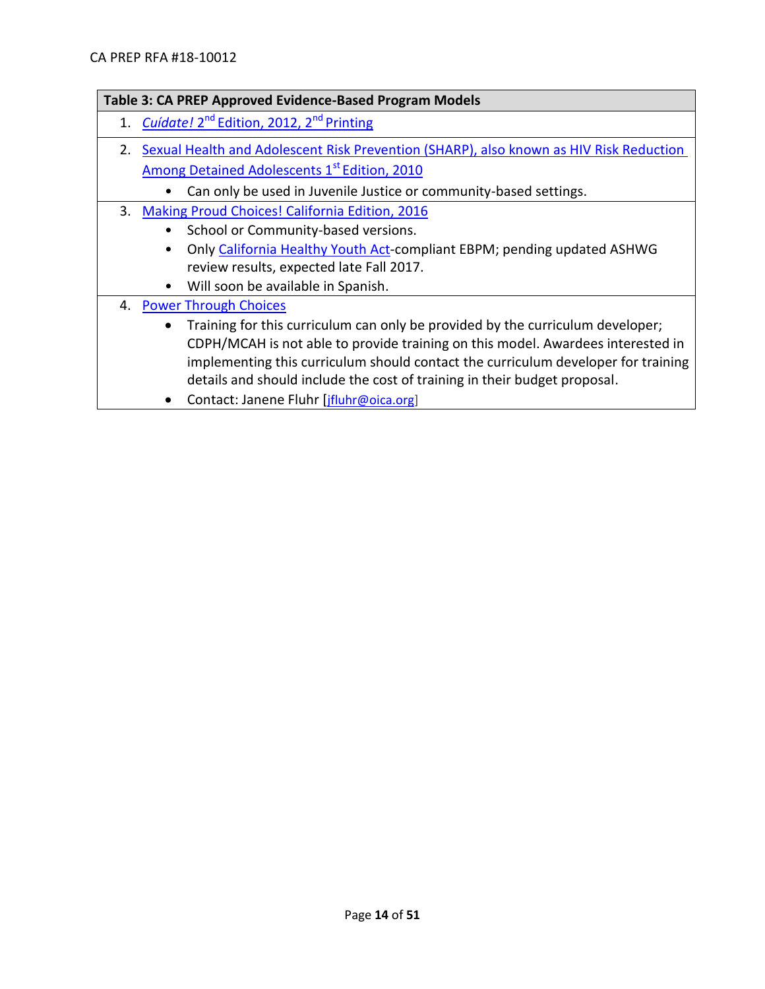|    | Table 3: CA PREP Approved Evidence-Based Program Models                                                                                                                                                                                                                                                                                                                                                                     |
|----|-----------------------------------------------------------------------------------------------------------------------------------------------------------------------------------------------------------------------------------------------------------------------------------------------------------------------------------------------------------------------------------------------------------------------------|
|    | 1. Cuidate! 2 <sup>nd</sup> Edition, 2012, 2 <sup>nd</sup> Printing                                                                                                                                                                                                                                                                                                                                                         |
| 2. | Sexual Health and Adolescent Risk Prevention (SHARP), also known as HIV Risk Reduction<br>Among Detained Adolescents 1 <sup>st</sup> Edition, 2010<br>Can only be used in Juvenile Justice or community-based settings.                                                                                                                                                                                                     |
|    | 3. Making Proud Choices! California Edition, 2016<br>School or Community-based versions.<br>$\bullet$<br>Only California Healthy Youth Act-compliant EBPM; pending updated ASHWG<br>review results, expected late Fall 2017.<br>Will soon be available in Spanish.                                                                                                                                                          |
| 4. | <b>Power Through Choices</b><br>Training for this curriculum can only be provided by the curriculum developer;<br>$\bullet$<br>CDPH/MCAH is not able to provide training on this model. Awardees interested in<br>implementing this curriculum should contact the curriculum developer for training<br>details and should include the cost of training in their budget proposal.<br>Contact: Janene Fluhr [jfluhr@oica.org] |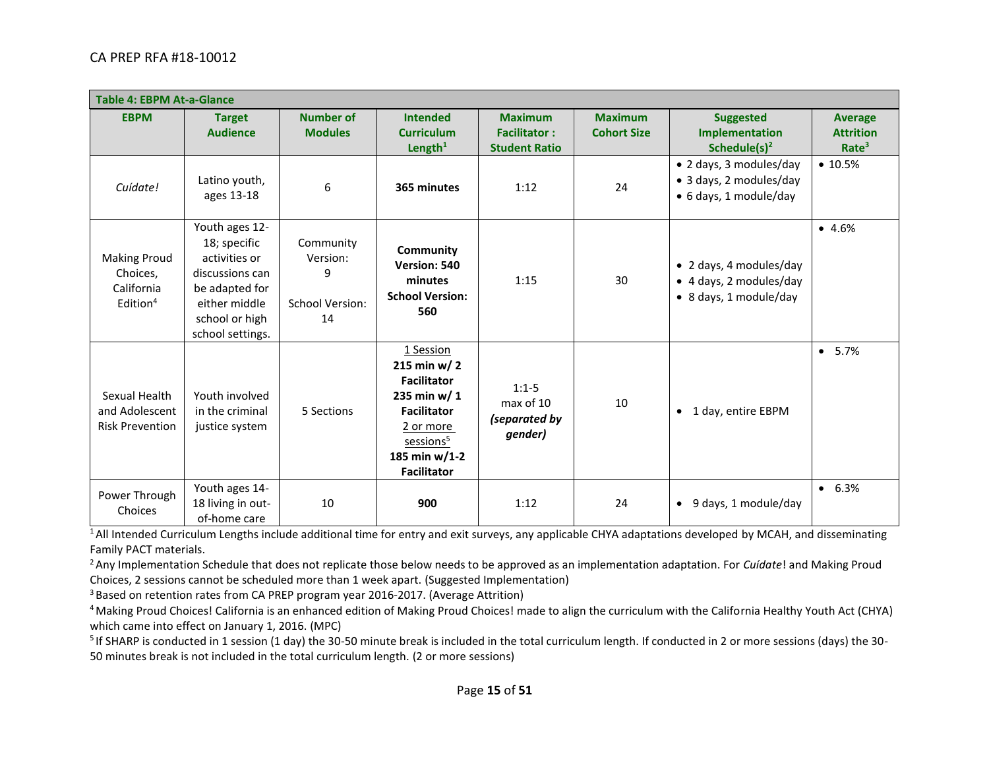| <b>Table 4: EBPM At-a-Glance</b>                                      |                                                                                                                                             |                                                            |                                                                                                                                                                        |                                                               |                                      |                                                                              |                                                         |
|-----------------------------------------------------------------------|---------------------------------------------------------------------------------------------------------------------------------------------|------------------------------------------------------------|------------------------------------------------------------------------------------------------------------------------------------------------------------------------|---------------------------------------------------------------|--------------------------------------|------------------------------------------------------------------------------|---------------------------------------------------------|
| <b>EBPM</b>                                                           | <b>Target</b><br><b>Audience</b>                                                                                                            | <b>Number of</b><br><b>Modules</b>                         | <b>Intended</b><br><b>Curriculum</b><br>Length $1$                                                                                                                     | <b>Maximum</b><br><b>Facilitator:</b><br><b>Student Ratio</b> | <b>Maximum</b><br><b>Cohort Size</b> | <b>Suggested</b><br>Implementation<br>Schedule $(s)^2$                       | <b>Average</b><br><b>Attrition</b><br>Rate <sup>3</sup> |
| Cuídate!                                                              | Latino youth,<br>ages 13-18                                                                                                                 | 6                                                          | 365 minutes                                                                                                                                                            | 1:12                                                          | 24                                   | • 2 days, 3 modules/day<br>• 3 days, 2 modules/day<br>• 6 days, 1 module/day | • 10.5%                                                 |
| <b>Making Proud</b><br>Choices,<br>California<br>Edition <sup>4</sup> | Youth ages 12-<br>18; specific<br>activities or<br>discussions can<br>be adapted for<br>either middle<br>school or high<br>school settings. | Community<br>Version:<br>9<br><b>School Version:</b><br>14 | Community<br>Version: 540<br>minutes<br><b>School Version:</b><br>560                                                                                                  | 1:15                                                          | 30                                   | • 2 days, 4 modules/day<br>• 4 days, 2 modules/day<br>• 8 days, 1 module/day | $-4.6%$                                                 |
| Sexual Health<br>and Adolescent<br><b>Risk Prevention</b>             | Youth involved<br>in the criminal<br>justice system                                                                                         | 5 Sections                                                 | 1 Session<br>215 min w/ $2$<br><b>Facilitator</b><br>235 min w/ 1<br><b>Facilitator</b><br>2 or more<br>sessions <sup>5</sup><br>185 min $w/1-2$<br><b>Facilitator</b> | $1:1-5$<br>max of 10<br>(separated by<br>gender)              | 10                                   | 1 day, entire EBPM<br>$\bullet$                                              | 5.7%<br>$\bullet$                                       |
| Power Through<br>Choices                                              | Youth ages 14-<br>18 living in out-<br>of-home care                                                                                         | 10                                                         | 900                                                                                                                                                                    | 1:12                                                          | 24                                   | 9 days, 1 module/day<br>$\bullet$                                            | 6.3%<br>$\bullet$                                       |

<sup>1</sup>All Intended Curriculum Lengths include additional time for entry and exit surveys, any applicable CHYA adaptations developed by MCAH, and disseminating Family PACT materials.

<sup>2</sup> Any Implementation Schedule that does not replicate those below needs to be approved as an implementation adaptation. For *Cuídate*! and Making Proud

Choices, 2 sessions cannot be scheduled more than 1 week apart. (Suggested Implementation)

<sup>3</sup> Based on retention rates from CA PREP program year 2016-2017. (Average Attrition)

<sup>4</sup> Making Proud Choices! California is an enhanced edition of Making Proud Choices! made to align the curriculum with the California Healthy Youth Act (CHYA) which came into effect on January 1, 2016. (MPC)

<sup>5</sup> If SHARP is conducted in 1 session (1 day) the 30-50 minute break is included in the total curriculum length. If conducted in 2 or more sessions (days) the 30-50 minutes break is not included in the total curriculum length. (2 or more sessions)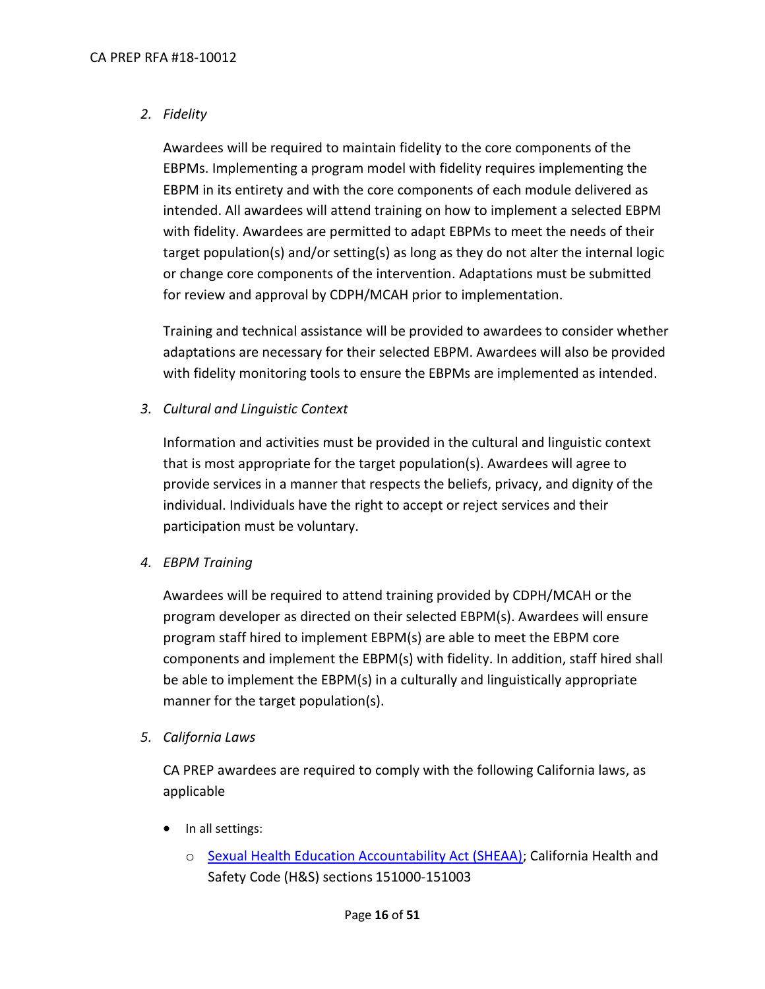## *2. Fidelity*

Awardees will be required to maintain fidelity to the core components of the EBPMs. Implementing a program model with fidelity requires implementing the EBPM in its entirety and with the core components of each module delivered as intended. All awardees will attend training on how to implement a selected EBPM with fidelity. Awardees are permitted to adapt EBPMs to meet the needs of their target population(s) and/or setting(s) as long as they do not alter the internal logic or change core components of the intervention. Adaptations must be submitted for review and approval by CDPH/MCAH prior to implementation.

Training and technical assistance will be provided to awardees to consider whether adaptations are necessary for their selected EBPM. Awardees will also be provided with fidelity monitoring tools to ensure the EBPMs are implemented as intended.

*3. Cultural and Linguistic Context*

Information and activities must be provided in the cultural and linguistic context that is most appropriate for the target population(s). Awardees will agree to provide services in a manner that respects the beliefs, privacy, and dignity of the individual. Individuals have the right to accept or reject services and their participation must be voluntary.

*4. EBPM Training*

Awardees will be required to attend training provided by CDPH/MCAH or the program developer as directed on their selected EBPM(s). Awardees will ensure program staff hired to implement EBPM(s) are able to meet the EBPM core components and implement the EBPM(s) with fidelity. In addition, staff hired shall be able to implement the EBPM(s) in a culturally and linguistically appropriate manner for the target population(s).

*5. California Laws*

CA PREP awardees are required to comply with the following California laws, as applicable

- In all settings:
	- o [Sexual Health Education Accountability Act \(SHEAA\);](http://www.cde.ca.gov/ls/he/se/sheaa.asp) California Health and Safety Code (H&S) sections 151000-151003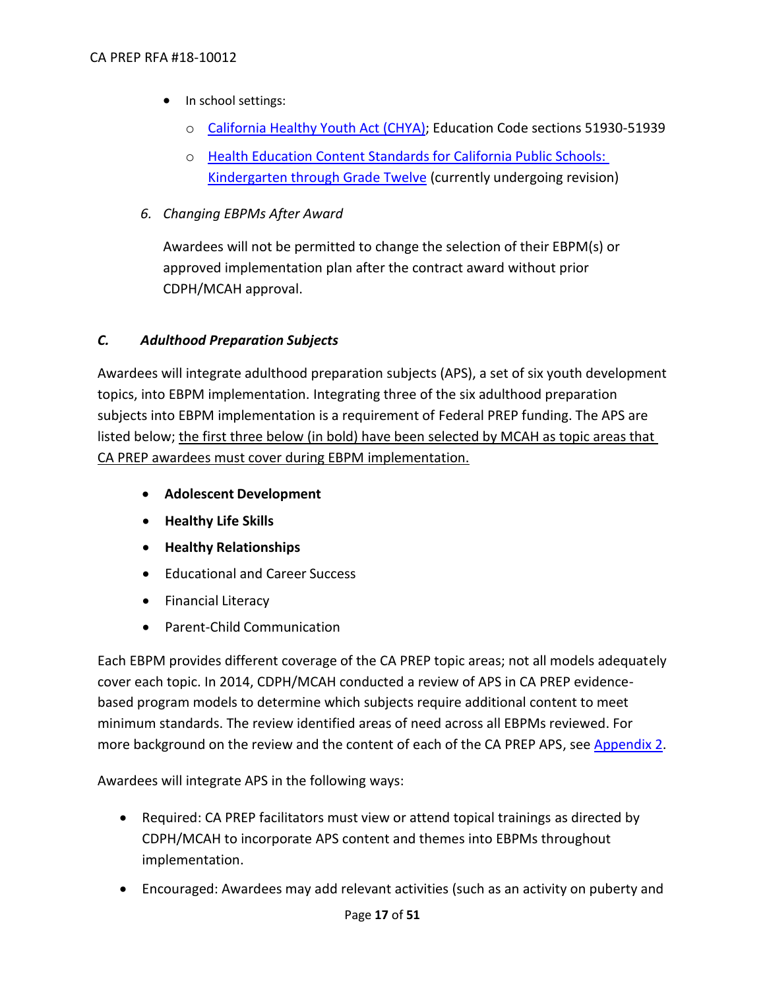#### CA PREP RFA #18-10012

- In school settings:
	- o California [Healthy Youth Act \(CHYA\);](http://www.cde.ca.gov/ls/he/se/) Education Code sections 51930-51939
	- o [Health Education Content Standards for California Public Schools:](http://www.cde.ca.gov/be/st/ss/)  **[Kindergarten through Grade Twelve](http://www.cde.ca.gov/be/st/ss/) (currently undergoing revision)**
- *6. Changing EBPMs After Award*

Awardees will not be permitted to change the selection of their EBPM(s) or approved implementation plan after the contract award without prior CDPH/MCAH approval.

# <span id="page-16-0"></span>*C. Adulthood Preparation Subjects*

Awardees will integrate adulthood preparation subjects (APS), a set of six youth development topics, into EBPM implementation. Integrating three of the six adulthood preparation subjects into EBPM implementation is a requirement of Federal PREP funding. The APS are listed below; the first three below (in bold) have been selected by MCAH as topic areas that CA PREP awardees must cover during EBPM implementation.

- **Adolescent Development**
- **Healthy Life Skills**
- **Healthy Relationships**
- Educational and Career Success
- Financial Literacy
- Parent-Child Communication

Each EBPM provides different coverage of the CA PREP topic areas; not all models adequately cover each topic. In 2014, CDPH/MCAH conducted a review of APS in CA PREP evidencebased program models to determine which subjects require additional content to meet minimum standards. The review identified areas of need across all EBPMs reviewed. For more background on the review and the content of each of the CA PREP APS, see [Appendix 2.](https://www.cdph.ca.gov/Programs/CFH/DMCAH/CA-PREP/CDPH%20Document%20Library/2018-Appendix%202.pdf)

Awardees will integrate APS in the following ways:

- Required: CA PREP facilitators must view or attend topical trainings as directed by CDPH/MCAH to incorporate APS content and themes into EBPMs throughout implementation.
- Encouraged: Awardees may add relevant activities (such as an activity on puberty and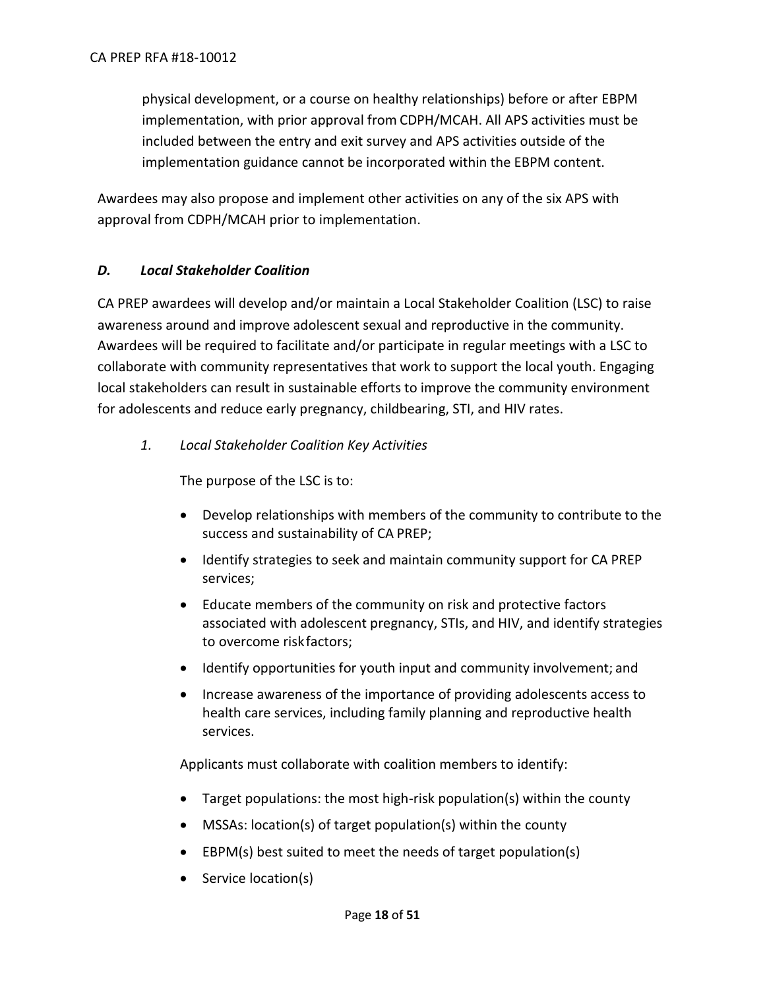physical development, or a course on healthy relationships) before or after EBPM implementation, with prior approval from CDPH/MCAH. All APS activities must be included between the entry and exit survey and APS activities outside of the implementation guidance cannot be incorporated within the EBPM content.

Awardees may also propose and implement other activities on any of the six APS with approval from CDPH/MCAH prior to implementation.

# <span id="page-17-0"></span>*D. Local Stakeholder Coalition*

CA PREP awardees will develop and/or maintain a Local Stakeholder Coalition (LSC) to raise awareness around and improve adolescent sexual and reproductive in the community. Awardees will be required to facilitate and/or participate in regular meetings with a LSC to collaborate with community representatives that work to support the local youth. Engaging local stakeholders can result in sustainable efforts to improve the community environment for adolescents and reduce early pregnancy, childbearing, STI, and HIV rates.

*1. Local Stakeholder Coalition Key Activities*

The purpose of the LSC is to:

- Develop relationships with members of the community to contribute to the success and sustainability of CA PREP;
- Identify strategies to seek and maintain community support for CA PREP services;
- Educate members of the community on risk and protective factors associated with adolescent pregnancy, STIs, and HIV, and identify strategies to overcome riskfactors;
- Identify opportunities for youth input and community involvement; and
- Increase awareness of the importance of providing adolescents access to health care services, including family planning and reproductive health services.

Applicants must collaborate with coalition members to identify:

- Target populations: the most high-risk population(s) within the county
- MSSAs: location(s) of target population(s) within the county
- EBPM(s) best suited to meet the needs of target population(s)
- Service location(s)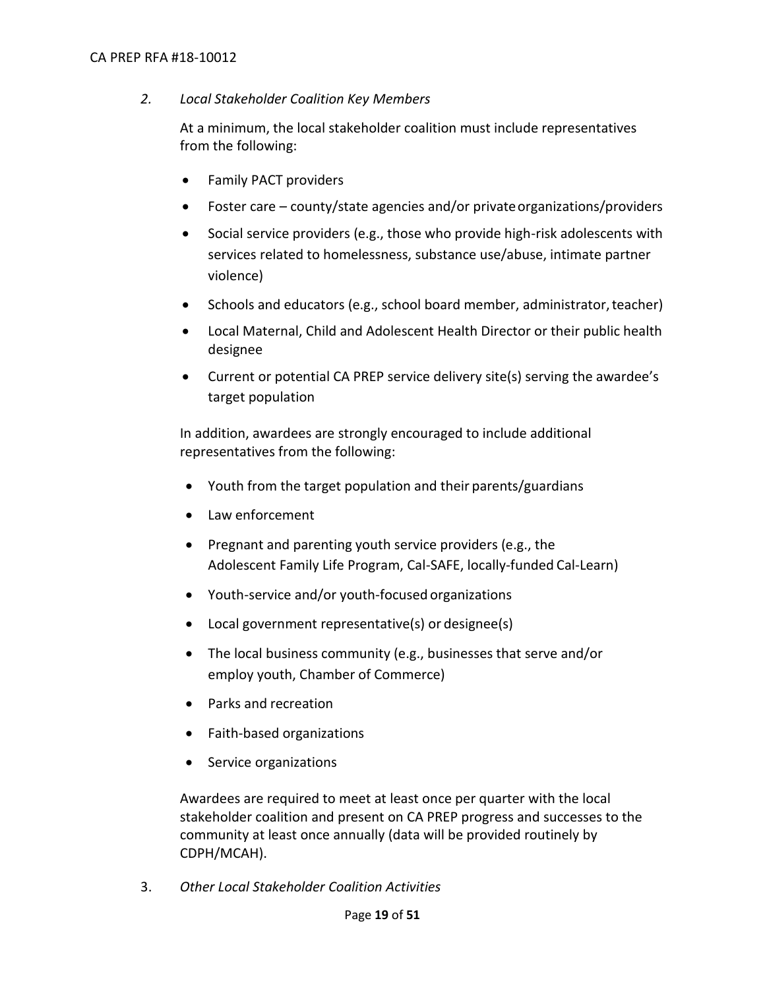#### CA PREP RFA #18-10012

#### *2. Local Stakeholder Coalition Key Members*

At a minimum, the local stakeholder coalition must include representatives from the following:

- Family PACT providers
- Foster care county/state agencies and/or private organizations/providers
- Social service providers (e.g., those who provide high-risk adolescents with services related to homelessness, substance use/abuse, intimate partner violence)
- Schools and educators (e.g., school board member, administrator,teacher)
- Local Maternal, Child and Adolescent Health Director or their public health designee
- Current or potential CA PREP service delivery site(s) serving the awardee's target population

In addition, awardees are strongly encouraged to include additional representatives from the following:

- Youth from the target population and their parents/guardians
- Law enforcement
- $\bullet$  Pregnant and parenting youth service providers (e.g., the Adolescent Family Life Program, Cal-SAFE, locally-funded Cal-Learn)
- Youth-service and/or youth-focused organizations
- Local government representative(s) or designee(s)
- The local business community (e.g., businesses that serve and/or employ youth, Chamber of Commerce)
- Parks and recreation
- Faith-based organizations
- Service organizations

Awardees are required to meet at least once per quarter with the local stakeholder coalition and present on CA PREP progress and successes to the community at least once annually (data will be provided routinely by CDPH/MCAH).

3. *Other Local Stakeholder Coalition Activities*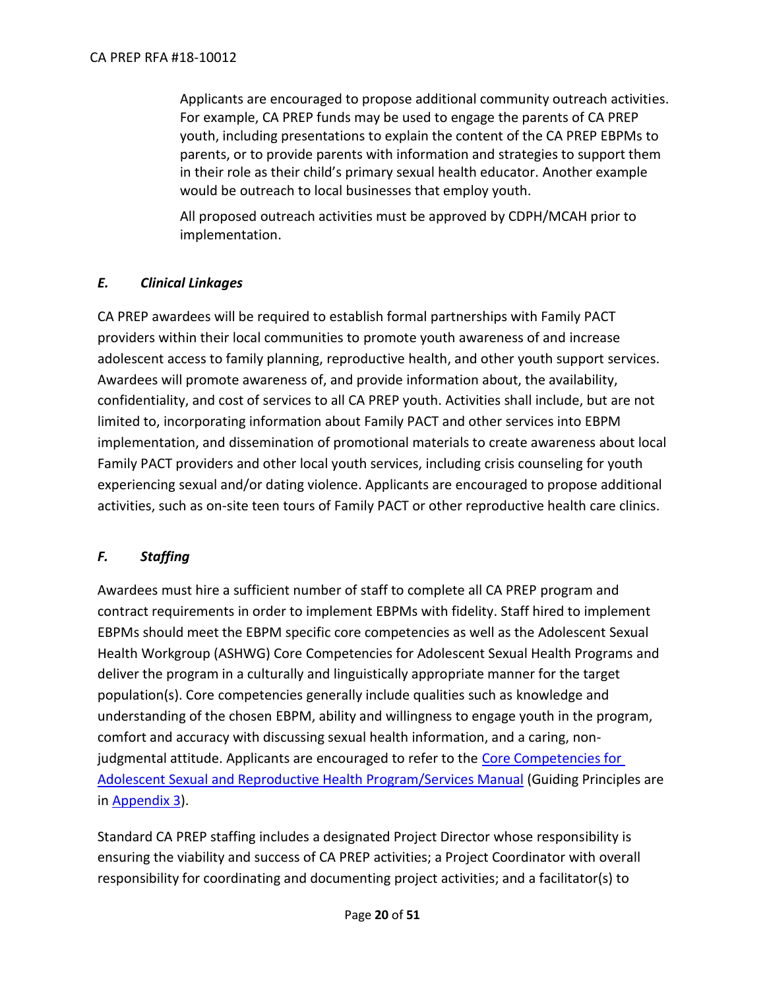Applicants are encouraged to propose additional community outreach activities. For example, CA PREP funds may be used to engage the parents of CA PREP youth, including presentations to explain the content of the CA PREP EBPMs to parents, or to provide parents with information and strategies to support them in their role as their child's primary sexual health educator. Another example would be outreach to local businesses that employ youth.

All proposed outreach activities must be approved by CDPH/MCAH prior to implementation.

# <span id="page-19-0"></span>*E. Clinical Linkages*

CA PREP awardees will be required to establish formal partnerships with Family PACT providers within their local communities to promote youth awareness of and increase adolescent access to family planning, reproductive health, and other youth support services. Awardees will promote awareness of, and provide information about, the availability, confidentiality, and cost of services to all CA PREP youth. Activities shall include, but are not limited to, incorporating information about Family PACT and other services into EBPM implementation, and dissemination of promotional materials to create awareness about local Family PACT providers and other local youth services, including crisis counseling for youth experiencing sexual and/or dating violence. Applicants are encouraged to propose additional activities, such as on-site teen tours of Family PACT or other reproductive health care clinics.

# <span id="page-19-1"></span>*F. Staffing*

Awardees must hire a sufficient number of staff to complete all CA PREP program and contract requirements in order to implement EBPMs with fidelity. Staff hired to implement EBPMs should meet the EBPM specific core competencies as well as the Adolescent Sexual Health Workgroup (ASHWG) Core Competencies for Adolescent Sexual Health Programs and deliver the program in a culturally and linguistically appropriate manner for the target population(s). Core competencies generally include qualities such as knowledge and understanding of the chosen EBPM, ability and willingness to engage youth in the program, comfort and accuracy with discussing sexual health information, and a caring, nonjudgmental attitude. Applicants are encouraged to refer to the [Core Competencies for](http://ashwg.org/?s=Core+Competencies+for+Adolescent+Sexual+and+Reproductive+Health)  [Adolescent Sexual and Reproductive Health Program/Services Manual](http://ashwg.org/?s=Core+Competencies+for+Adolescent+Sexual+and+Reproductive+Health) (Guiding Principles are in [Appendix 3\)](https://www.cdph.ca.gov/Programs/CFH/DMCAH/CA-PREP/CDPH%20Document%20Library/2018-Appendix%203.pdf).

Standard CA PREP staffing includes a designated Project Director whose responsibility is ensuring the viability and success of CA PREP activities; a Project Coordinator with overall responsibility for coordinating and documenting project activities; and a facilitator(s) to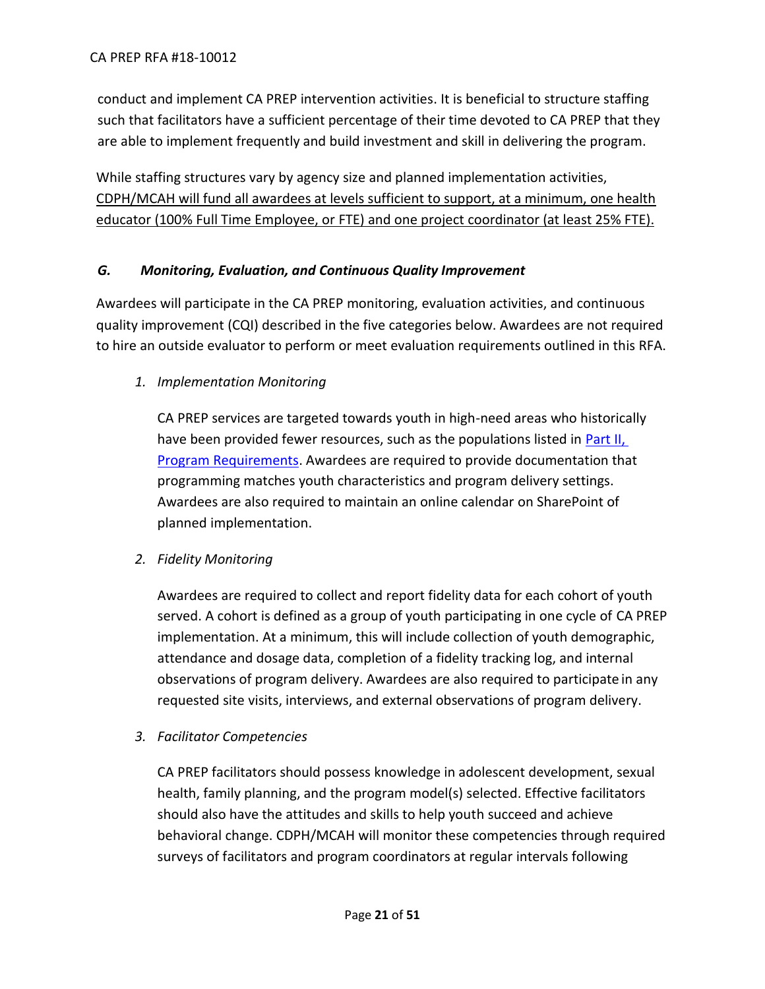conduct and implement CA PREP intervention activities. It is beneficial to structure staffing such that facilitators have a sufficient percentage of their time devoted to CA PREP that they are able to implement frequently and build investment and skill in delivering the program.

While staffing structures vary by agency size and planned implementation activities, CDPH/MCAH will fund all awardees at levels sufficient to support, at a minimum, one health educator (100% Full Time Employee, or FTE) and one project coordinator (at least 25% FTE).

# <span id="page-20-0"></span>*G. Monitoring, Evaluation, and Continuous Quality Improvement*

Awardees will participate in the CA PREP monitoring, evaluation activities, and continuous quality improvement (CQI) described in the five categories below. Awardees are not required to hire an outside evaluator to perform or meet evaluation requirements outlined in this RFA.

*1. Implementation Monitoring*

CA PREP services are targeted towards youth in high-need areas who historically have been provided fewer resources, such as the populations listed in Part II, [Program Requirements.](#page-10-1) Awardees are required to provide documentation that programming matches youth characteristics and program delivery settings. Awardees are also required to maintain an online calendar on SharePoint of planned implementation.

*2. Fidelity Monitoring*

Awardees are required to collect and report fidelity data for each cohort of youth served. A cohort is defined as a group of youth participating in one cycle of CA PREP implementation. At a minimum, this will include collection of youth demographic, attendance and dosage data, completion of a fidelity tracking log, and internal observations of program delivery. Awardees are also required to participate in any requested site visits, interviews, and external observations of program delivery.

*3. Facilitator Competencies*

CA PREP facilitators should possess knowledge in adolescent development, sexual health, family planning, and the program model(s) selected. Effective facilitators should also have the attitudes and skills to help youth succeed and achieve behavioral change. CDPH/MCAH will monitor these competencies through required surveys of facilitators and program coordinators at regular intervals following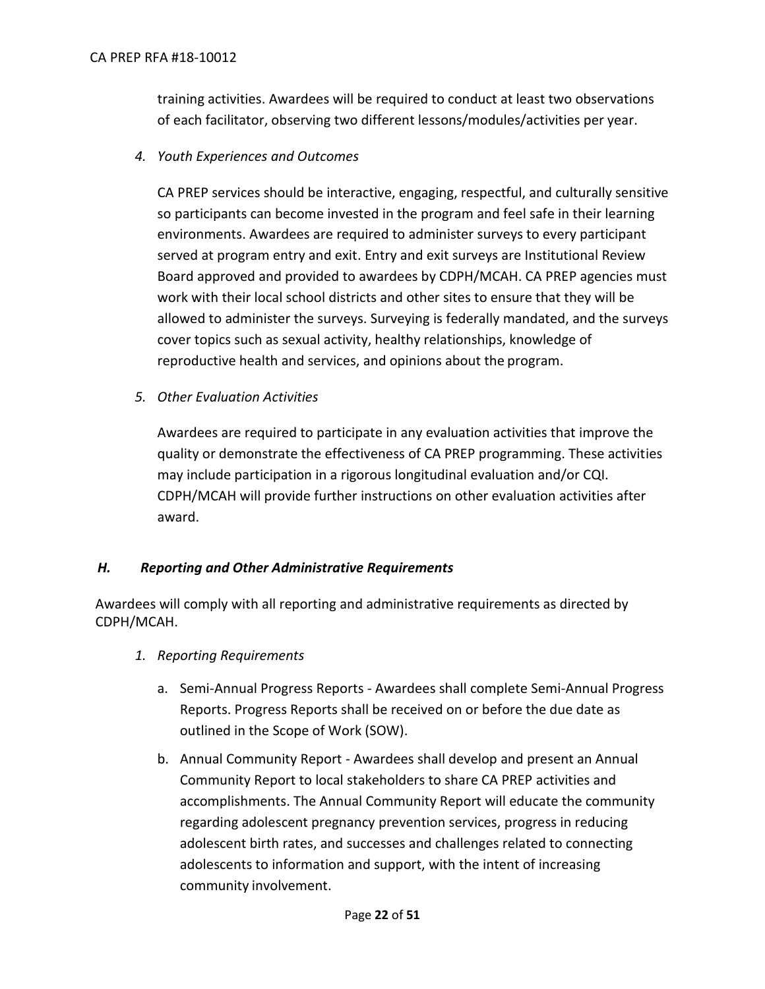training activities. Awardees will be required to conduct at least two observations of each facilitator, observing two different lessons/modules/activities per year.

*4. Youth Experiences and Outcomes*

CA PREP services should be interactive, engaging, respectful, and culturally sensitive so participants can become invested in the program and feel safe in their learning environments. Awardees are required to administer surveys to every participant served at program entry and exit. Entry and exit surveys are Institutional Review Board approved and provided to awardees by CDPH/MCAH. CA PREP agencies must work with their local school districts and other sites to ensure that they will be allowed to administer the surveys. Surveying is federally mandated, and the surveys cover topics such as sexual activity, healthy relationships, knowledge of reproductive health and services, and opinions about the program.

*5. Other Evaluation Activities*

Awardees are required to participate in any evaluation activities that improve the quality or demonstrate the effectiveness of CA PREP programming. These activities may include participation in a rigorous longitudinal evaluation and/or CQI. CDPH/MCAH will provide further instructions on other evaluation activities after award.

#### <span id="page-21-0"></span>*H. Reporting and Other Administrative Requirements*

Awardees will comply with all reporting and administrative requirements as directed by CDPH/MCAH.

- *1. Reporting Requirements*
	- a. Semi-Annual Progress Reports *-* Awardees shall complete Semi-Annual Progress Reports. Progress Reports shall be received on or before the due date as outlined in the Scope of Work (SOW).
	- b. Annual Community Report *-* Awardees shall develop and present an Annual Community Report to local stakeholders to share CA PREP activities and accomplishments. The Annual Community Report will educate the community regarding adolescent pregnancy prevention services, progress in reducing adolescent birth rates, and successes and challenges related to connecting adolescents to information and support, with the intent of increasing community involvement.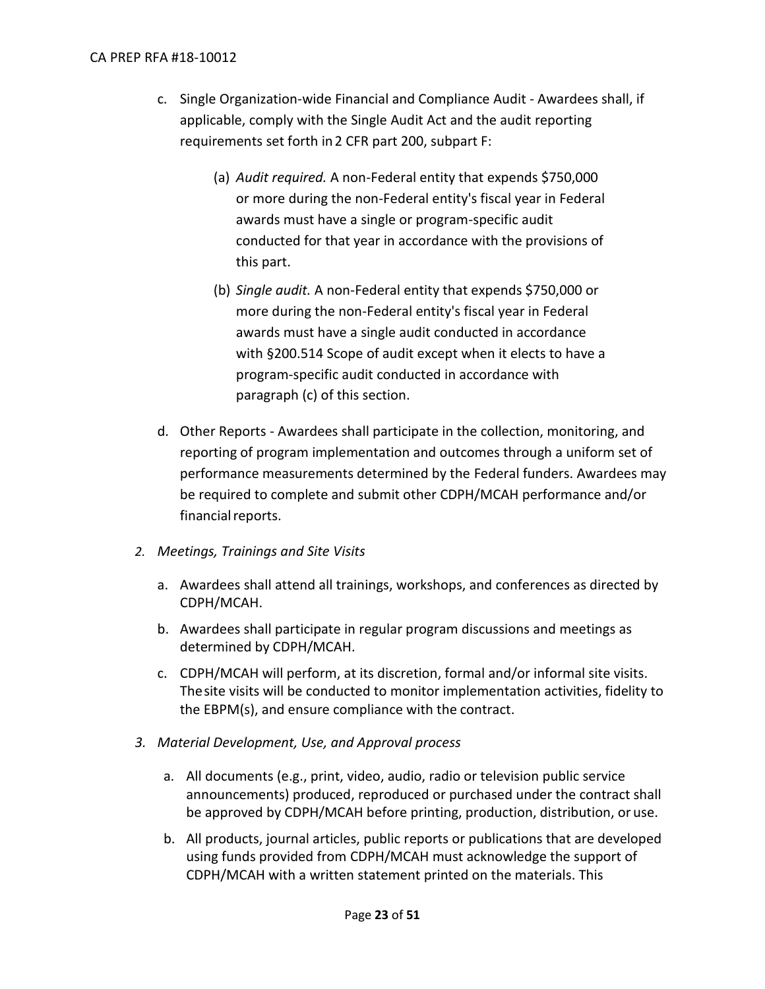#### CA PREP RFA #18-10012

- c. Single Organization-wide Financial and Compliance Audit *-* Awardees shall, if applicable, comply with the Single Audit Act and the audit reporting requirements set forth in2 CFR part 200, subpart F:
	- (a) *Audit required.* A non-Federal entity that expends \$750,000 or more during the non-Federal entity's fiscal year in Federal awards must have a single or program-specific audit conducted for that year in accordance with the provisions of this part.
	- (b) *Single audit.* A non-Federal entity that expends \$750,000 or more during the non-Federal entity's fiscal year in Federal awards must have a single audit conducted in accordance with §200.514 Scope of audit except when it elects to have a program-specific audit conducted in accordance with paragraph (c) of this section.
- d. Other Reports Awardees shall participate in the collection, monitoring, and reporting of program implementation and outcomes through a uniform set of performance measurements determined by the Federal funders. Awardees may be required to complete and submit other CDPH/MCAH performance and/or financial reports.
- *2. Meetings, Trainings and Site Visits*
	- a. Awardees shall attend all trainings, workshops, and conferences as directed by CDPH/MCAH.
	- b. Awardees shall participate in regular program discussions and meetings as determined by CDPH/MCAH.
	- c. CDPH/MCAH will perform, at its discretion, formal and/or informal site visits. Thesite visits will be conducted to monitor implementation activities, fidelity to the EBPM(s), and ensure compliance with the contract.
- *3. Material Development, Use, and Approval process*
	- a. All documents (e.g., print, video, audio, radio or television public service announcements) produced, reproduced or purchased under the contract shall be approved by CDPH/MCAH before printing, production, distribution, or use.
	- b. All products, journal articles, public reports or publications that are developed using funds provided from CDPH/MCAH must acknowledge the support of CDPH/MCAH with a written statement printed on the materials. This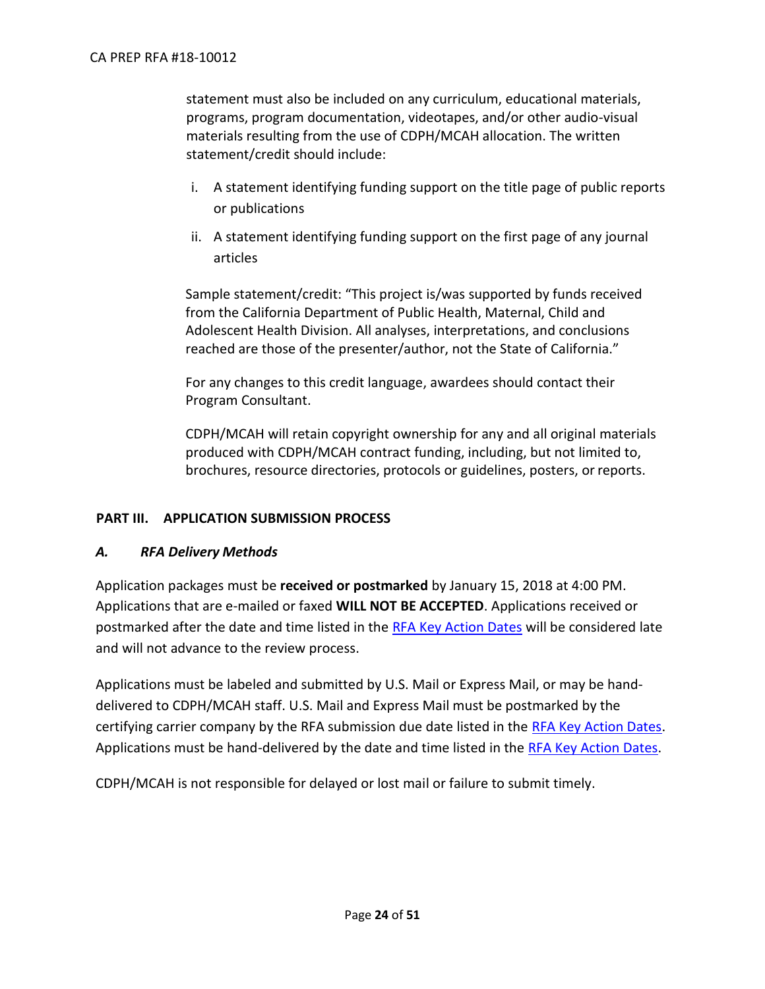statement must also be included on any curriculum, educational materials, programs, program documentation, videotapes, and/or other audio-visual materials resulting from the use of CDPH/MCAH allocation. The written statement/credit should include:

- i. A statement identifying funding support on the title page of public reports or publications
- ii. A statement identifying funding support on the first page of any journal articles

Sample statement/credit: "This project is/was supported by funds received from the California Department of Public Health, Maternal, Child and Adolescent Health Division. All analyses, interpretations, and conclusions reached are those of the presenter/author, not the State of California."

For any changes to this credit language, awardees should contact their Program Consultant.

CDPH/MCAH will retain copyright ownership for any and all original materials produced with CDPH/MCAH contract funding, including, but not limited to, brochures, resource directories, protocols or guidelines, posters, or reports.

# <span id="page-23-0"></span>**PART III. APPLICATION SUBMISSION PROCESS**

#### <span id="page-23-1"></span>*A. RFA Delivery Methods*

Application packages must be **received or postmarked** by January 15, 2018 at 4:00 PM. Applications that are e-mailed or faxed **WILL NOT BE ACCEPTED**. Applications received or postmarked after the date and time listed in the [RFA Key Action Dates](#page-10-0) will be considered late and will not advance to the review process.

Applications must be labeled and submitted by U.S. Mail or Express Mail, or may be handdelivered to CDPH/MCAH staff. U.S. Mail and Express Mail must be postmarked by the certifying carrier company by the RFA submission due date listed in the [RFA Key Action Dates.](#page-10-0) Applications must be hand-delivered by the date and time listed in the [RFA Key Action Dates.](#page-10-0)

CDPH/MCAH is not responsible for delayed or lost mail or failure to submit timely.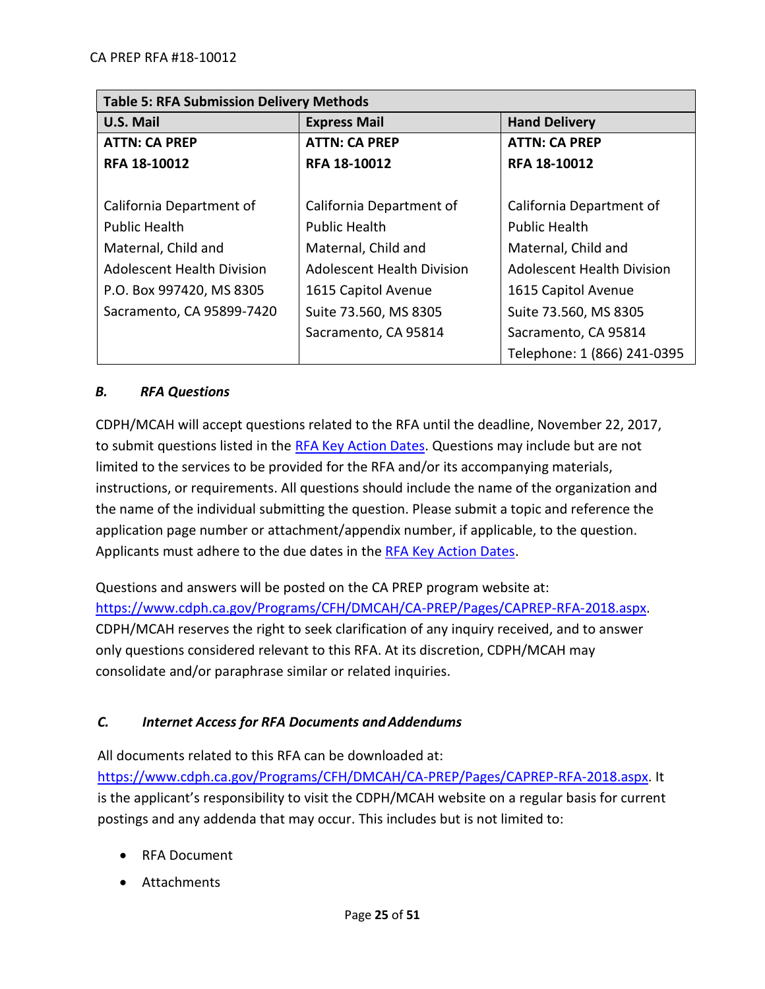| <b>Table 5: RFA Submission Delivery Methods</b> |                                                |                                   |  |  |
|-------------------------------------------------|------------------------------------------------|-----------------------------------|--|--|
| U.S. Mail                                       | <b>Express Mail</b>                            | <b>Hand Delivery</b>              |  |  |
| <b>ATTN: CA PREP</b>                            | <b>ATTN: CA PREP</b>                           | <b>ATTN: CA PREP</b>              |  |  |
| RFA 18-10012                                    | RFA 18-10012                                   | RFA 18-10012                      |  |  |
|                                                 |                                                |                                   |  |  |
| California Department of                        | California Department of                       | California Department of          |  |  |
| <b>Public Health</b>                            | <b>Public Health</b>                           | <b>Public Health</b>              |  |  |
| Maternal, Child and                             | Maternal, Child and                            | Maternal, Child and               |  |  |
| <b>Adolescent Health Division</b>               | Adolescent Health Division                     | <b>Adolescent Health Division</b> |  |  |
| P.O. Box 997420, MS 8305                        | 1615 Capitol Avenue                            | 1615 Capitol Avenue               |  |  |
| Sacramento, CA 95899-7420                       | Suite 73.560, MS 8305<br>Suite 73.560, MS 8305 |                                   |  |  |
|                                                 | Sacramento, CA 95814                           | Sacramento, CA 95814              |  |  |
|                                                 |                                                | Telephone: 1 (866) 241-0395       |  |  |

# <span id="page-24-0"></span>*B. RFA Questions*

CDPH/MCAH will accept questions related to the RFA until the deadline, November 22, 2017, to submit questions listed in the [RFA Key Action Dates.](#page-10-0) Questions may include but are not limited to the services to be provided for the RFA and/or its accompanying materials, instructions, or requirements. All questions should include the name of the organization and the name of the individual submitting the question. Please submit a topic and reference the application page number or attachment/appendix number, if applicable, to the question. Applicants must adhere to the due dates in the [RFA Key Action Dates.](#page-10-0)

Questions and answers will be posted on the CA PREP program website at: [https://www.cdph.ca.gov/Programs/CFH/DMCAH/CA-PREP/Pages/CAPREP-RFA-2018.aspx.](https://www.cdph.ca.gov/Programs/CFH/DMCAH/CA-PREP/Pages/CAPREP-RFA-2018.aspx) CDPH/MCAH reserves the right to seek clarification of any inquiry received, and to answer only questions considered relevant to this RFA. At its discretion, CDPH/MCAH may consolidate and/or paraphrase similar or related inquiries.

# <span id="page-24-1"></span>*C. Internet Access for RFA Documents andAddendums*

All documents related to this RFA can be downloaded at:

[https://www.cdph.ca.gov/Programs/CFH/DMCAH/CA-PREP/Pages/CAPREP-RFA-2018.aspx.](https://www.cdph.ca.gov/Programs/CFH/DMCAH/CA-PREP/Pages/CAPREP-RFA-2018.aspx) It is the applicant's responsibility to visit the CDPH/MCAH website on a regular basis for current postings and any addenda that may occur. This includes but is not limited to:

- RFA Document
- Attachments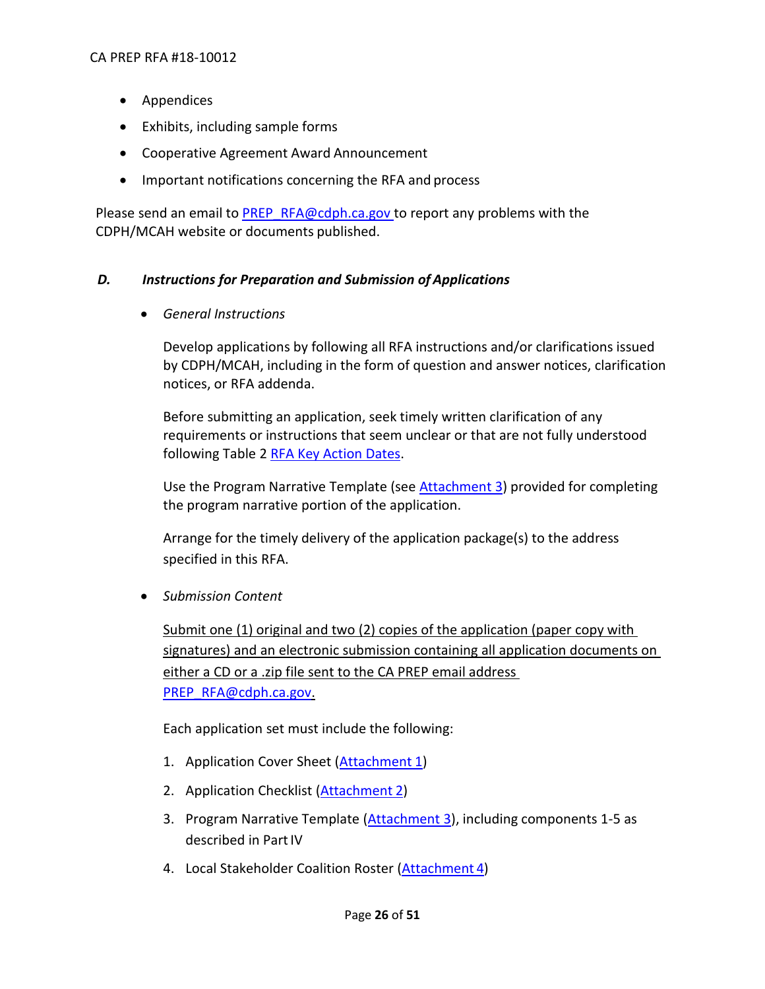- Appendices
- Exhibits, including sample forms
- Cooperative Agreement Award Announcement
- Important notifications concerning the RFA and process

Please send an email to [PREP\\_RFA@cdph.ca.gov t](mailto:PREP_RFA@cdph.ca.gov)o report any problems with the CDPH/MCAH website or documents published.

#### <span id="page-25-0"></span>*D. Instructions for Preparation and Submission of Applications*

*General Instructions*

Develop applications by following all RFA instructions and/or clarifications issued by CDPH/MCAH, including in the form of question and answer notices, clarification notices, or RFA addenda.

Before submitting an application, seek timely written clarification of any requirements or instructions that seem unclear or that are not fully understood following Table 2 [RFA Key Action Dates.](#page-10-0)

Use the Program Narrative Template (see **Attachment 3**) provided for completing the program narrative portion of the application.

Arrange for the timely delivery of the application package(s) to the address specified in this RFA.

*Submission Content*

Submit one (1) original and two (2) copies of the application (paper copy with signatures) and an electronic submission containing all application documents on either a CD or a .zip file sent to the CA PREP email address [PREP\\_RFA@cdph.ca.gov.](mailto:PREP_RFA@cdph.ca.gov)

Each application set must include the following:

- 1. Application Cover Sheet [\(Attachment](https://www.cdph.ca.gov/Programs/CFH/DMCAH/CA-PREP/CDPH%20Document%20Library/2018-Attachment%201.docx) 1)
- 2. Application Checklist [\(Attachment](https://www.cdph.ca.gov/Programs/CFH/DMCAH/CA-PREP/CDPH%20Document%20Library/2018-Attachment%202.docx) 2)
- 3. Program Narrative Template [\(Attachment 3\)](https://www.cdph.ca.gov/Programs/CFH/DMCAH/CA-PREP/CDPH%20Document%20Library/2018-Attachment%203.docx), including components 1-5 as described in Part IV
- 4. Local Stakeholder Coalition Roster [\(Attachment](https://www.cdph.ca.gov/Programs/CFH/DMCAH/CA-PREP/CDPH%20Document%20Library/2018-Attachment%204.docx) 4)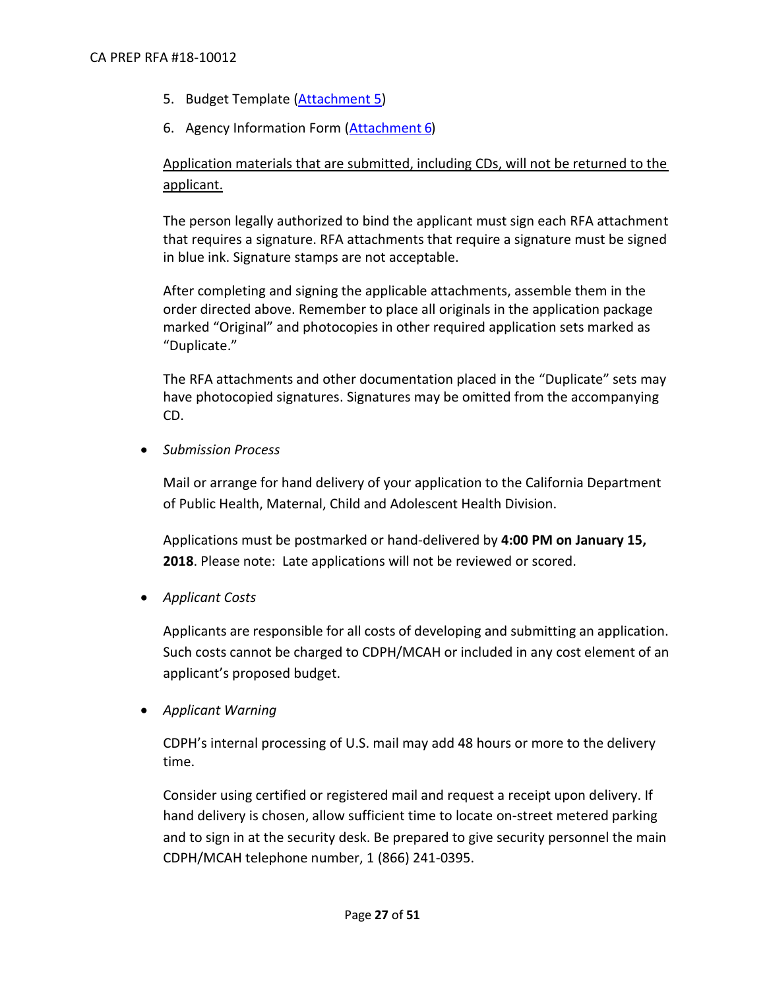- 5. Budget Template [\(Attachment](https://www.cdph.ca.gov/Programs/CFH/DMCAH/CA-PREP/CDPH%20Document%20Library/2018-Attachment%205.xlsx) 5)
- 6. Agency Information Form (**Attachment 6**)

# Application materials that are submitted, including CDs, will not be returned to the applicant.

The person legally authorized to bind the applicant must sign each RFA attachment that requires a signature. RFA attachments that require a signature must be signed in blue ink. Signature stamps are not acceptable.

After completing and signing the applicable attachments, assemble them in the order directed above. Remember to place all originals in the application package marked "Original" and photocopies in other required application sets marked as "Duplicate."

The RFA attachments and other documentation placed in the "Duplicate" sets may have photocopied signatures. Signatures may be omitted from the accompanying CD.

*Submission Process*

Mail or arrange for hand delivery of your application to the California Department of Public Health, Maternal, Child and Adolescent Health Division.

Applications must be postmarked or hand-delivered by **4:00 PM on January 15, 2018**. Please note: Late applications will not be reviewed or scored.

*Applicant Costs*

Applicants are responsible for all costs of developing and submitting an application. Such costs cannot be charged to CDPH/MCAH or included in any cost element of an applicant's proposed budget.

*Applicant Warning*

CDPH's internal processing of U.S. mail may add 48 hours or more to the delivery time.

Consider using certified or registered mail and request a receipt upon delivery. If hand delivery is chosen, allow sufficient time to locate on-street metered parking and to sign in at the security desk. Be prepared to give security personnel the main CDPH/MCAH telephone number, 1 (866) 241-0395.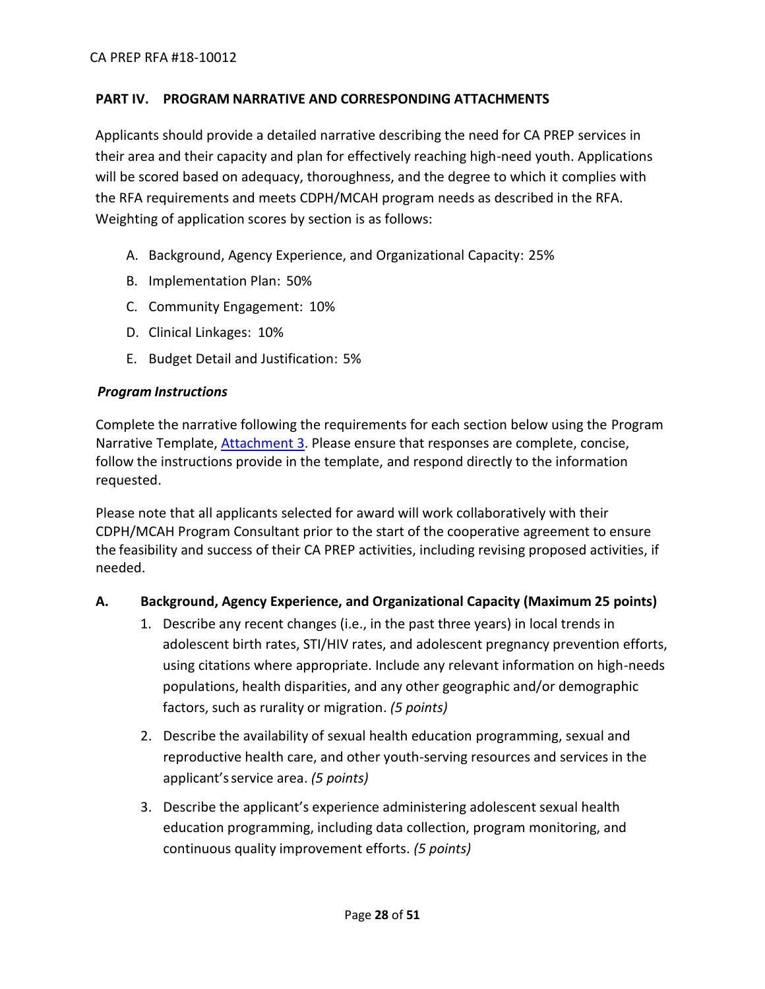#### <span id="page-27-0"></span>**PART IV. PROGRAM NARRATIVE AND CORRESPONDING ATTACHMENTS**

Applicants should provide a detailed narrative describing the need for CA PREP services in their area and their capacity and plan for effectively reaching high-need youth. Applications will be scored based on adequacy, thoroughness, and the degree to which it complies with the RFA requirements and meets CDPH/MCAH program needs as described in the RFA. Weighting of application scores by section is as follows:

- A. Background, Agency Experience, and Organizational Capacity: 25%
- B. Implementation Plan: 50%
- C. Community Engagement: 10%
- D. Clinical Linkages: 10%
- E. Budget Detail and Justification: 5%

#### <span id="page-27-1"></span>*Program Instructions*

Complete the narrative following the requirements for each section below using the Program Narrative Template, [Attachment 3.](https://www.cdph.ca.gov/Programs/CFH/DMCAH/CA-PREP/CDPH%20Document%20Library/2018-Attachment%203.docx) Please ensure that responses are complete, concise, follow the instructions provide in the template, and respond directly to the information requested.

Please note that all applicants selected for award will work collaboratively with their CDPH/MCAH Program Consultant prior to the start of the cooperative agreement to ensure the feasibility and success of their CA PREP activities, including revising proposed activities, if needed.

#### **A. Background, Agency Experience, and Organizational Capacity (Maximum 25 points)**

- 1. Describe any recent changes (i.e., in the past three years) in local trends in adolescent birth rates, STI/HIV rates, and adolescent pregnancy prevention efforts, using citations where appropriate. Include any relevant information on high-needs populations, health disparities, and any other geographic and/or demographic factors, such as rurality or migration. *(5 points)*
- 2. Describe the availability of sexual health education programming, sexual and reproductive health care, and other youth-serving resources and services in the applicant'sservice area. *(5 points)*
- 3. Describe the applicant's experience administering adolescent sexual health education programming, including data collection, program monitoring, and continuous quality improvement efforts. *(5 points)*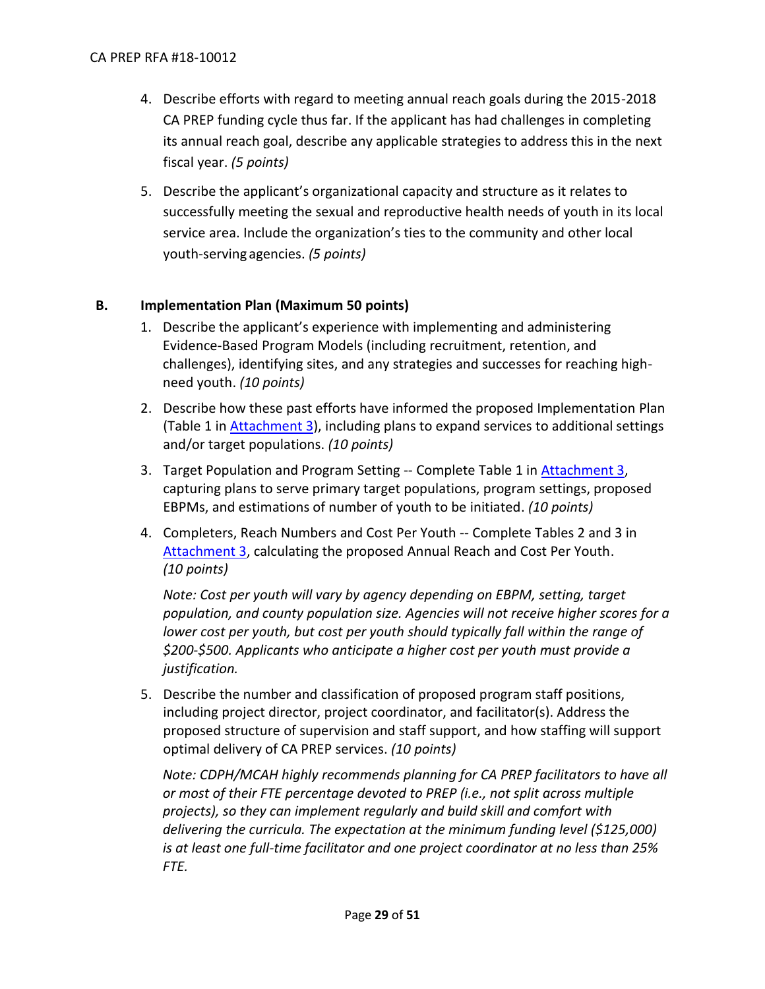- 4. Describe efforts with regard to meeting annual reach goals during the 2015-2018 CA PREP funding cycle thus far. If the applicant has had challenges in completing its annual reach goal, describe any applicable strategies to address this in the next fiscal year. *(5 points)*
- 5. Describe the applicant's organizational capacity and structure as it relates to successfully meeting the sexual and reproductive health needs of youth in its local service area. Include the organization's ties to the community and other local youth-serving agencies. *(5 points)*

# **B. Implementation Plan (Maximum 50 points)**

- 1. Describe the applicant's experience with implementing and administering Evidence-Based Program Models (including recruitment, retention, and challenges), identifying sites, and any strategies and successes for reaching highneed youth. *(10 points)*
- 2. Describe how these past efforts have informed the proposed Implementation Plan (Table 1 in [Attachment 3\)](https://www.cdph.ca.gov/Programs/CFH/DMCAH/CA-PREP/CDPH%20Document%20Library/2018-Attachment%203.docx), including plans to expand services to additional settings and/or target populations. *(10 points)*
- 3. Target Population and Program Setting -- Complete Table 1 in [Attachment 3,](https://www.cdph.ca.gov/Programs/CFH/DMCAH/CA-PREP/CDPH%20Document%20Library/2018-Attachment%203.docx) capturing plans to serve primary target populations, program settings, proposed EBPMs, and estimations of number of youth to be initiated. *(10 points)*
- 4. Completers, Reach Numbers and Cost Per Youth -- Complete Tables 2 and 3 in [Attachment 3,](https://www.cdph.ca.gov/Programs/CFH/DMCAH/CA-PREP/CDPH%20Document%20Library/2018-Attachment%203.docx) calculating the proposed Annual Reach and Cost Per Youth. *(10 points)*

*Note: Cost per youth will vary by agency depending on EBPM, setting, target population, and county population size. Agencies will not receive higher scores for a*  lower cost per youth, but cost per youth should typically fall within the range of *\$200-\$500. Applicants who anticipate a higher cost per youth must provide a justification.*

5. Describe the number and classification of proposed program staff positions, including project director, project coordinator, and facilitator(s). Address the proposed structure of supervision and staff support, and how staffing will support optimal delivery of CA PREP services. *(10 points)*

*Note: CDPH/MCAH highly recommends planning for CA PREP facilitators to have all or most of their FTE percentage devoted to PREP (i.e., not split across multiple projects), so they can implement regularly and build skill and comfort with delivering the curricula. The expectation at the minimum funding level (\$125,000) is at least one full-time facilitator and one project coordinator at no less than 25% FTE.*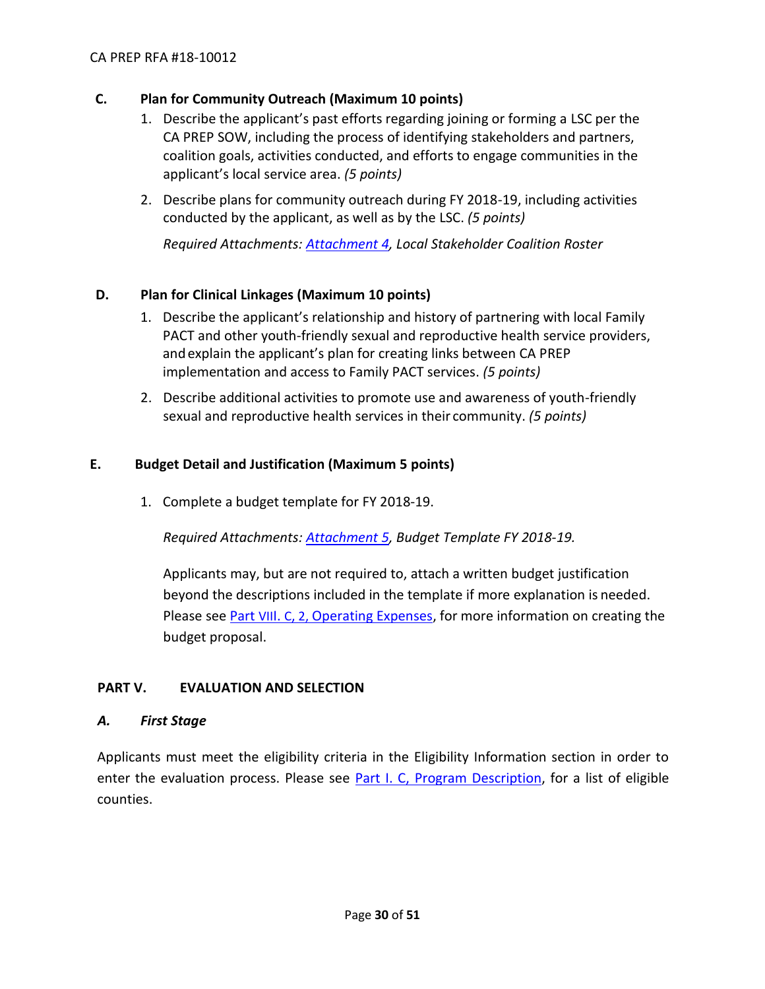# **C. Plan for Community Outreach (Maximum 10 points)**

- 1. Describe the applicant's past efforts regarding joining or forming a LSC per the CA PREP SOW, including the process of identifying stakeholders and partners, coalition goals, activities conducted, and efforts to engage communities in the applicant's local service area. *(5 points)*
- 2. Describe plans for community outreach during FY 2018-19, including activities conducted by the applicant, as well as by the LSC. *(5 points)*

*Required Attachments: [Attachment 4,](https://www.cdph.ca.gov/Programs/CFH/DMCAH/CA-PREP/CDPH%20Document%20Library/2018-Attachment%204.docx) Local Stakeholder Coalition Roster*

## **D. Plan for Clinical Linkages (Maximum 10 points)**

- 1. Describe the applicant's relationship and history of partnering with local Family PACT and other youth-friendly sexual and reproductive health service providers, andexplain the applicant's plan for creating links between CA PREP implementation and access to Family PACT services. *(5 points)*
- 2. Describe additional activities to promote use and awareness of youth-friendly sexual and reproductive health services in their community. *(5 points)*

#### **E. Budget Detail and Justification (Maximum 5 points)**

1. Complete a budget template for FY 2018-19.

*Required Attachments: [Attachment 5,](https://www.cdph.ca.gov/Programs/CFH/DMCAH/CA-PREP/CDPH%20Document%20Library/2018-Attachment%205.xlsx) Budget Template FY 2018-19.* 

Applicants may, but are not required to, attach a written budget justification beyond the descriptions included in the template if more explanation is needed. Please see Part VIII. C, 2, [Operating Expenses,](#page-43-2) for more information on creating the budget proposal.

# <span id="page-29-0"></span>**PART V. EVALUATION AND SELECTION**

#### <span id="page-29-1"></span>*A. First Stage*

Applicants must meet the eligibility criteria in the Eligibility Information section in order to enter the evaluation process. Please see Part I. C, [Program Description,](#page-6-0) for a list of eligible counties.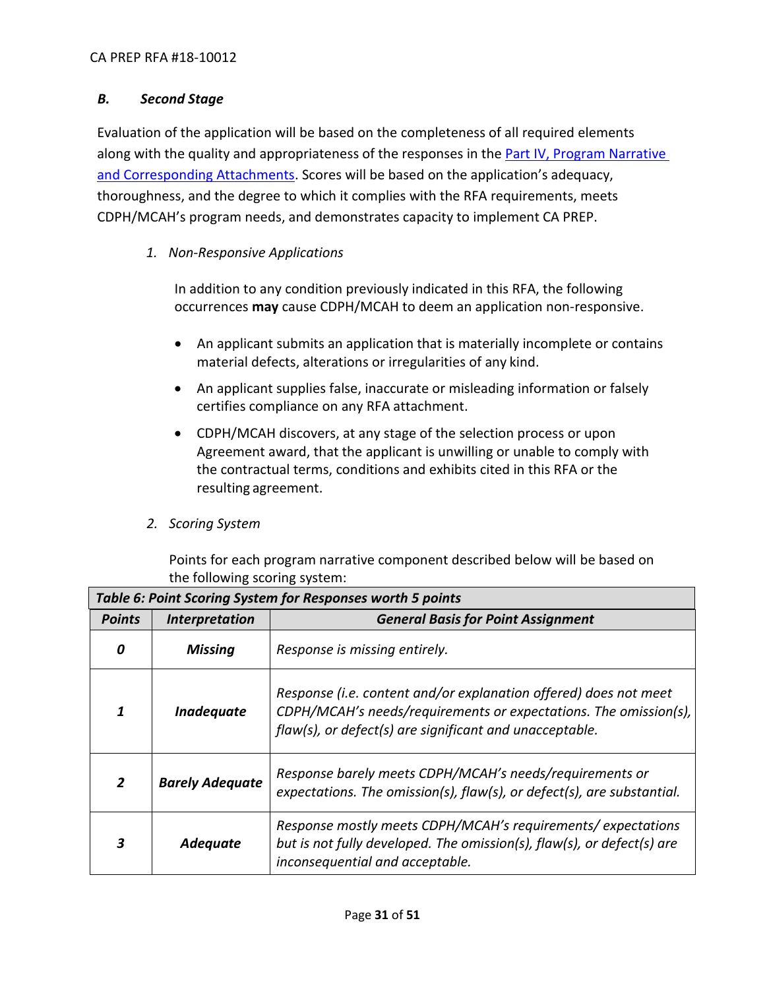# <span id="page-30-0"></span>*B. Second Stage*

Evaluation of the application will be based on the completeness of all required elements along with the quality and appropriateness of the responses in the [Part IV, Program Narrative](#page-27-0)  [and Corresponding Attachments.](#page-27-0) Scores will be based on the application's adequacy, thoroughness, and the degree to which it complies with the RFA requirements, meets CDPH/MCAH's program needs, and demonstrates capacity to implement CA PREP.

# *1. Non-Responsive Applications*

In addition to any condition previously indicated in this RFA, the following occurrences **may** cause CDPH/MCAH to deem an application non-responsive.

- An applicant submits an application that is materially incomplete or contains material defects, alterations or irregularities of any kind.
- An applicant supplies false, inaccurate or misleading information or falsely certifies compliance on any RFA attachment.
- CDPH/MCAH discovers, at any stage of the selection process or upon Agreement award, that the applicant is unwilling or unable to comply with the contractual terms, conditions and exhibits cited in this RFA or the resulting agreement.

# *2. Scoring System*

Points for each program narrative component described below will be based on the following scoring system:

| Table 6: Point Scoring System for Responses worth 5 points |                              |                                                                                                                                                                                                 |  |
|------------------------------------------------------------|------------------------------|-------------------------------------------------------------------------------------------------------------------------------------------------------------------------------------------------|--|
| <b>Points</b>                                              | <i><b>Interpretation</b></i> | <b>General Basis for Point Assignment</b>                                                                                                                                                       |  |
| 0                                                          | <b>Missing</b>               | Response is missing entirely.                                                                                                                                                                   |  |
|                                                            | Inadequate                   | Response (i.e. content and/or explanation offered) does not meet<br>CDPH/MCAH's needs/requirements or expectations. The omission(s),<br>flaw(s), or defect(s) are significant and unacceptable. |  |
|                                                            | <b>Barely Adequate</b>       | Response barely meets CDPH/MCAH's needs/requirements or<br>expectations. The omission(s), $flow(s)$ , or defect(s), are substantial.                                                            |  |
|                                                            | Adequate                     | Response mostly meets CDPH/MCAH's requirements/expectations<br>but is not fully developed. The omission(s), flaw(s), or defect(s) are<br>inconsequential and acceptable.                        |  |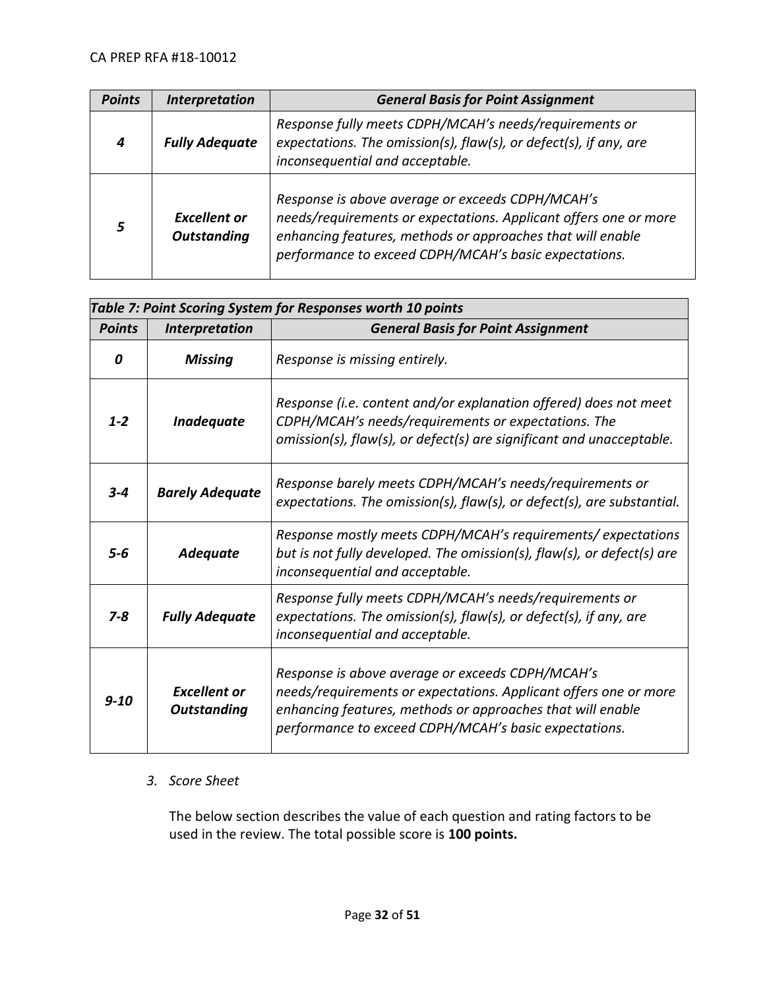| <b>Points</b> | <b>Interpretation</b>                     | <b>General Basis for Point Assignment</b>                                                                                                                                                                                                   |
|---------------|-------------------------------------------|---------------------------------------------------------------------------------------------------------------------------------------------------------------------------------------------------------------------------------------------|
| 4             | <b>Fully Adequate</b>                     | Response fully meets CDPH/MCAH's needs/requirements or<br>expectations. The omission(s), flaw(s), or defect(s), if any, are<br>inconsequential and acceptable.                                                                              |
|               | <b>Excellent or</b><br><b>Outstanding</b> | Response is above average or exceeds CDPH/MCAH's<br>needs/requirements or expectations. Applicant offers one or more<br>enhancing features, methods or approaches that will enable<br>performance to exceed CDPH/MCAH's basic expectations. |

| Table 7: Point Scoring System for Responses worth 10 points |                                           |                                                                                                                                                                                                                                             |  |
|-------------------------------------------------------------|-------------------------------------------|---------------------------------------------------------------------------------------------------------------------------------------------------------------------------------------------------------------------------------------------|--|
| <b>Points</b>                                               | <b>Interpretation</b>                     | <b>General Basis for Point Assignment</b>                                                                                                                                                                                                   |  |
| 0                                                           | <b>Missing</b>                            | Response is missing entirely.                                                                                                                                                                                                               |  |
| $1 - 2$                                                     | Inadequate                                | Response (i.e. content and/or explanation offered) does not meet<br>CDPH/MCAH's needs/requirements or expectations. The<br>omission(s), flaw(s), or defect(s) are significant and unacceptable.                                             |  |
| $3 - 4$                                                     | <b>Barely Adequate</b>                    | Response barely meets CDPH/MCAH's needs/requirements or<br>expectations. The omission(s), flaw(s), or defect(s), are substantial.                                                                                                           |  |
| $5 - 6$                                                     | <b>Adequate</b>                           | Response mostly meets CDPH/MCAH's requirements/expectations<br>but is not fully developed. The omission(s), flaw(s), or defect(s) are<br>inconsequential and acceptable.                                                                    |  |
| $7 - 8$                                                     | <b>Fully Adequate</b>                     | Response fully meets CDPH/MCAH's needs/requirements or<br>expectations. The omission(s), flaw(s), or defect(s), if any, are<br>inconsequential and acceptable.                                                                              |  |
| $9 - 10$                                                    | <b>Excellent or</b><br><b>Outstanding</b> | Response is above average or exceeds CDPH/MCAH's<br>needs/requirements or expectations. Applicant offers one or more<br>enhancing features, methods or approaches that will enable<br>performance to exceed CDPH/MCAH's basic expectations. |  |

#### *3. Score Sheet*

The below section describes the value of each question and rating factors to be used in the review. The total possible score is **100 points.**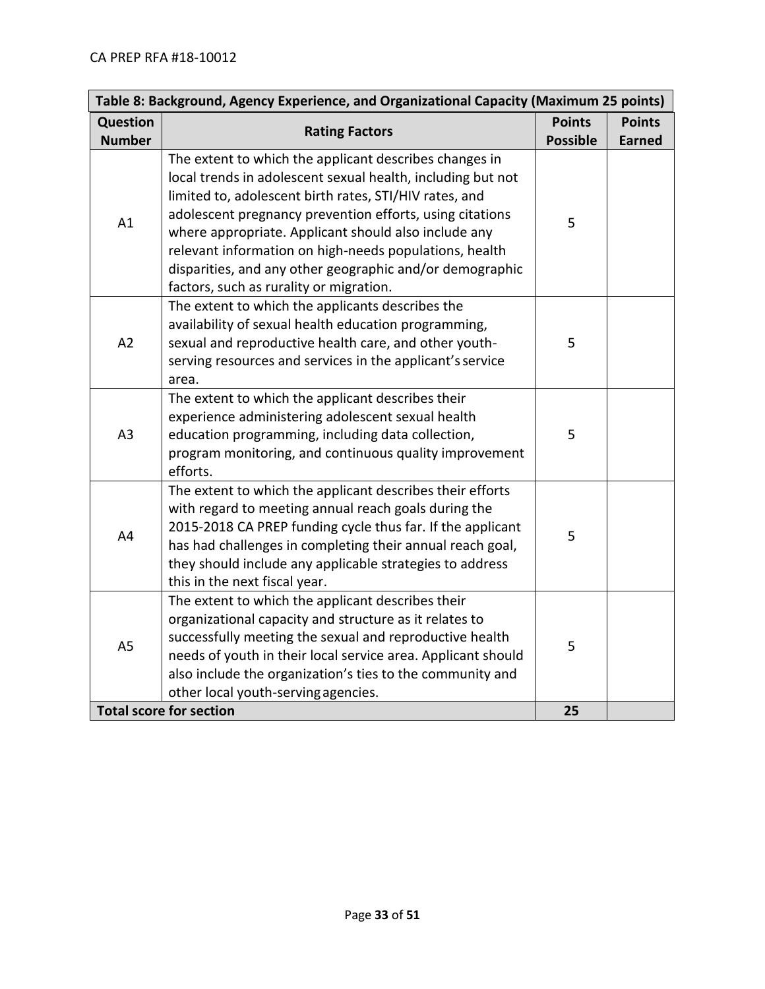| Table 8: Background, Agency Experience, and Organizational Capacity (Maximum 25 points) |                                                                                                                                                                                                                                                                                                                                                                                                                                                                      |                                  |                                |  |
|-----------------------------------------------------------------------------------------|----------------------------------------------------------------------------------------------------------------------------------------------------------------------------------------------------------------------------------------------------------------------------------------------------------------------------------------------------------------------------------------------------------------------------------------------------------------------|----------------------------------|--------------------------------|--|
| <b>Question</b><br><b>Number</b>                                                        | <b>Rating Factors</b>                                                                                                                                                                                                                                                                                                                                                                                                                                                | <b>Points</b><br><b>Possible</b> | <b>Points</b><br><b>Earned</b> |  |
| A1                                                                                      | The extent to which the applicant describes changes in<br>local trends in adolescent sexual health, including but not<br>limited to, adolescent birth rates, STI/HIV rates, and<br>adolescent pregnancy prevention efforts, using citations<br>where appropriate. Applicant should also include any<br>relevant information on high-needs populations, health<br>disparities, and any other geographic and/or demographic<br>factors, such as rurality or migration. | 5                                |                                |  |
| A <sub>2</sub>                                                                          | The extent to which the applicants describes the<br>availability of sexual health education programming,<br>sexual and reproductive health care, and other youth-<br>serving resources and services in the applicant's service<br>area.                                                                                                                                                                                                                              | 5                                |                                |  |
| A3                                                                                      | The extent to which the applicant describes their<br>experience administering adolescent sexual health<br>education programming, including data collection,<br>program monitoring, and continuous quality improvement<br>efforts.                                                                                                                                                                                                                                    | 5                                |                                |  |
| A4                                                                                      | The extent to which the applicant describes their efforts<br>with regard to meeting annual reach goals during the<br>2015-2018 CA PREP funding cycle thus far. If the applicant<br>has had challenges in completing their annual reach goal,<br>they should include any applicable strategies to address<br>this in the next fiscal year.                                                                                                                            | 5                                |                                |  |
| A <sub>5</sub>                                                                          | The extent to which the applicant describes their<br>organizational capacity and structure as it relates to<br>successfully meeting the sexual and reproductive health<br>needs of youth in their local service area. Applicant should<br>also include the organization's ties to the community and<br>other local youth-serving agencies.                                                                                                                           | 5                                |                                |  |
|                                                                                         | <b>Total score for section</b>                                                                                                                                                                                                                                                                                                                                                                                                                                       | 25                               |                                |  |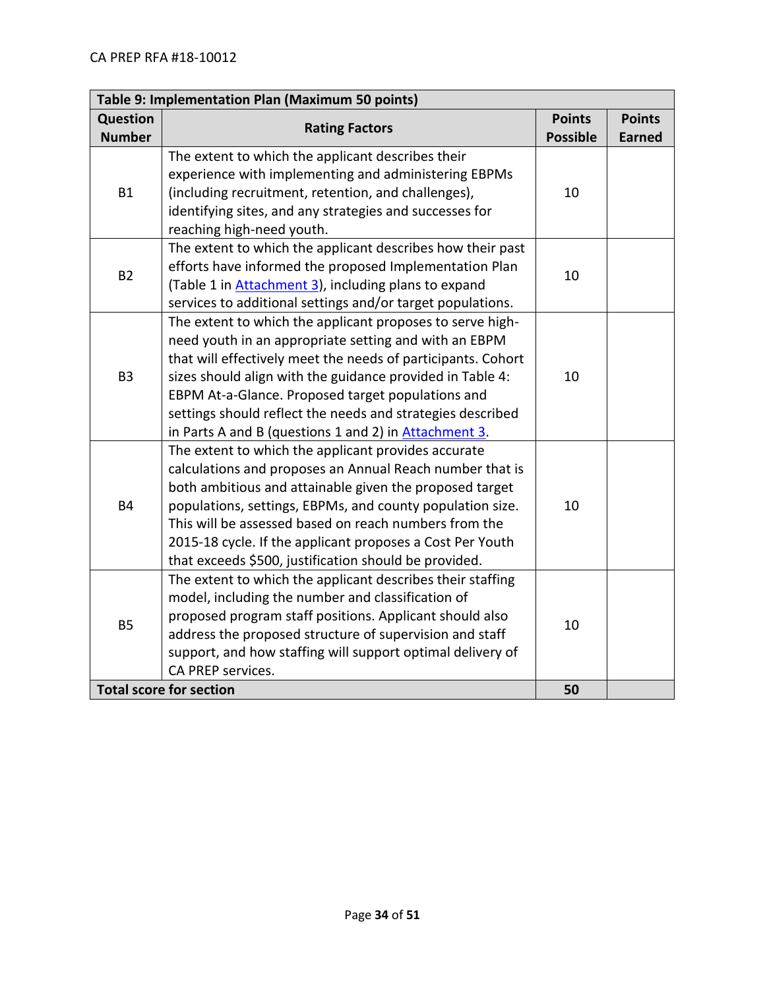| Table 9: Implementation Plan (Maximum 50 points) |                                                                                                                                                                                                                                                                                                                                                                                                                                     |                                  |                                |  |
|--------------------------------------------------|-------------------------------------------------------------------------------------------------------------------------------------------------------------------------------------------------------------------------------------------------------------------------------------------------------------------------------------------------------------------------------------------------------------------------------------|----------------------------------|--------------------------------|--|
| Question<br><b>Number</b>                        | <b>Rating Factors</b>                                                                                                                                                                                                                                                                                                                                                                                                               | <b>Points</b><br><b>Possible</b> | <b>Points</b><br><b>Earned</b> |  |
| <b>B1</b>                                        | The extent to which the applicant describes their<br>experience with implementing and administering EBPMs<br>(including recruitment, retention, and challenges),<br>identifying sites, and any strategies and successes for<br>reaching high-need youth.                                                                                                                                                                            | 10                               |                                |  |
| <b>B2</b>                                        | The extent to which the applicant describes how their past<br>efforts have informed the proposed Implementation Plan<br>(Table 1 in <b>Attachment 3</b> ), including plans to expand<br>services to additional settings and/or target populations.                                                                                                                                                                                  | 10                               |                                |  |
| B <sub>3</sub>                                   | The extent to which the applicant proposes to serve high-<br>need youth in an appropriate setting and with an EBPM<br>that will effectively meet the needs of participants. Cohort<br>sizes should align with the guidance provided in Table 4:<br>EBPM At-a-Glance. Proposed target populations and<br>settings should reflect the needs and strategies described<br>in Parts A and B (questions 1 and 2) in <b>Attachment 3</b> . | 10                               |                                |  |
| <b>B4</b>                                        | The extent to which the applicant provides accurate<br>calculations and proposes an Annual Reach number that is<br>both ambitious and attainable given the proposed target<br>populations, settings, EBPMs, and county population size.<br>This will be assessed based on reach numbers from the<br>2015-18 cycle. If the applicant proposes a Cost Per Youth<br>that exceeds \$500, justification should be provided.              | 10                               |                                |  |
| <b>B5</b>                                        | The extent to which the applicant describes their staffing<br>model, including the number and classification of<br>proposed program staff positions. Applicant should also<br>address the proposed structure of supervision and staff<br>support, and how staffing will support optimal delivery of<br>CA PREP services.                                                                                                            | 10                               |                                |  |
|                                                  | <b>Total score for section</b>                                                                                                                                                                                                                                                                                                                                                                                                      | 50                               |                                |  |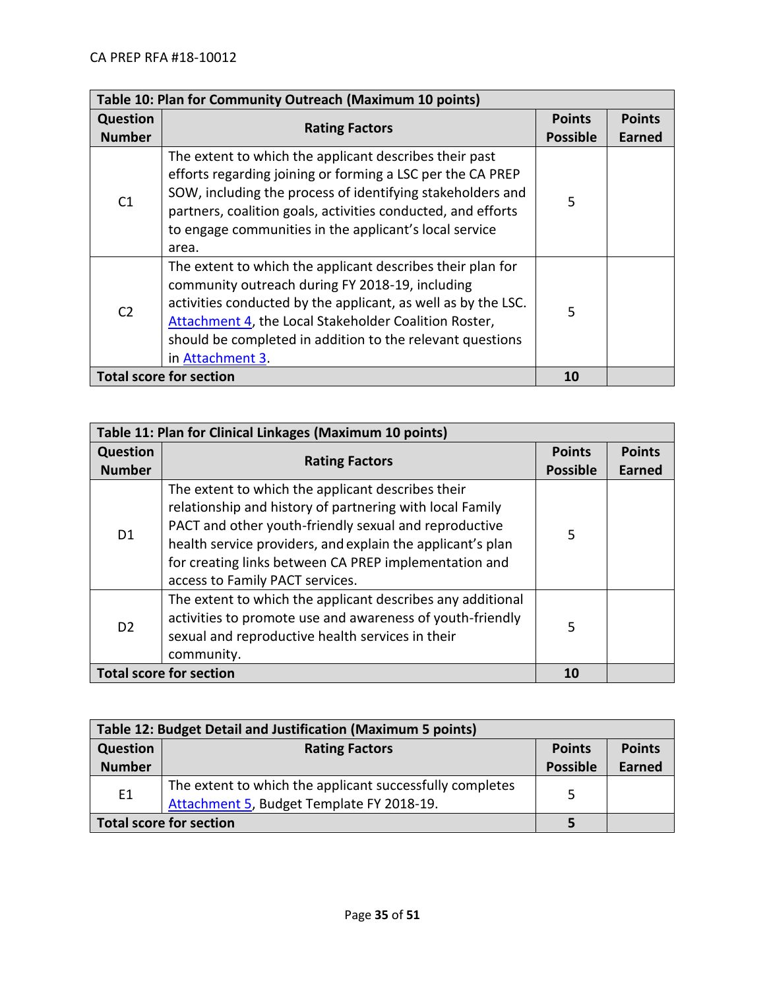| Table 10: Plan for Community Outreach (Maximum 10 points) |                                                                                                                                                                                                                                                                                                                          |                 |               |
|-----------------------------------------------------------|--------------------------------------------------------------------------------------------------------------------------------------------------------------------------------------------------------------------------------------------------------------------------------------------------------------------------|-----------------|---------------|
| <b>Question</b>                                           | <b>Rating Factors</b>                                                                                                                                                                                                                                                                                                    | <b>Points</b>   | <b>Points</b> |
| <b>Number</b>                                             |                                                                                                                                                                                                                                                                                                                          | <b>Possible</b> | <b>Earned</b> |
| C <sub>1</sub>                                            | The extent to which the applicant describes their past<br>efforts regarding joining or forming a LSC per the CA PREP<br>SOW, including the process of identifying stakeholders and<br>partners, coalition goals, activities conducted, and efforts<br>to engage communities in the applicant's local service<br>area.    | 5               |               |
| C <sub>2</sub>                                            | The extent to which the applicant describes their plan for<br>community outreach during FY 2018-19, including<br>activities conducted by the applicant, as well as by the LSC.<br>Attachment 4, the Local Stakeholder Coalition Roster,<br>should be completed in addition to the relevant questions<br>in Attachment 3. | 5               |               |
| <b>Total score for section</b>                            |                                                                                                                                                                                                                                                                                                                          | 10              |               |

| Table 11: Plan for Clinical Linkages (Maximum 10 points) |                                                                                                                                                                                                                                                                                                                                  |                 |               |
|----------------------------------------------------------|----------------------------------------------------------------------------------------------------------------------------------------------------------------------------------------------------------------------------------------------------------------------------------------------------------------------------------|-----------------|---------------|
| <b>Question</b>                                          | <b>Rating Factors</b>                                                                                                                                                                                                                                                                                                            | <b>Points</b>   | <b>Points</b> |
| <b>Number</b>                                            |                                                                                                                                                                                                                                                                                                                                  | <b>Possible</b> | <b>Earned</b> |
| D <sub>1</sub>                                           | The extent to which the applicant describes their<br>relationship and history of partnering with local Family<br>PACT and other youth-friendly sexual and reproductive<br>health service providers, and explain the applicant's plan<br>for creating links between CA PREP implementation and<br>access to Family PACT services. | 5               |               |
| D <sub>2</sub>                                           | The extent to which the applicant describes any additional<br>activities to promote use and awareness of youth-friendly<br>sexual and reproductive health services in their<br>community.                                                                                                                                        | 5               |               |
| <b>Total score for section</b>                           |                                                                                                                                                                                                                                                                                                                                  | 10              |               |

| Table 12: Budget Detail and Justification (Maximum 5 points) |                                                                                                       |                 |               |
|--------------------------------------------------------------|-------------------------------------------------------------------------------------------------------|-----------------|---------------|
| <b>Question</b>                                              | <b>Rating Factors</b>                                                                                 | <b>Points</b>   | <b>Points</b> |
| <b>Number</b>                                                |                                                                                                       | <b>Possible</b> | Earned        |
| E1                                                           | The extent to which the applicant successfully completes<br>Attachment 5, Budget Template FY 2018-19. | 5               |               |
| <b>Total score for section</b>                               |                                                                                                       |                 |               |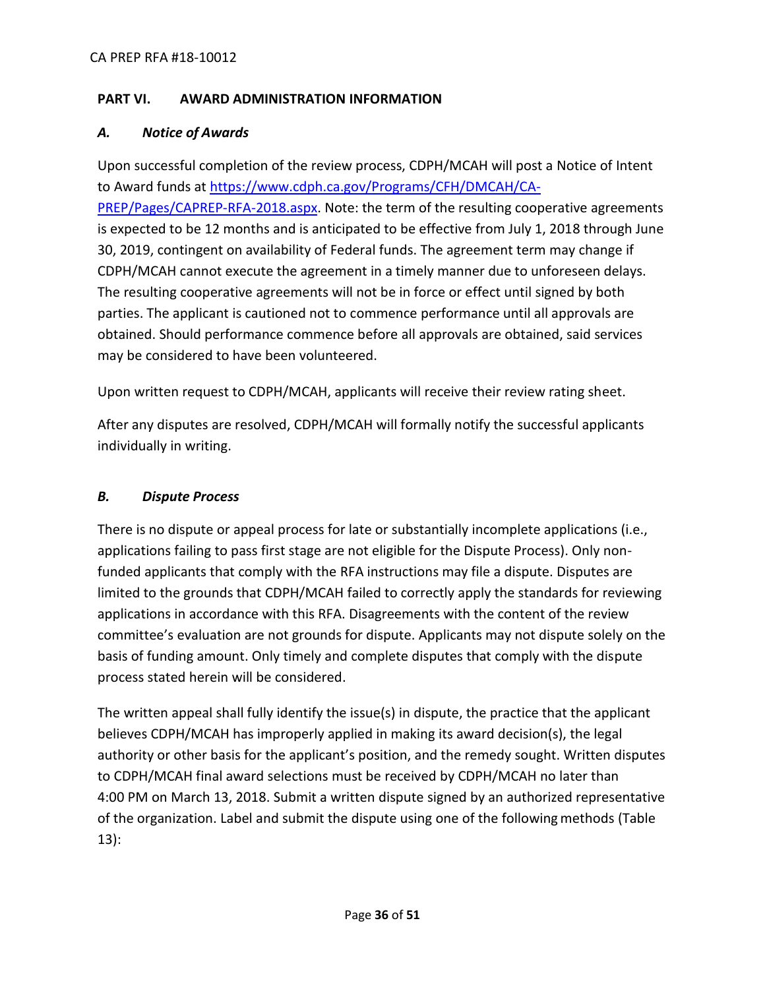## <span id="page-35-0"></span>**PART VI. AWARD ADMINISTRATION INFORMATION**

#### <span id="page-35-1"></span>*A. Notice of Awards*

Upon successful completion of the review process, CDPH/MCAH will post a Notice of Intent to Award funds at [https://www.cdph.ca.gov/Programs/CFH/DMCAH/CA-](https://www.cdph.ca.gov/Programs/CFH/DMCAH/CA-PREP/Pages/CAPREP-RFA-2018.aspx)[PREP/Pages/CAPREP-RFA-2018.aspx.](https://www.cdph.ca.gov/Programs/CFH/DMCAH/CA-PREP/Pages/CAPREP-RFA-2018.aspx) Note: the term of the resulting cooperative agreements is expected to be 12 months and is anticipated to be effective from July 1, 2018 through June 30, 2019, contingent on availability of Federal funds. The agreement term may change if CDPH/MCAH cannot execute the agreement in a timely manner due to unforeseen delays. The resulting cooperative agreements will not be in force or effect until signed by both parties. The applicant is cautioned not to commence performance until all approvals are obtained. Should performance commence before all approvals are obtained, said services may be considered to have been volunteered.

Upon written request to CDPH/MCAH, applicants will receive their review rating sheet.

After any disputes are resolved, CDPH/MCAH will formally notify the successful applicants individually in writing.

#### <span id="page-35-2"></span>*B. Dispute Process*

There is no dispute or appeal process for late or substantially incomplete applications (i.e., applications failing to pass first stage are not eligible for the Dispute Process). Only nonfunded applicants that comply with the RFA instructions may file a dispute. Disputes are limited to the grounds that CDPH/MCAH failed to correctly apply the standards for reviewing applications in accordance with this RFA. Disagreements with the content of the review committee's evaluation are not grounds for dispute. Applicants may not dispute solely on the basis of funding amount. Only timely and complete disputes that comply with the dispute process stated herein will be considered.

The written appeal shall fully identify the issue(s) in dispute, the practice that the applicant believes CDPH/MCAH has improperly applied in making its award decision(s), the legal authority or other basis for the applicant's position, and the remedy sought. Written disputes to CDPH/MCAH final award selections must be received by CDPH/MCAH no later than 4:00 PM on March 13, 2018. Submit a written dispute signed by an authorized representative of the organization. Label and submit the dispute using one of the followingmethods (Table 13):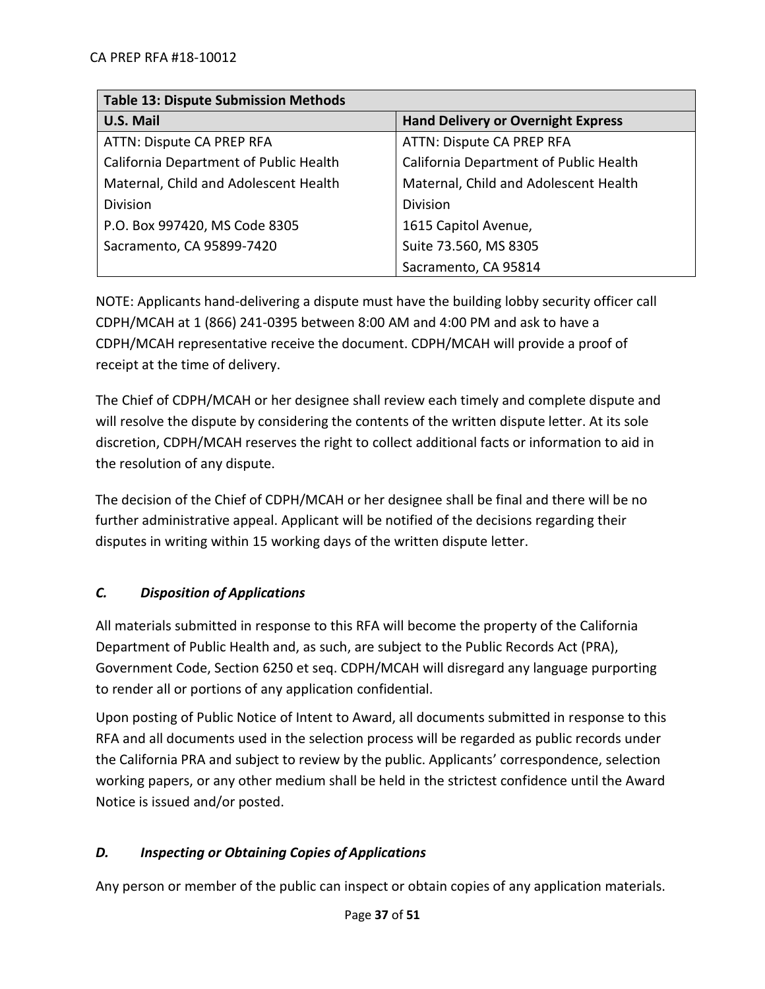| <b>Table 13: Dispute Submission Methods</b> |                                           |  |
|---------------------------------------------|-------------------------------------------|--|
| <b>U.S. Mail</b>                            | <b>Hand Delivery or Overnight Express</b> |  |
| ATTN: Dispute CA PREP RFA                   | ATTN: Dispute CA PREP RFA                 |  |
| California Department of Public Health      | California Department of Public Health    |  |
| Maternal, Child and Adolescent Health       | Maternal, Child and Adolescent Health     |  |
| Division                                    | <b>Division</b>                           |  |
| P.O. Box 997420, MS Code 8305               | 1615 Capitol Avenue,                      |  |
| Sacramento, CA 95899-7420                   | Suite 73.560, MS 8305                     |  |
|                                             | Sacramento, CA 95814                      |  |

NOTE: Applicants hand-delivering a dispute must have the building lobby security officer call CDPH/MCAH at 1 (866) 241-0395 between 8:00 AM and 4:00 PM and ask to have a CDPH/MCAH representative receive the document. CDPH/MCAH will provide a proof of receipt at the time of delivery.

The Chief of CDPH/MCAH or her designee shall review each timely and complete dispute and will resolve the dispute by considering the contents of the written dispute letter. At its sole discretion, CDPH/MCAH reserves the right to collect additional facts or information to aid in the resolution of any dispute.

The decision of the Chief of CDPH/MCAH or her designee shall be final and there will be no further administrative appeal. Applicant will be notified of the decisions regarding their disputes in writing within 15 working days of the written dispute letter.

# <span id="page-36-0"></span>*C. Disposition of Applications*

All materials submitted in response to this RFA will become the property of the California Department of Public Health and, as such, are subject to the Public Records Act (PRA), Government Code, Section 6250 et seq. CDPH/MCAH will disregard any language purporting to render all or portions of any application confidential.

Upon posting of Public Notice of Intent to Award, all documents submitted in response to this RFA and all documents used in the selection process will be regarded as public records under the California PRA and subject to review by the public. Applicants' correspondence, selection working papers, or any other medium shall be held in the strictest confidence until the Award Notice is issued and/or posted.

# <span id="page-36-1"></span>*D. Inspecting or Obtaining Copies of Applications*

Any person or member of the public can inspect or obtain copies of any application materials.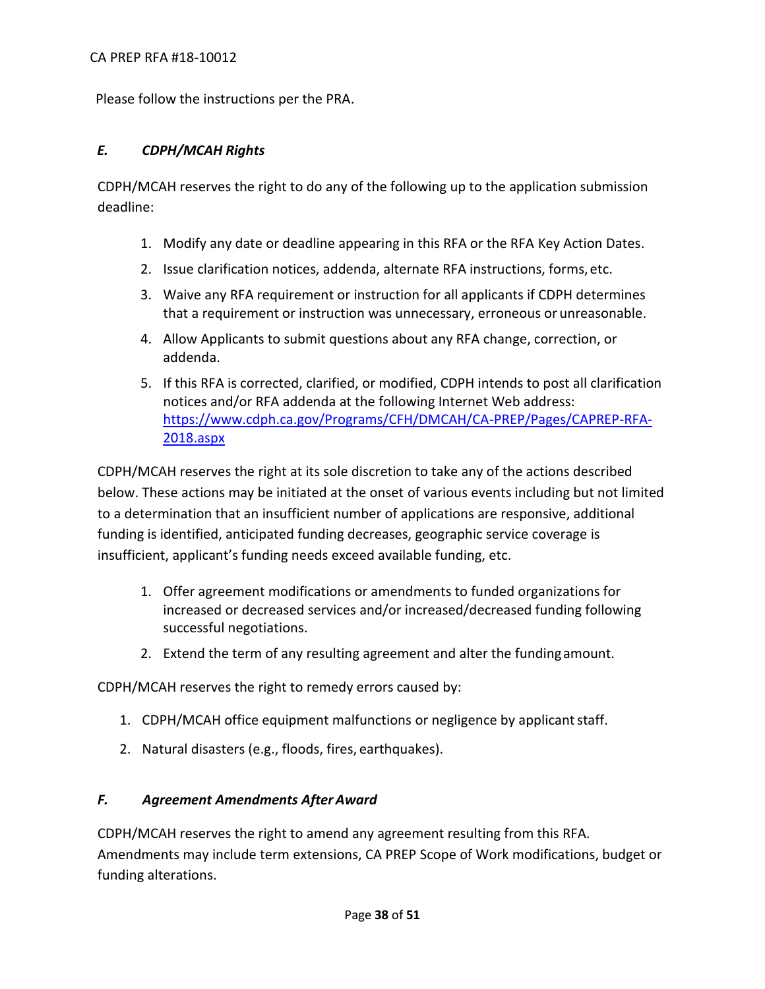Please follow the instructions per the PRA.

# <span id="page-37-0"></span>*E. CDPH/MCAH Rights*

CDPH/MCAH reserves the right to do any of the following up to the application submission deadline:

- 1. Modify any date or deadline appearing in this RFA or the RFA Key Action Dates.
- 2. Issue clarification notices, addenda, alternate RFA instructions, forms, etc.
- 3. Waive any RFA requirement or instruction for all applicants if CDPH determines that a requirement or instruction was unnecessary, erroneous or unreasonable.
- 4. Allow Applicants to submit questions about any RFA change, correction, or addenda.
- 5. If this RFA is corrected, clarified, or modified, CDPH intends to post all clarification notices and/or RFA addenda at the following Internet Web address: [https://www.cdph.ca.gov/Programs/CFH/DMCAH/CA-PREP/Pages/CAPREP-RFA-](https://www.cdph.ca.gov/Programs/CFH/DMCAH/CA-PREP/Pages/CAPREP-RFA-2018.aspx)[2018.aspx](https://www.cdph.ca.gov/Programs/CFH/DMCAH/CA-PREP/Pages/CAPREP-RFA-2018.aspx)

CDPH/MCAH reserves the right at its sole discretion to take any of the actions described below. These actions may be initiated at the onset of various events including but not limited to a determination that an insufficient number of applications are responsive, additional funding is identified, anticipated funding decreases, geographic service coverage is insufficient, applicant's funding needs exceed available funding, etc.

- 1. Offer agreement modifications or amendments to funded organizations for increased or decreased services and/or increased/decreased funding following successful negotiations.
- 2. Extend the term of any resulting agreement and alter the fundingamount.

CDPH/MCAH reserves the right to remedy errors caused by:

- 1. CDPH/MCAH office equipment malfunctions or negligence by applicant staff.
- 2. Natural disasters (e.g., floods, fires, earthquakes).

#### <span id="page-37-1"></span>*F. Agreement Amendments After Award*

CDPH/MCAH reserves the right to amend any agreement resulting from this RFA. Amendments may include term extensions, CA PREP Scope of Work modifications, budget or funding alterations.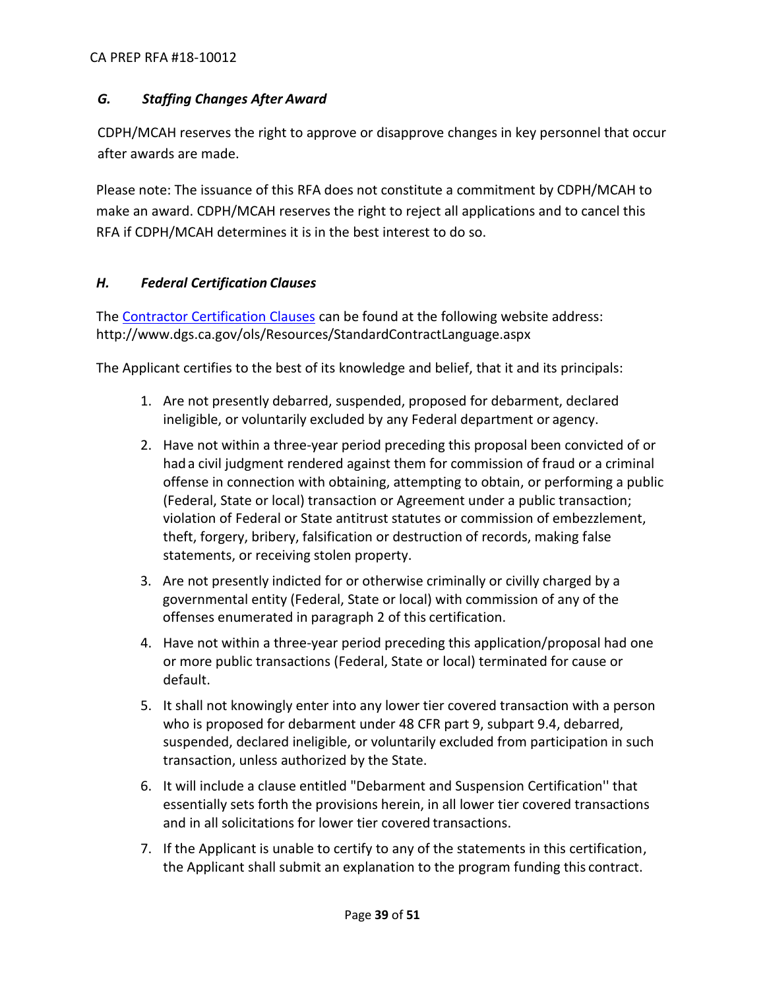# <span id="page-38-0"></span>*G. Staffing Changes After Award*

CDPH/MCAH reserves the right to approve or disapprove changes in key personnel that occur after awards are made.

Please note: The issuance of this RFA does not constitute a commitment by CDPH/MCAH to make an award. CDPH/MCAH reserves the right to reject all applications and to cancel this RFA if CDPH/MCAH determines it is in the best interest to do so.

# <span id="page-38-1"></span>*H. Federal Certification Clauses*

The [Contractor Certification Clauses](http://www.dgs.ca.gov/ols/Resources/StandardContractLanguage.aspx) can be found at the following website address: http://www.dgs.ca.gov/ols/Resources/StandardContractLanguage.aspx

The Applicant certifies to the best of its knowledge and belief, that it and its principals:

- 1. Are not presently debarred, suspended, proposed for debarment, declared ineligible, or voluntarily excluded by any Federal department or agency.
- 2. Have not within a three-year period preceding this proposal been convicted of or hada civil judgment rendered against them for commission of fraud or a criminal offense in connection with obtaining, attempting to obtain, or performing a public (Federal, State or local) transaction or Agreement under a public transaction; violation of Federal or State antitrust statutes or commission of embezzlement, theft, forgery, bribery, falsification or destruction of records, making false statements, or receiving stolen property.
- 3. Are not presently indicted for or otherwise criminally or civilly charged by a governmental entity (Federal, State or local) with commission of any of the offenses enumerated in paragraph 2 of this certification.
- 4. Have not within a three-year period preceding this application/proposal had one or more public transactions (Federal, State or local) terminated for cause or default.
- 5. It shall not knowingly enter into any lower tier covered transaction with a person who is proposed for debarment under 48 CFR part 9, subpart 9.4, debarred, suspended, declared ineligible, or voluntarily excluded from participation in such transaction, unless authorized by the State.
- 6. It will include a clause entitled "Debarment and Suspension Certification'' that essentially sets forth the provisions herein, in all lower tier covered transactions and in all solicitations for lower tier covered transactions.
- 7. If the Applicant is unable to certify to any of the statements in this certification, the Applicant shall submit an explanation to the program funding this contract.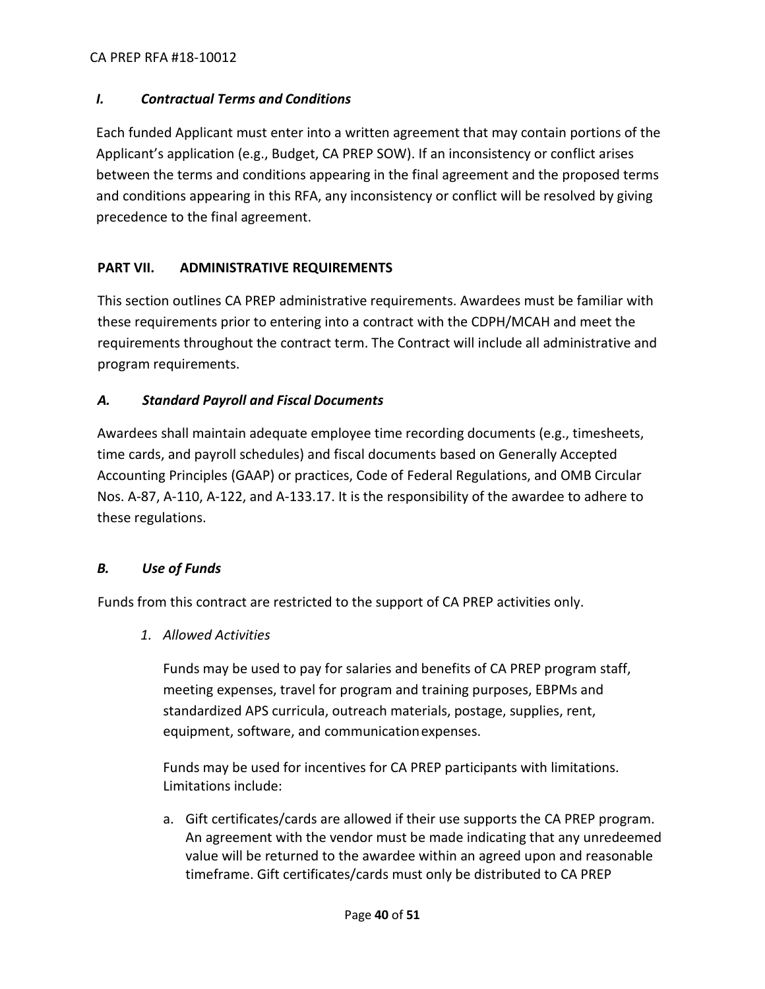#### CA PREP RFA #18-10012

## <span id="page-39-0"></span>*I. Contractual Terms and Conditions*

Each funded Applicant must enter into a written agreement that may contain portions of the Applicant's application (e.g., Budget, CA PREP SOW). If an inconsistency or conflict arises between the terms and conditions appearing in the final agreement and the proposed terms and conditions appearing in this RFA, any inconsistency or conflict will be resolved by giving precedence to the final agreement.

# <span id="page-39-1"></span>**PART VII. ADMINISTRATIVE REQUIREMENTS**

This section outlines CA PREP administrative requirements. Awardees must be familiar with these requirements prior to entering into a contract with the CDPH/MCAH and meet the requirements throughout the contract term. The Contract will include all administrative and program requirements.

## <span id="page-39-2"></span>*A. Standard Payroll and Fiscal Documents*

Awardees shall maintain adequate employee time recording documents (e.g., timesheets, time cards, and payroll schedules) and fiscal documents based on Generally Accepted Accounting Principles (GAAP) or practices, Code of Federal Regulations, and OMB Circular Nos. A-87, A-110, A-122, and A-133.17. It is the responsibility of the awardee to adhere to these regulations.

#### <span id="page-39-3"></span>*B. Use of Funds*

Funds from this contract are restricted to the support of CA PREP activities only.

*1. Allowed Activities*

Funds may be used to pay for salaries and benefits of CA PREP program staff, meeting expenses, travel for program and training purposes, EBPMs and standardized APS curricula, outreach materials, postage, supplies, rent, equipment, software, and communicationexpenses.

Funds may be used for incentives for CA PREP participants with limitations. Limitations include:

a. Gift certificates/cards are allowed if their use supports the CA PREP program. An agreement with the vendor must be made indicating that any unredeemed value will be returned to the awardee within an agreed upon and reasonable timeframe. Gift certificates/cards must only be distributed to CA PREP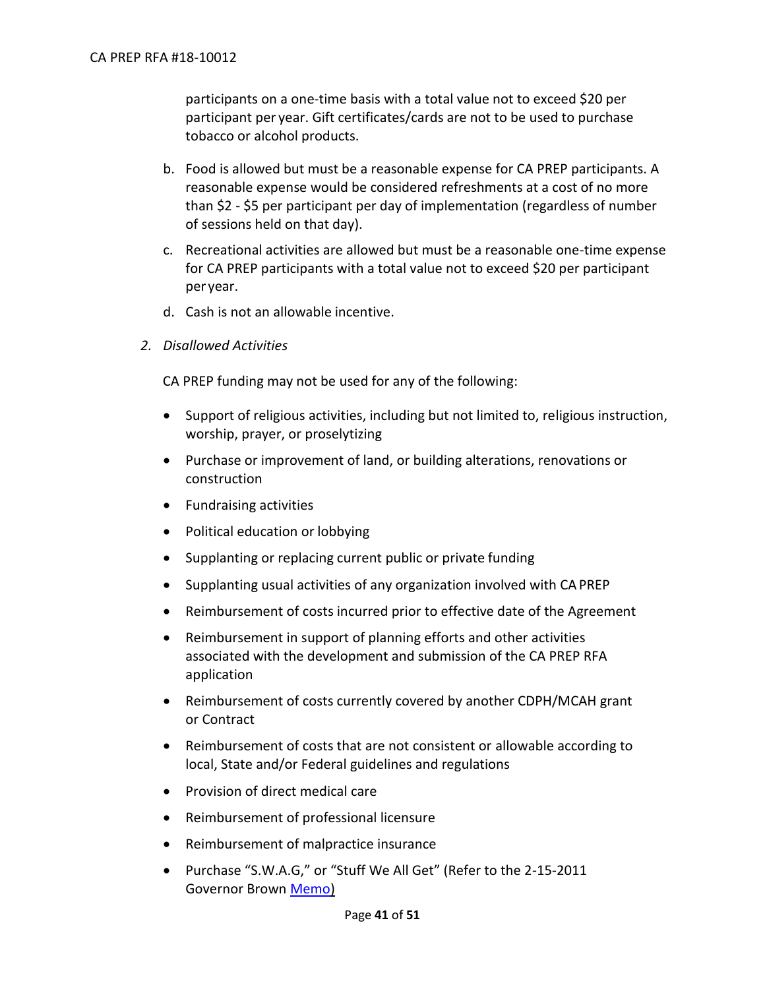participants on a one-time basis with a total value not to exceed \$20 per participant per year. Gift certificates/cards are not to be used to purchase tobacco or alcohol products.

- b. Food is allowed but must be a reasonable expense for CA PREP participants. A reasonable expense would be considered refreshments at a cost of no more than \$2 - \$5 per participant per day of implementation (regardless of number of sessions held on that day).
- c. Recreational activities are allowed but must be a reasonable one-time expense for CA PREP participants with a total value not to exceed \$20 per participant per year.
- d. Cash is not an allowable incentive.
- *2. Disallowed Activities*

CA PREP funding may not be used for any of the following:

- Support of religious activities, including but not limited to, religious instruction, worship, prayer, or proselytizing
- Purchase or improvement of land, or building alterations, renovations or construction
- Fundraising activities
- Political education or lobbying
- Supplanting or replacing current public or private funding
- Supplanting usual activities of any organization involved with CA PREP
- Reimbursement of costs incurred prior to effective date of the Agreement
- Reimbursement in support of planning efforts and other activities associated with the development and submission of the CA PREP RFA application
- Reimbursement of costs currently covered by another CDPH/MCAH grant or Contract
- Reimbursement of costs that are not consistent or allowable according to local, State and/or Federal guidelines and regulations
- Provision of direct medical care
- Reimbursement of professional licensure
- Reimbursement of malpractice insurance
- Purchase "S.W.A.G," or "Stuff We All Get" (Refer to the 2-15-2011 Governor Brown [Memo\)](https://www.gov.ca.gov/news.php?id=16911)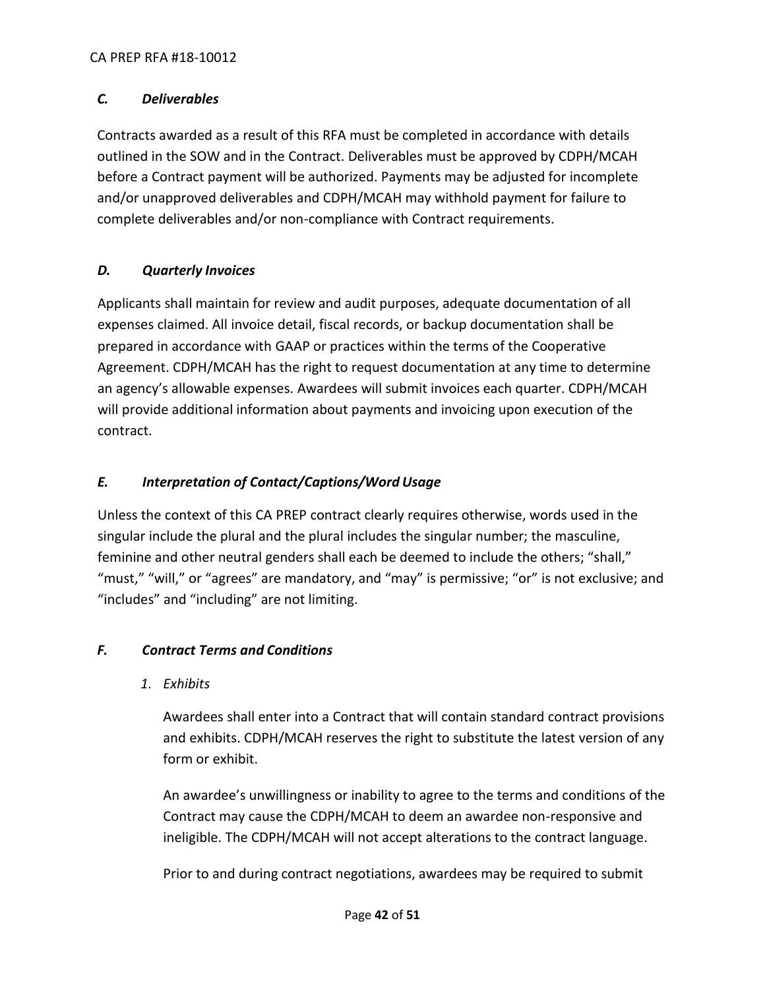# <span id="page-41-0"></span>*C. Deliverables*

Contracts awarded as a result of this RFA must be completed in accordance with details outlined in the SOW and in the Contract. Deliverables must be approved by CDPH/MCAH before a Contract payment will be authorized. Payments may be adjusted for incomplete and/or unapproved deliverables and CDPH/MCAH may withhold payment for failure to complete deliverables and/or non-compliance with Contract requirements.

## <span id="page-41-1"></span>*D. Quarterly Invoices*

Applicants shall maintain for review and audit purposes, adequate documentation of all expenses claimed. All invoice detail, fiscal records, or backup documentation shall be prepared in accordance with GAAP or practices within the terms of the Cooperative Agreement. CDPH/MCAH has the right to request documentation at any time to determine an agency's allowable expenses. Awardees will submit invoices each quarter. CDPH/MCAH will provide additional information about payments and invoicing upon execution of the contract.

## <span id="page-41-2"></span>*E. Interpretation of Contact/Captions/Word Usage*

Unless the context of this CA PREP contract clearly requires otherwise, words used in the singular include the plural and the plural includes the singular number; the masculine, feminine and other neutral genders shall each be deemed to include the others; "shall," "must," "will," or "agrees" are mandatory, and "may" is permissive; "or" is not exclusive; and "includes" and "including" are not limiting.

#### <span id="page-41-3"></span>*F. Contract Terms and Conditions*

*1. Exhibits*

Awardees shall enter into a Contract that will contain standard contract provisions and exhibits. CDPH/MCAH reserves the right to substitute the latest version of any form or exhibit.

An awardee's unwillingness or inability to agree to the terms and conditions of the Contract may cause the CDPH/MCAH to deem an awardee non-responsive and ineligible. The CDPH/MCAH will not accept alterations to the contract language.

Prior to and during contract negotiations, awardees may be required to submit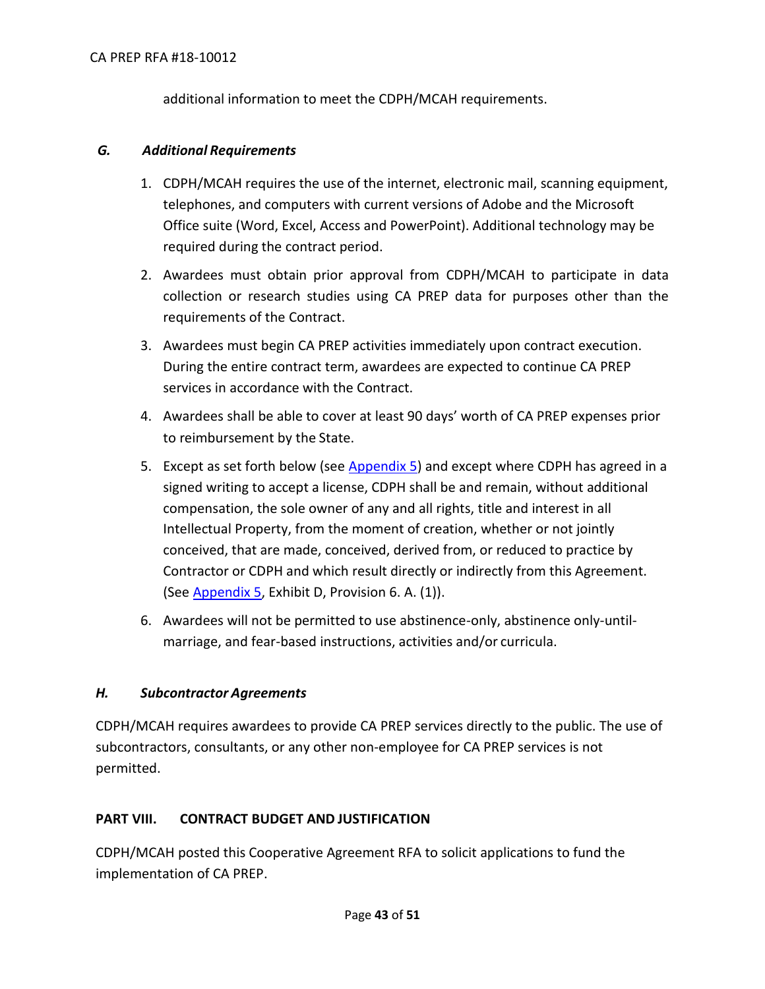additional information to meet the CDPH/MCAH requirements.

#### <span id="page-42-0"></span>*G. Additional Requirements*

- 1. CDPH/MCAH requires the use of the internet, electronic mail, scanning equipment, telephones, and computers with current versions of Adobe and the Microsoft Office suite (Word, Excel, Access and PowerPoint). Additional technology may be required during the contract period.
- 2. Awardees must obtain prior approval from CDPH/MCAH to participate in data collection or research studies using CA PREP data for purposes other than the requirements of the Contract.
- 3. Awardees must begin CA PREP activities immediately upon contract execution. During the entire contract term, awardees are expected to continue CA PREP services in accordance with the Contract.
- 4. Awardees shall be able to cover at least 90 days' worth of CA PREP expenses prior to reimbursement by the State.
- 5. Except as set forth below (see [Appendix 5\)](https://www.cdph.ca.gov/Programs/CFH/DMCAH/CA-PREP/CDPH%20Document%20Library/2018-Appendix%205.docx) and except where CDPH has agreed in a signed writing to accept a license, CDPH shall be and remain, without additional compensation, the sole owner of any and all rights, title and interest in all Intellectual Property, from the moment of creation, whether or not jointly conceived, that are made, conceived, derived from, or reduced to practice by Contractor or CDPH and which result directly or indirectly from this Agreement. (See [Appendix 5,](https://www.cdph.ca.gov/Programs/CFH/DMCAH/CA-PREP/CDPH%20Document%20Library/2018-Appendix%205.docx) Exhibit D, Provision 6. A. (1)).
- 6. Awardees will not be permitted to use abstinence-only, abstinence only-untilmarriage, and fear-based instructions, activities and/or curricula.

#### <span id="page-42-1"></span>*H. Subcontractor Agreements*

CDPH/MCAH requires awardees to provide CA PREP services directly to the public. The use of subcontractors, consultants, or any other non-employee for CA PREP services is not permitted.

#### <span id="page-42-2"></span>**PART VIII. CONTRACT BUDGET AND JUSTIFICATION**

CDPH/MCAH posted this Cooperative Agreement RFA to solicit applications to fund the implementation of CA PREP.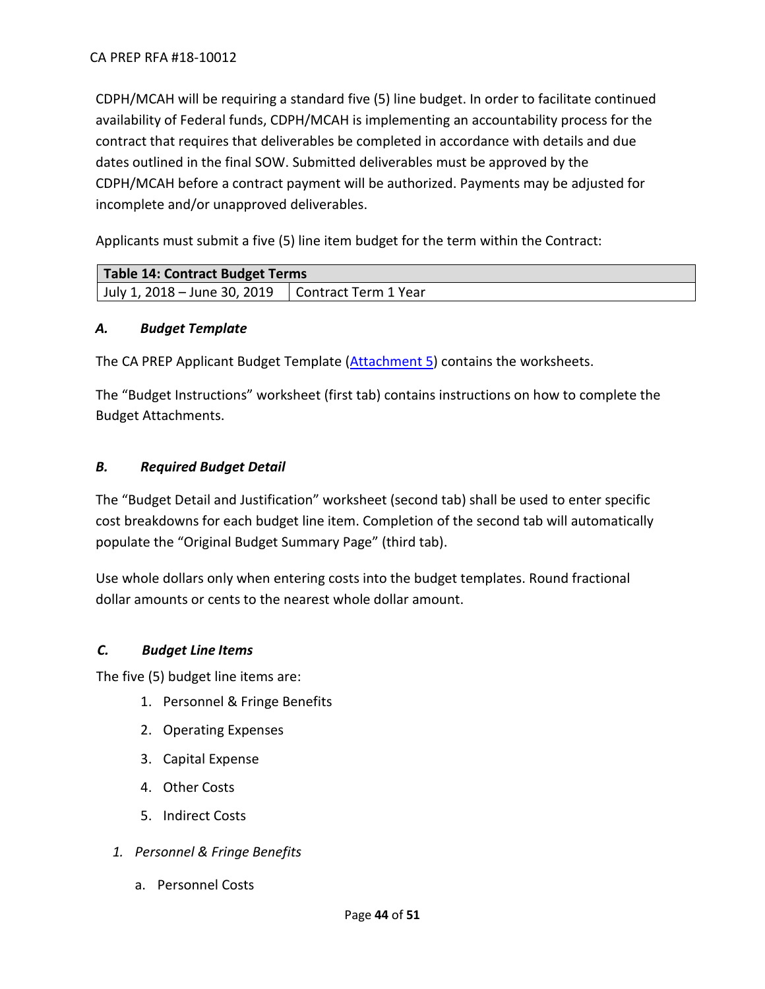CDPH/MCAH will be requiring a standard five (5) line budget. In order to facilitate continued availability of Federal funds, CDPH/MCAH is implementing an accountability process for the contract that requires that deliverables be completed in accordance with details and due dates outlined in the final SOW. Submitted deliverables must be approved by the CDPH/MCAH before a contract payment will be authorized. Payments may be adjusted for incomplete and/or unapproved deliverables.

Applicants must submit a five (5) line item budget for the term within the Contract:

| Table 14: Contract Budget Terms                          |  |
|----------------------------------------------------------|--|
| July 1, 2018 – June 30, 2019 $\mid$ Contract Term 1 Year |  |

# <span id="page-43-0"></span>*A. Budget Template*

The CA PREP Applicant Budget Template [\(Attachment 5\)](https://www.cdph.ca.gov/Programs/CFH/DMCAH/CA-PREP/CDPH%20Document%20Library/2018-Attachment%205.xlsx) contains the worksheets.

The "Budget Instructions" worksheet (first tab) contains instructions on how to complete the Budget Attachments.

# <span id="page-43-1"></span>*B. Required Budget Detail*

The "Budget Detail and Justification" worksheet (second tab) shall be used to enter specific cost breakdowns for each budget line item. Completion of the second tab will automatically populate the "Original Budget Summary Page" (third tab).

Use whole dollars only when entering costs into the budget templates. Round fractional dollar amounts or cents to the nearest whole dollar amount.

# <span id="page-43-2"></span>*C. Budget Line Items*

The five (5) budget line items are:

- 1. Personnel & Fringe Benefits
- 2. Operating Expenses
- 3. Capital Expense
- 4. Other Costs
- 5. Indirect Costs
- *1. Personnel & Fringe Benefits*
	- a. Personnel Costs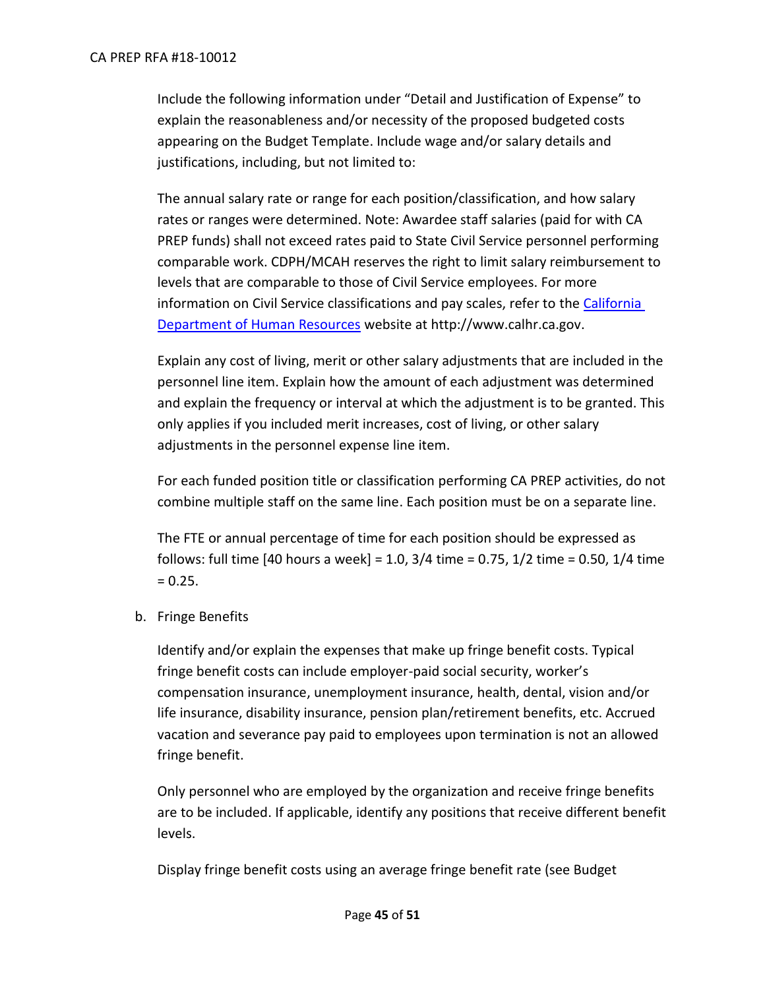#### CA PREP RFA #18-10012

Include the following information under "Detail and Justification of Expense" to explain the reasonableness and/or necessity of the proposed budgeted costs appearing on the Budget Template. Include wage and/or salary details and justifications, including, but not limited to:

The annual salary rate or range for each position/classification, and how salary rates or ranges were determined. Note: Awardee staff salaries (paid for with CA PREP funds) shall not exceed rates paid to State Civil Service personnel performing comparable work. CDPH/MCAH reserves the right to limit salary reimbursement to levels that are comparable to those of Civil Service employees. For more information on Civil Service classifications and pay scales, refer to the [California](http://www.calhr.ca.gov/)  [Department of Human Resources](http://www.calhr.ca.gov/) website at http://www.calhr.ca.gov.

Explain any cost of living, merit or other salary adjustments that are included in the personnel line item. Explain how the amount of each adjustment was determined and explain the frequency or interval at which the adjustment is to be granted. This only applies if you included merit increases, cost of living, or other salary adjustments in the personnel expense line item.

For each funded position title or classification performing CA PREP activities, do not combine multiple staff on the same line. Each position must be on a separate line.

The FTE or annual percentage of time for each position should be expressed as follows: full time [40 hours a week] = 1.0, 3/4 time = 0.75, 1/2 time = 0.50, 1/4 time  $= 0.25.$ 

b. Fringe Benefits

Identify and/or explain the expenses that make up fringe benefit costs. Typical fringe benefit costs can include employer-paid social security, worker's compensation insurance, unemployment insurance, health, dental, vision and/or life insurance, disability insurance, pension plan/retirement benefits, etc. Accrued vacation and severance pay paid to employees upon termination is not an allowed fringe benefit.

Only personnel who are employed by the organization and receive fringe benefits are to be included. If applicable, identify any positions that receive different benefit levels.

Display fringe benefit costs using an average fringe benefit rate (see Budget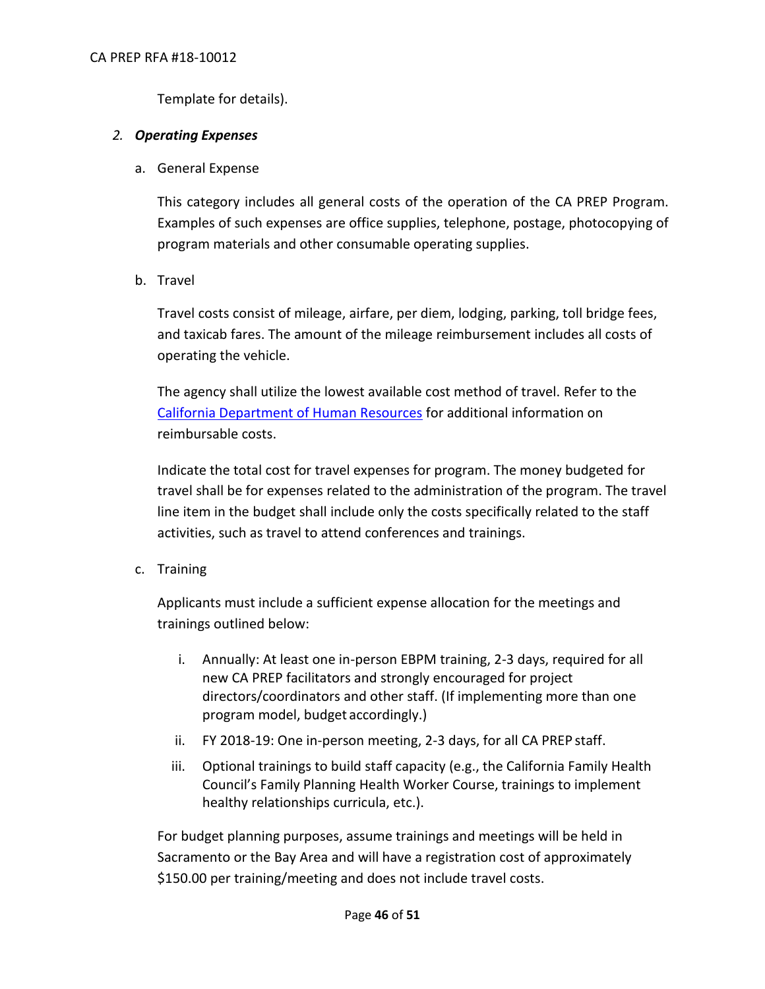Template for details).

# *2. Operating Expenses*

a. General Expense

This category includes all general costs of the operation of the CA PREP Program. Examples of such expenses are office supplies, telephone, postage, photocopying of program materials and other consumable operating supplies.

b. Travel

Travel costs consist of mileage, airfare, per diem, lodging, parking, toll bridge fees, and taxicab fares. The amount of the mileage reimbursement includes all costs of operating the vehicle.

The agency shall utilize the lowest available cost method of travel. Refer to the [California Department of Human Resources](http://www.calhr.ca.gov/employees/Pages/travel-reimbursements.aspx) for additional information on reimbursable costs.

Indicate the total cost for travel expenses for program. The money budgeted for travel shall be for expenses related to the administration of the program. The travel line item in the budget shall include only the costs specifically related to the staff activities, such as travel to attend conferences and trainings.

c. Training

Applicants must include a sufficient expense allocation for the meetings and trainings outlined below:

- i. Annually: At least one in-person EBPM training, 2-3 days, required for all new CA PREP facilitators and strongly encouraged for project directors/coordinators and other staff. (If implementing more than one program model, budget accordingly.)
- ii. FY 2018-19: One in-person meeting, 2-3 days, for all CA PREP staff.
- iii. Optional trainings to build staff capacity (e.g., the California Family Health Council's Family Planning Health Worker Course, trainings to implement healthy relationships curricula, etc.).

For budget planning purposes, assume trainings and meetings will be held in Sacramento or the Bay Area and will have a registration cost of approximately \$150.00 per training/meeting and does not include travel costs.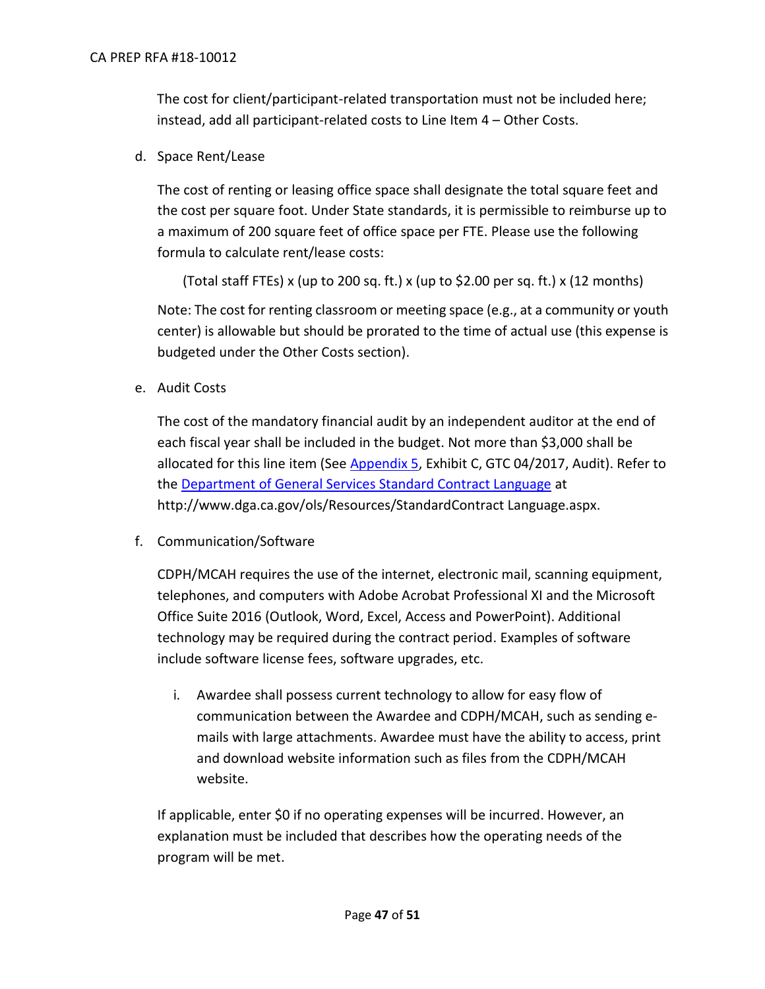The cost for client/participant-related transportation must not be included here; instead, add all participant-related costs to Line Item 4 – Other Costs.

d. Space Rent/Lease

The cost of renting or leasing office space shall designate the total square feet and the cost per square foot. Under State standards, it is permissible to reimburse up to a maximum of 200 square feet of office space per FTE. Please use the following formula to calculate rent/lease costs:

(Total staff FTEs) x (up to 200 sq. ft.) x (up to \$2.00 per sq. ft.) x (12 months)

Note: The cost for renting classroom or meeting space (e.g., at a community or youth center) is allowable but should be prorated to the time of actual use (this expense is budgeted under the Other Costs section).

e. Audit Costs

The cost of the mandatory financial audit by an independent auditor at the end of each fiscal year shall be included in the budget. Not more than \$3,000 shall be allocated for this line item (See [Appendix 5,](https://www.cdph.ca.gov/Programs/CFH/DMCAH/CA-PREP/CDPH%20Document%20Library/2018-Appendix%205.docx) Exhibit C, GTC 04/2017, Audit). Refer to the [Department of General Services Standard Contract Language](http://www.dgs.ca.gov/ols/Resources/StandardContractLanguage.aspx) at http://www.dga.ca.gov/ols/Resources/StandardContract Language.aspx.

f. Communication/Software

CDPH/MCAH requires the use of the internet, electronic mail, scanning equipment, telephones, and computers with Adobe Acrobat Professional XI and the Microsoft Office Suite 2016 (Outlook, Word, Excel, Access and PowerPoint). Additional technology may be required during the contract period. Examples of software include software license fees, software upgrades, etc.

i. Awardee shall possess current technology to allow for easy flow of communication between the Awardee and CDPH/MCAH, such as sending emails with large attachments. Awardee must have the ability to access, print and download website information such as files from the CDPH/MCAH website.

If applicable, enter \$0 if no operating expenses will be incurred. However, an explanation must be included that describes how the operating needs of the program will be met.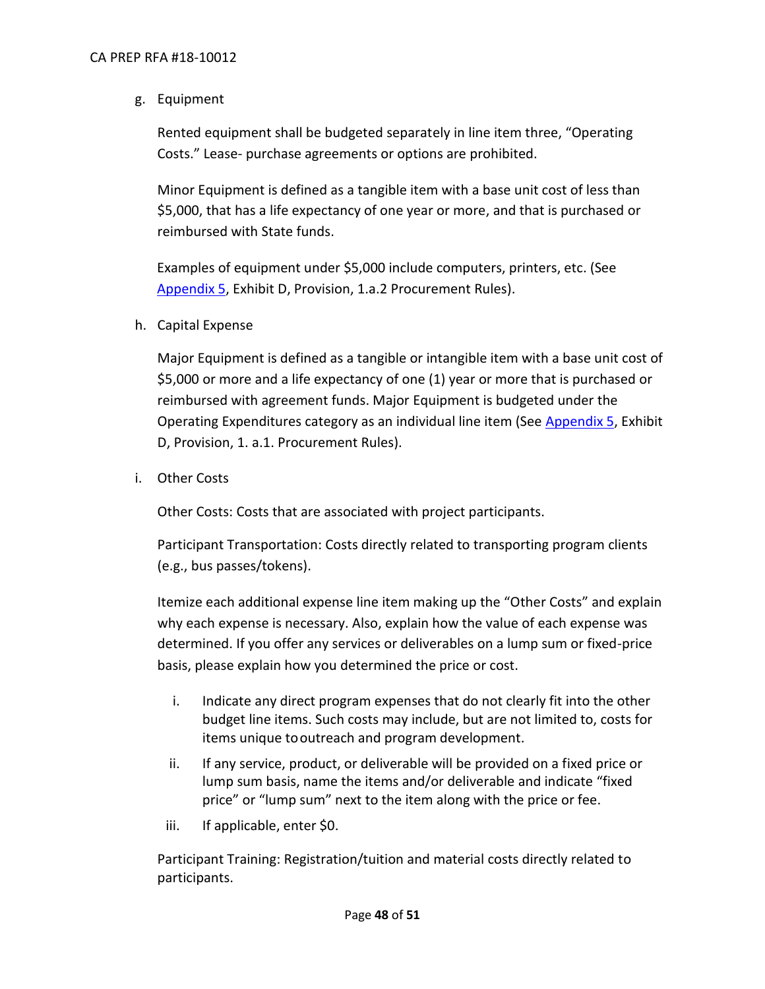g. Equipment

Rented equipment shall be budgeted separately in line item three, "Operating Costs." Lease- purchase agreements or options are prohibited.

Minor Equipment is defined as a tangible item with a base unit cost of less than \$5,000, that has a life expectancy of one year or more, and that is purchased or reimbursed with State funds.

Examples of equipment under \$5,000 include computers, printers, etc. (See [Appendix 5,](https://www.cdph.ca.gov/Programs/CFH/DMCAH/CA-PREP/CDPH%20Document%20Library/2018-Appendix%205.docx) Exhibit D, Provision, 1.a.2 Procurement Rules).

h. Capital Expense

Major Equipment is defined as a tangible or intangible item with a base unit cost of \$5,000 or more and a life expectancy of one (1) year or more that is purchased or reimbursed with agreement funds. Major Equipment is budgeted under the Operating Expenditures category as an individual line item (See [Appendix 5,](https://www.cdph.ca.gov/Programs/CFH/DMCAH/CA-PREP/CDPH%20Document%20Library/2018-Appendix%205.docx) Exhibit D, Provision, 1. a.1. Procurement Rules).

i. Other Costs

Other Costs: Costs that are associated with project participants.

Participant Transportation: Costs directly related to transporting program clients (e.g., bus passes/tokens).

Itemize each additional expense line item making up the "Other Costs" and explain why each expense is necessary. Also, explain how the value of each expense was determined. If you offer any services or deliverables on a lump sum or fixed-price basis, please explain how you determined the price or cost.

- i. Indicate any direct program expenses that do not clearly fit into the other budget line items. Such costs may include, but are not limited to, costs for items unique tooutreach and program development.
- ii. If any service, product, or deliverable will be provided on a fixed price or lump sum basis, name the items and/or deliverable and indicate "fixed price" or "lump sum" next to the item along with the price or fee.
- iii. If applicable, enter \$0.

Participant Training: Registration/tuition and material costs directly related to participants.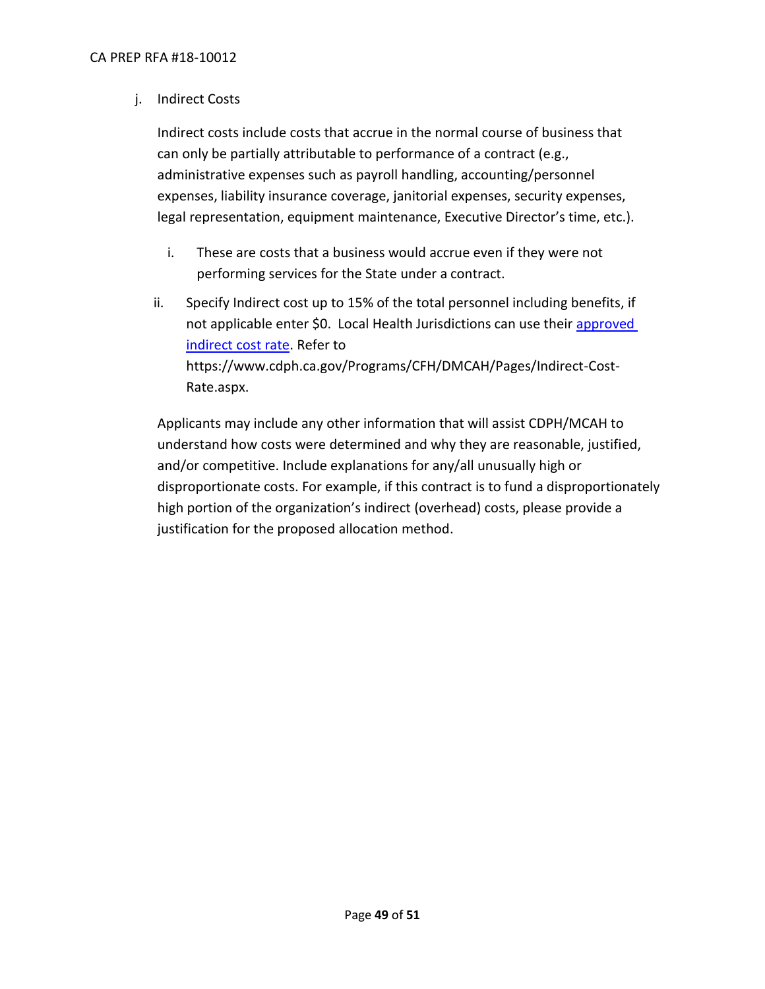j. Indirect Costs

Indirect costs include costs that accrue in the normal course of business that can only be partially attributable to performance of a contract (e.g., administrative expenses such as payroll handling, accounting/personnel expenses, liability insurance coverage, janitorial expenses, security expenses, legal representation, equipment maintenance, Executive Director's time, etc.).

- i. These are costs that a business would accrue even if they were not performing services for the State under a contract.
- ii. Specify Indirect cost up to 15% of the total personnel including benefits, if not applicable enter \$0. Local Health Jurisdictions can use their approved [indirect cost rate.](https://www.cdph.ca.gov/Programs/CFH/DMCAH/Pages/Indirect-Cost-Rate.aspx) Refer to https://www.cdph.ca.gov/Programs/CFH/DMCAH/Pages/Indirect-Cost-Rate.aspx.

Applicants may include any other information that will assist CDPH/MCAH to understand how costs were determined and why they are reasonable, justified, and/or competitive. Include explanations for any/all unusually high or disproportionate costs. For example, if this contract is to fund a disproportionately high portion of the organization's indirect (overhead) costs, please provide a justification for the proposed allocation method.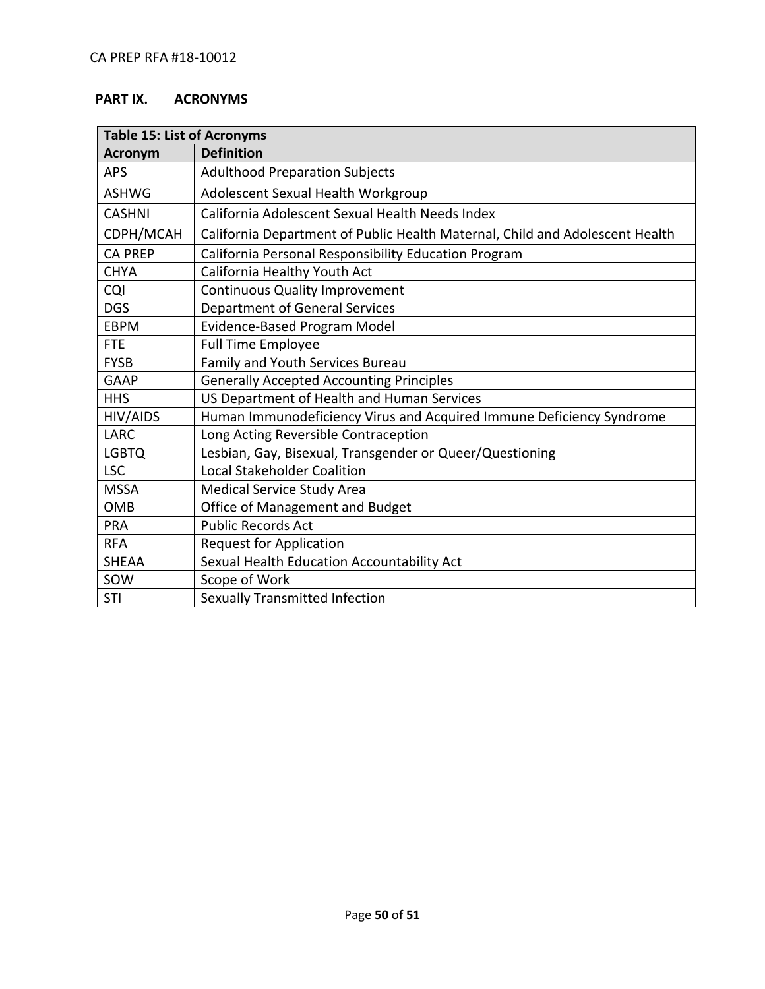# <span id="page-49-0"></span>**PART IX. ACRONYMS**

| <b>Table 15: List of Acronyms</b> |                                                                              |  |
|-----------------------------------|------------------------------------------------------------------------------|--|
| <b>Acronym</b>                    | <b>Definition</b>                                                            |  |
| <b>APS</b>                        | <b>Adulthood Preparation Subjects</b>                                        |  |
| <b>ASHWG</b>                      | Adolescent Sexual Health Workgroup                                           |  |
| <b>CASHNI</b>                     | California Adolescent Sexual Health Needs Index                              |  |
| CDPH/MCAH                         | California Department of Public Health Maternal, Child and Adolescent Health |  |
| <b>CA PREP</b>                    | California Personal Responsibility Education Program                         |  |
| <b>CHYA</b>                       | California Healthy Youth Act                                                 |  |
| CQI                               | <b>Continuous Quality Improvement</b>                                        |  |
| <b>DGS</b>                        | Department of General Services                                               |  |
| <b>EBPM</b>                       | Evidence-Based Program Model                                                 |  |
| <b>FTE</b>                        | <b>Full Time Employee</b>                                                    |  |
| <b>FYSB</b>                       | Family and Youth Services Bureau                                             |  |
| GAAP                              | <b>Generally Accepted Accounting Principles</b>                              |  |
| <b>HHS</b>                        | US Department of Health and Human Services                                   |  |
| HIV/AIDS                          | Human Immunodeficiency Virus and Acquired Immune Deficiency Syndrome         |  |
| LARC                              | Long Acting Reversible Contraception                                         |  |
| <b>LGBTQ</b>                      | Lesbian, Gay, Bisexual, Transgender or Queer/Questioning                     |  |
| <b>LSC</b>                        | <b>Local Stakeholder Coalition</b>                                           |  |
| <b>MSSA</b>                       | Medical Service Study Area                                                   |  |
| <b>OMB</b>                        | Office of Management and Budget                                              |  |
| <b>PRA</b>                        | <b>Public Records Act</b>                                                    |  |
| <b>RFA</b>                        | <b>Request for Application</b>                                               |  |
| <b>SHEAA</b>                      | Sexual Health Education Accountability Act                                   |  |
| SOW                               | Scope of Work                                                                |  |
| <b>STI</b>                        | Sexually Transmitted Infection                                               |  |